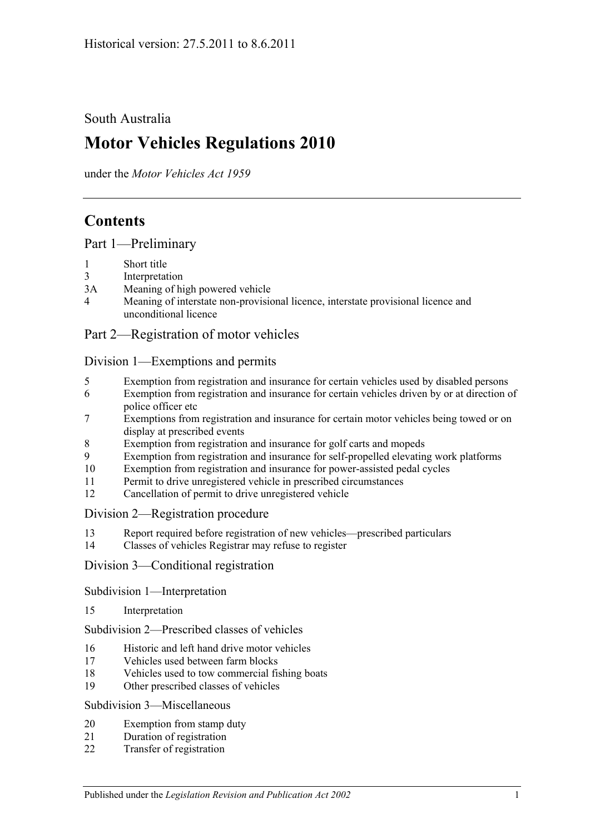South Australia

# **Motor Vehicles Regulations 2010**

under the *Motor Vehicles Act 1959*

## **Contents**

[Part 1—Preliminary](#page-6-0)

- 1 [Short title](#page-6-1)
- 3 [Interpretation](#page-6-2)
- 3A [Meaning of high powered vehicle](#page-8-0)
- 4 [Meaning of interstate non-provisional licence, interstate provisional licence and](#page-8-1)  [unconditional licence](#page-8-1)

## [Part 2—Registration of motor vehicles](#page-10-0)

#### [Division 1—Exemptions and permits](#page-10-1)

- 5 [Exemption from registration and insurance for certain vehicles used by disabled persons](#page-10-2)
- 6 [Exemption from registration and insurance for certain vehicles driven by or at direction of](#page-10-3)  [police officer etc](#page-10-3)
- 7 [Exemptions from registration and insurance for certain motor vehicles being towed or on](#page-10-4)  [display at prescribed events](#page-10-4)
- 8 [Exemption from registration and insurance for golf carts and mopeds](#page-11-0)
- 9 [Exemption from registration and insurance for self-propelled elevating work platforms](#page-11-1)
- 10 [Exemption from registration and insurance for power-assisted pedal cycles](#page-12-0)
- 11 [Permit to drive unregistered vehicle in prescribed circumstances](#page-12-1)
- 12 [Cancellation of permit to drive unregistered vehicle](#page-12-2)

#### [Division 2—Registration procedure](#page-12-3)

- 13 [Report required before registration of new vehicles—prescribed particulars](#page-12-4)
- 14 [Classes of vehicles Registrar may refuse to register](#page-13-0)

#### [Division 3—Conditional registration](#page-13-1)

#### [Subdivision 1—Interpretation](#page-13-2)

15 [Interpretation](#page-13-3)

[Subdivision 2—Prescribed classes of vehicles](#page-14-0)

- 16 [Historic and left hand drive motor vehicles](#page-14-1)
- 17 [Vehicles used between farm blocks](#page-14-2)
- 18 [Vehicles used to tow commercial fishing boats](#page-15-0)
- 19 [Other prescribed classes of vehicles](#page-15-1)

#### [Subdivision 3—Miscellaneous](#page-16-0)

- 20 [Exemption from stamp duty](#page-16-1)
- 21 [Duration of registration](#page-16-2)
- 22 [Transfer of registration](#page-16-3)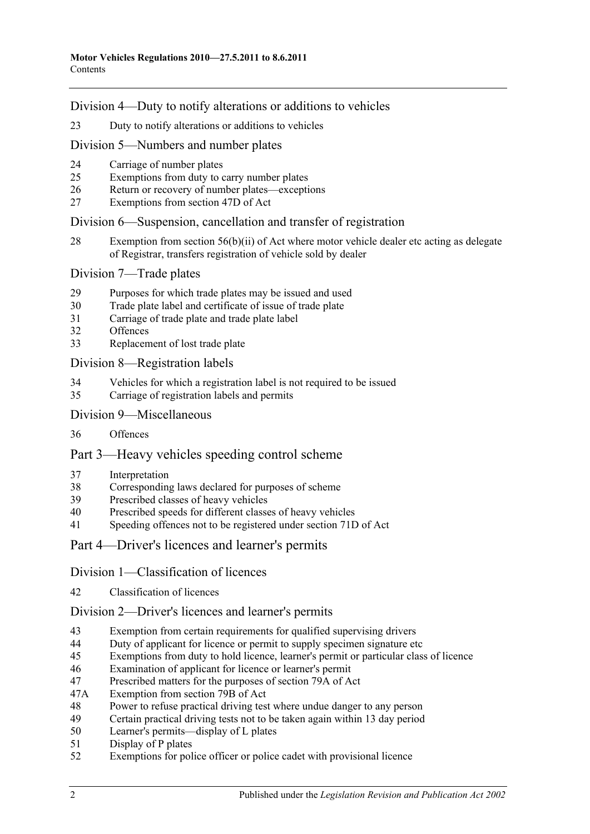[Division 4—Duty to notify alterations or additions to vehicles](#page-16-4)

[Duty to notify alterations or additions to vehicles](#page-16-5)

[Division 5—Numbers and number plates](#page-18-0)

- [Carriage of number plates](#page-18-1)
- [Exemptions from duty to carry number plates](#page-18-2)
- [Return or recovery of number plates—exceptions](#page-19-0)
- [Exemptions from section 47D of Act](#page-20-0)

#### [Division 6—Suspension, cancellation and transfer of registration](#page-20-1)

 [Exemption from section 56\(b\)\(ii\) of Act where motor vehicle dealer etc acting as delegate](#page-20-2)  [of Registrar, transfers registration of vehicle sold by dealer](#page-20-2)

#### [Division 7—Trade plates](#page-20-3)

- [Purposes for which trade plates may be issued and used](#page-20-4)
- [Trade plate label and certificate of issue of trade plate](#page-23-0)
- [Carriage of trade plate and trade plate label](#page-24-0)
- [Offences](#page-24-1)
- [Replacement of lost trade plate](#page-24-2)

#### [Division 8—Registration labels](#page-25-0)

- [Vehicles for which a registration label is not required to be issued](#page-25-1)
- [Carriage of registration labels and permits](#page-25-2)

#### [Division 9—Miscellaneous](#page-27-0)

[Offences](#page-27-1)

## [Part 3—Heavy vehicles speeding control scheme](#page-30-0)

- [Interpretation](#page-30-1)
- [Corresponding laws declared for purposes of scheme](#page-30-2)
- [Prescribed classes of heavy vehicles](#page-30-3)
- [Prescribed speeds for different classes of heavy vehicles](#page-30-4)
- [Speeding offences not to be registered under section](#page-30-5) 71D of Act
- [Part 4—Driver's licences and learner's permits](#page-32-0)

#### [Division 1—Classification of licences](#page-32-1)

[Classification of licences](#page-32-2)

#### [Division 2—Driver's licences and learner's permits](#page-32-3)

- [Exemption from certain requirements for qualified supervising drivers](#page-32-4)
- [Duty of applicant for licence or permit to supply specimen signature etc](#page-32-5)
- [Exemptions from duty to hold licence, learner's permit or particular class of licence](#page-33-0)
- [Examination of applicant for licence or learner's permit](#page-34-0)
- [Prescribed matters for the purposes of section 79A of Act](#page-35-0)
- 47A [Exemption from section 79B of Act](#page-35-1)
- [Power to refuse practical driving test where undue danger to any person](#page-36-0)
- [Certain practical driving tests not to be taken again within 13](#page-36-1) day period
- [Learner's permits—display of L plates](#page-36-2)<br>51 Display of P plates
- [Display of P plates](#page-37-0)
- [Exemptions for police officer or police cadet with provisional licence](#page-37-1)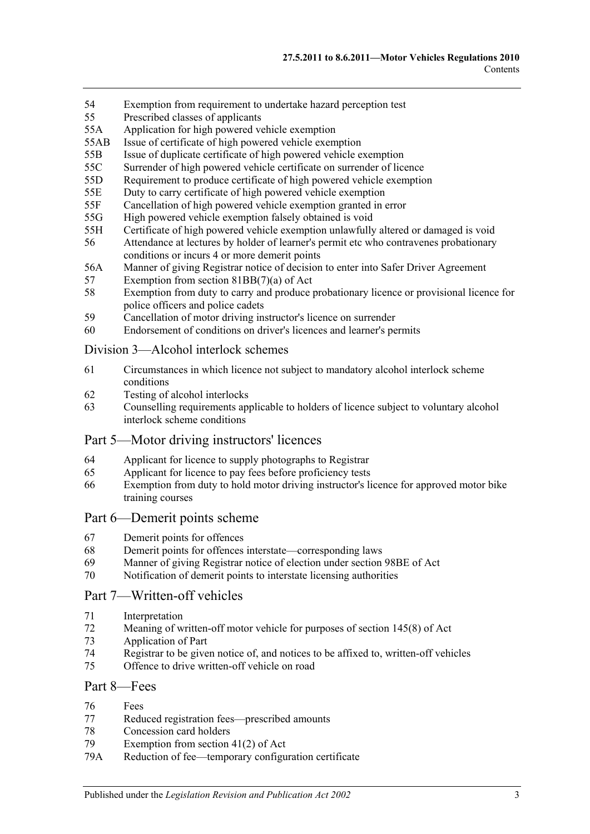- 54 [Exemption from requirement to undertake hazard perception test](#page-37-2)
- 55 [Prescribed classes of applicants](#page-38-0)
- 55A [Application for high powered vehicle exemption](#page-38-1)
- 55AB [Issue of certificate of high powered vehicle exemption](#page-38-2)
- 55B [Issue of duplicate certificate of high powered vehicle exemption](#page-38-3)
- 55C [Surrender of high powered vehicle certificate on surrender of licence](#page-38-4)
- 55D [Requirement to produce certificate of high powered vehicle exemption](#page-39-0)
- 55E [Duty to carry certificate of high powered vehicle exemption](#page-39-1)
- 55F [Cancellation of high powered vehicle exemption granted in error](#page-39-2)
- 55G [High powered vehicle exemption falsely obtained is void](#page-39-3)
- 55H [Certificate of high powered vehicle exemption unlawfully altered or damaged is void](#page-40-0)
- 56 [Attendance at lectures by holder of learner's permit etc who contravenes probationary](#page-40-1)  [conditions or incurs 4 or more demerit points](#page-40-1)
- 56A [Manner of giving Registrar notice of decision to enter into Safer Driver Agreement](#page-40-2)
- 57 [Exemption from section 81BB\(7\)\(a\) of Act](#page-40-3)
- 58 [Exemption from duty to carry and produce probationary licence or provisional licence for](#page-41-0)  [police officers and police cadets](#page-41-0)
- 59 [Cancellation of motor driving instructor's licence on surrender](#page-41-1)
- 60 [Endorsement of conditions on driver's licences and learner's permits](#page-41-2)

#### [Division 3—Alcohol interlock schemes](#page-41-3)

- 61 [Circumstances in which licence not subject to mandatory](#page-41-4) alcohol interlock scheme [conditions](#page-41-4)
- 62 [Testing of alcohol interlocks](#page-41-5)
- 63 [Counselling requirements applicable to holders of licence subject to voluntary alcohol](#page-41-6)  [interlock scheme conditions](#page-41-6)

#### [Part 5—Motor driving instructors' licences](#page-44-0)

- 64 [Applicant for licence to supply photographs to Registrar](#page-44-1)
- 65 [Applicant for licence to pay fees before proficiency tests](#page-44-2)
- 66 [Exemption from duty to hold motor driving instructor's licence for approved motor bike](#page-44-3)  [training courses](#page-44-3)

#### [Part 6—Demerit points scheme](#page-46-0)

- 67 [Demerit points for offences](#page-46-1)
- 68 [Demerit points for offences interstate—corresponding laws](#page-46-2)
- 69 [Manner of giving Registrar notice of election under section](#page-46-3) 98BE of Act
- 70 [Notification of demerit points to interstate licensing authorities](#page-46-4)

## [Part 7—Written-off vehicles](#page-48-0)

- 71 [Interpretation](#page-48-1)
- 72 [Meaning of written-off motor vehicle for purposes of section](#page-50-0) 145(8) of Act
- 73 [Application of Part](#page-50-1)
- 74 [Registrar to be given notice of, and notices to be affixed to, written-off vehicles](#page-50-2)<br>75 Offence to drive written-off vehicle on road
- [Offence to drive written-off vehicle on road](#page-52-0)

#### [Part 8—Fees](#page-54-0)

- 76 [Fees](#page-54-1)
- 77 [Reduced registration fees—prescribed amounts](#page-54-2)
- 78 [Concession card holders](#page-55-0)<br>79 Exemption from section
- Exemption from section  $41(2)$  of Act
- 79A [Reduction of fee—temporary configuration certificate](#page-55-2)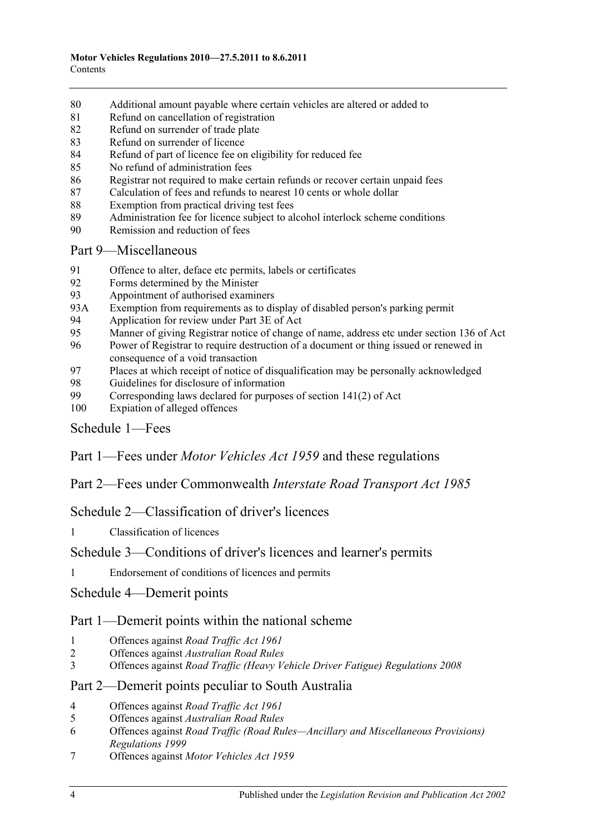- [Additional amount payable where certain vehicles are altered or added to](#page-56-0)
- [Refund on cancellation of registration](#page-56-1)
- [Refund on surrender of trade plate](#page-56-2)
- [Refund on surrender of licence](#page-57-0)
- [Refund of part of licence fee on eligibility for reduced fee](#page-57-1)
- [No refund of administration fees](#page-57-2)
- [Registrar not required to make certain refunds or recover certain unpaid fees](#page-57-3)
- [Calculation of fees and refunds to nearest 10 cents or whole dollar](#page-57-4)
- [Exemption from practical driving test fees](#page-58-0)
- [Administration fee for licence subject to alcohol interlock scheme conditions](#page-58-1)
- [Remission and reduction of fees](#page-58-2)

## [Part 9—Miscellaneous](#page-60-0)

- [Offence to alter, deface etc permits, labels or certificates](#page-60-1)<br>92 Forms determined by the Minister
- [Forms determined by the Minister](#page-60-2)
- [Appointment of authorised examiners](#page-60-3)
- 93A [Exemption from requirements as to display of disabled person's parking permit](#page-60-4)
- [Application for review under Part 3E of Act](#page-61-0)<br>95 Manner of giving Registrar notice of change
- [Manner of giving Registrar notice of change of name, address etc under section](#page-61-1) 136 of Act
- [Power of Registrar to require destruction of a document or thing issued or renewed in](#page-61-2)  [consequence of a void transaction](#page-61-2)
- [Places at which receipt of notice of disqualification may be personally acknowledged](#page-61-3)
- [Guidelines for disclosure of information](#page-62-0)<br>99 Corresponding laws declared for purpose
- Corresponding laws declared for purposes of section  $141(2)$  of Act
- [Expiation of alleged offences](#page-65-0)

## [Schedule 1—Fees](#page-66-0)

Part 1—Fees under *Motor Vehicles Act 1959* and these regulations

Part 2—Fees under Commonwealth *Interstate Road Transport Act 1985*

[Schedule 2—Classification of driver's licences](#page-76-0)

[Classification of licences](#page-76-1)

## [Schedule 3—Conditions of driver's licences and learner's permits](#page-80-0)

[Endorsement of conditions of licences and permits](#page-80-1)

[Schedule 4—Demerit points](#page-82-0)

## Part 1—Demerit points within the national scheme

- [Offences against](#page-82-1) *Road Traffic Act 1961*
- Offences against *[Australian Road Rules](#page-83-0)*
- Offences against *[Road Traffic \(Heavy Vehicle Driver Fatigue\) Regulations](#page-87-0) 2008*

## Part 2—Demerit points peculiar to South Australia

- [Offences against](#page-88-0) *Road Traffic Act 1961*
- Offences against *[Australian Road Rules](#page-89-0)*
- Offences against *[Road Traffic \(Road Rules—Ancillary and Miscellaneous Provisions\)](#page-92-0)  [Regulations](#page-92-0) 1999*
- Offences against *[Motor Vehicles Act](#page-93-0) 1959*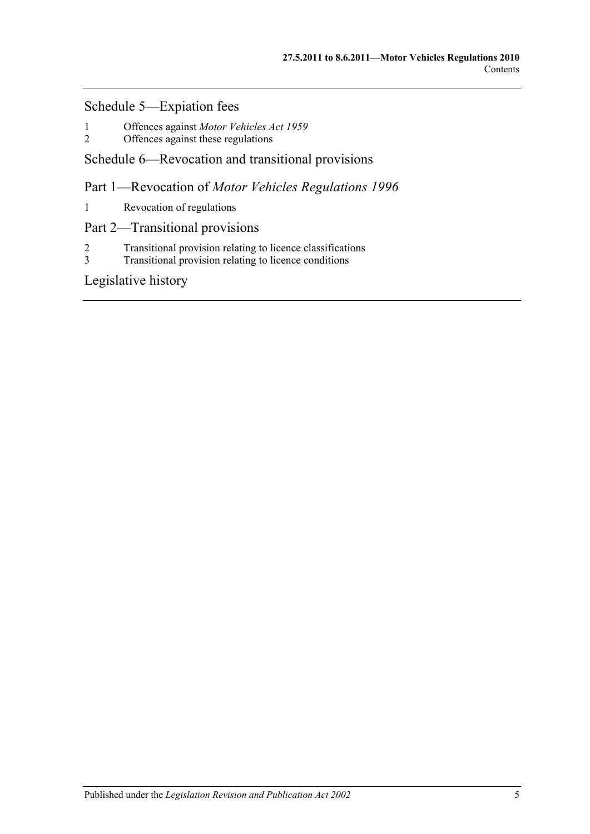## [Schedule 5—Expiation fees](#page-94-0)

- 1 Offences against *[Motor Vehicles Act](#page-94-1) 1959*
- [Offences against these regulations](#page-96-0)

## [Schedule 6—Revocation and transitional provisions](#page-98-0)

Part 1—Revocation of *Motor Vehicles Regulations 1996*

1 [Revocation of regulations](#page-98-1)

## Part 2—Transitional provisions

- 2 [Transitional provision relating to licence classifications](#page-98-2)<br>3 Transitional provision relating to licence conditions
- [Transitional provision relating to licence conditions](#page-99-0)

[Legislative history](#page-100-0)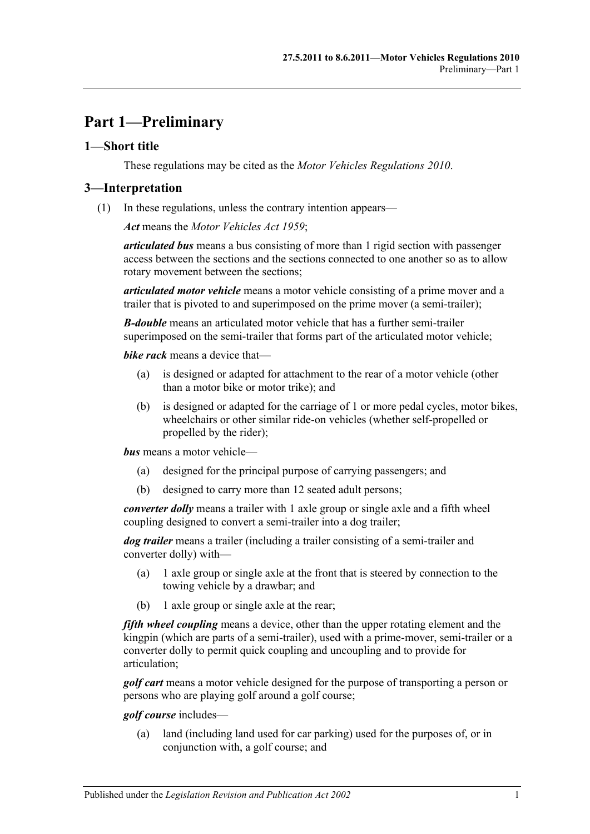## <span id="page-6-0"></span>**Part 1—Preliminary**

#### <span id="page-6-1"></span>**1—Short title**

These regulations may be cited as the *Motor Vehicles Regulations 2010*.

#### <span id="page-6-2"></span>**3—Interpretation**

(1) In these regulations, unless the contrary intention appears—

*Act* means the *[Motor Vehicles Act](http://www.legislation.sa.gov.au/index.aspx?action=legref&type=act&legtitle=Motor%20Vehicles%20Act%201959) 1959*;

*articulated bus* means a bus consisting of more than 1 rigid section with passenger access between the sections and the sections connected to one another so as to allow rotary movement between the sections;

*articulated motor vehicle* means a motor vehicle consisting of a prime mover and a trailer that is pivoted to and superimposed on the prime mover (a semi-trailer);

*B-double* means an articulated motor vehicle that has a further semi-trailer superimposed on the semi-trailer that forms part of the articulated motor vehicle;

*bike rack* means a device that—

- (a) is designed or adapted for attachment to the rear of a motor vehicle (other than a motor bike or motor trike); and
- (b) is designed or adapted for the carriage of 1 or more pedal cycles, motor bikes, wheelchairs or other similar ride-on vehicles (whether self-propelled or propelled by the rider);

*bus* means a motor vehicle—

- (a) designed for the principal purpose of carrying passengers; and
- (b) designed to carry more than 12 seated adult persons;

*converter dolly* means a trailer with 1 axle group or single axle and a fifth wheel coupling designed to convert a semi-trailer into a dog trailer;

*dog trailer* means a trailer (including a trailer consisting of a semi-trailer and converter dolly) with—

- (a) 1 axle group or single axle at the front that is steered by connection to the towing vehicle by a drawbar; and
- (b) 1 axle group or single axle at the rear;

*fifth wheel coupling* means a device, other than the upper rotating element and the kingpin (which are parts of a semi-trailer), used with a prime-mover, semi-trailer or a converter dolly to permit quick coupling and uncoupling and to provide for articulation;

*golf cart* means a motor vehicle designed for the purpose of transporting a person or persons who are playing golf around a golf course;

*golf course* includes—

(a) land (including land used for car parking) used for the purposes of, or in conjunction with, a golf course; and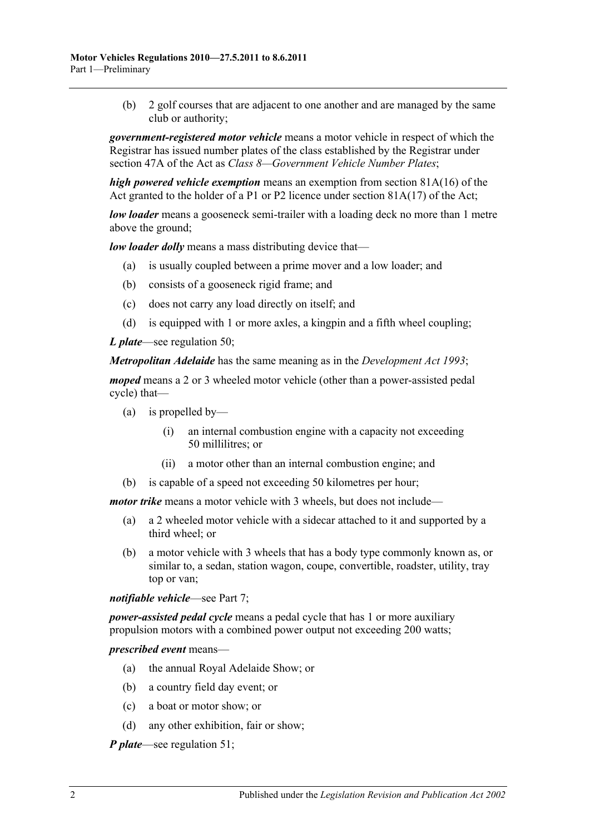(b) 2 golf courses that are adjacent to one another and are managed by the same club or authority;

*government-registered motor vehicle* means a motor vehicle in respect of which the Registrar has issued number plates of the class established by the Registrar under section 47A of the Act as *Class 8—Government Vehicle Number Plates*;

*high powered vehicle exemption* means an exemption from section 81A(16) of the Act granted to the holder of a P1 or P2 licence under section 81A(17) of the Act;

*low loader* means a gooseneck semi-trailer with a loading deck no more than 1 metre above the ground;

*low loader dolly* means a mass distributing device that—

- (a) is usually coupled between a prime mover and a low loader; and
- (b) consists of a gooseneck rigid frame; and
- (c) does not carry any load directly on itself; and
- (d) is equipped with 1 or more axles, a kingpin and a fifth wheel coupling;

*L plate*—see [regulation](#page-36-2) 50;

*Metropolitan Adelaide* has the same meaning as in the *[Development Act](http://www.legislation.sa.gov.au/index.aspx?action=legref&type=act&legtitle=Development%20Act%201993) 1993*;

*moped* means a 2 or 3 wheeled motor vehicle (other than a power-assisted pedal cycle) that—

- (a) is propelled by—
	- (i) an internal combustion engine with a capacity not exceeding 50 millilitres; or
	- (ii) a motor other than an internal combustion engine; and
- (b) is capable of a speed not exceeding 50 kilometres per hour;

*motor trike* means a motor vehicle with 3 wheels, but does not include—

- (a) a 2 wheeled motor vehicle with a sidecar attached to it and supported by a third wheel; or
- (b) a motor vehicle with 3 wheels that has a body type commonly known as, or similar to, a sedan, station wagon, coupe, convertible, roadster, utility, tray top or van;

*notifiable vehicle*—see [Part 7;](#page-48-0)

*power-assisted pedal cycle* means a pedal cycle that has 1 or more auxiliary propulsion motors with a combined power output not exceeding 200 watts;

*prescribed event* means—

- (a) the annual Royal Adelaide Show; or
- (b) a country field day event; or
- (c) a boat or motor show; or
- (d) any other exhibition, fair or show;

*P plate*—see [regulation](#page-37-0) 51;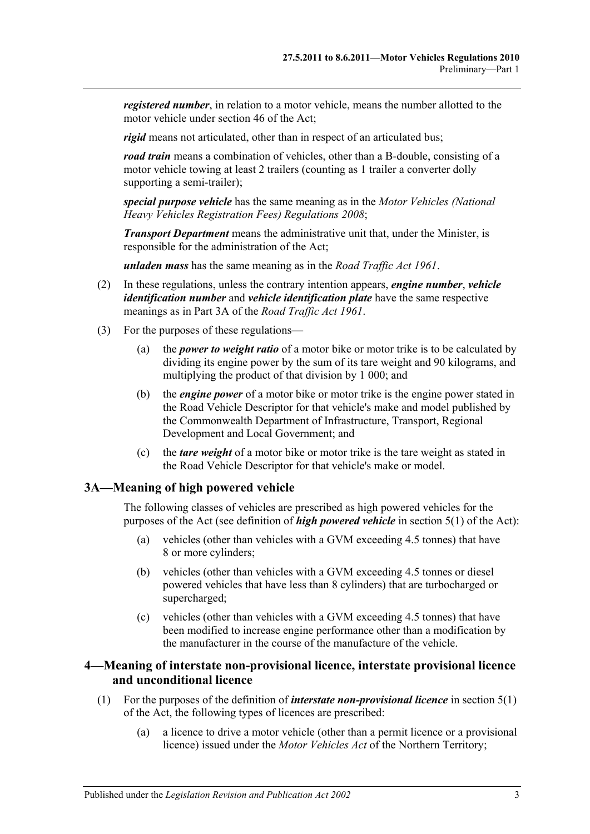*registered number*, in relation to a motor vehicle, means the number allotted to the motor vehicle under section 46 of the Act;

*rigid* means not articulated, other than in respect of an articulated bus;

*road train* means a combination of vehicles, other than a B-double, consisting of a motor vehicle towing at least 2 trailers (counting as 1 trailer a converter dolly supporting a semi-trailer);

*special purpose vehicle* has the same meaning as in the *[Motor Vehicles \(National](http://www.legislation.sa.gov.au/index.aspx?action=legref&type=subordleg&legtitle=Motor%20Vehicles%20(National%20Heavy%20Vehicles%20Registration%20Fees)%20Regulations%202008)  [Heavy Vehicles Registration Fees\) Regulations](http://www.legislation.sa.gov.au/index.aspx?action=legref&type=subordleg&legtitle=Motor%20Vehicles%20(National%20Heavy%20Vehicles%20Registration%20Fees)%20Regulations%202008) 2008*;

*Transport Department* means the administrative unit that, under the Minister, is responsible for the administration of the Act;

*unladen mass* has the same meaning as in the *[Road Traffic Act](http://www.legislation.sa.gov.au/index.aspx?action=legref&type=act&legtitle=Road%20Traffic%20Act%201961) 1961*.

- (2) In these regulations, unless the contrary intention appears, *engine number*, *vehicle identification number* and *vehicle identification plate* have the same respective meanings as in Part 3A of the *[Road Traffic Act](http://www.legislation.sa.gov.au/index.aspx?action=legref&type=act&legtitle=Road%20Traffic%20Act%201961) 1961*.
- (3) For the purposes of these regulations—
	- (a) the *power to weight ratio* of a motor bike or motor trike is to be calculated by dividing its engine power by the sum of its tare weight and 90 kilograms, and multiplying the product of that division by 1 000; and
	- (b) the *engine power* of a motor bike or motor trike is the engine power stated in the Road Vehicle Descriptor for that vehicle's make and model published by the Commonwealth Department of Infrastructure, Transport, Regional Development and Local Government; and
	- (c) the *tare weight* of a motor bike or motor trike is the tare weight as stated in the Road Vehicle Descriptor for that vehicle's make or model.

## <span id="page-8-0"></span>**3A—Meaning of high powered vehicle**

The following classes of vehicles are prescribed as high powered vehicles for the purposes of the Act (see definition of *high powered vehicle* in section 5(1) of the Act):

- (a) vehicles (other than vehicles with a GVM exceeding 4.5 tonnes) that have 8 or more cylinders;
- (b) vehicles (other than vehicles with a GVM exceeding 4.5 tonnes or diesel powered vehicles that have less than 8 cylinders) that are turbocharged or supercharged;
- (c) vehicles (other than vehicles with a GVM exceeding 4.5 tonnes) that have been modified to increase engine performance other than a modification by the manufacturer in the course of the manufacture of the vehicle.

## <span id="page-8-1"></span>**4—Meaning of interstate non-provisional licence, interstate provisional licence and unconditional licence**

- (1) For the purposes of the definition of *interstate non-provisional licence* in section 5(1) of the Act, the following types of licences are prescribed:
	- (a) a licence to drive a motor vehicle (other than a permit licence or a provisional licence) issued under the *Motor Vehicles Act* of the Northern Territory;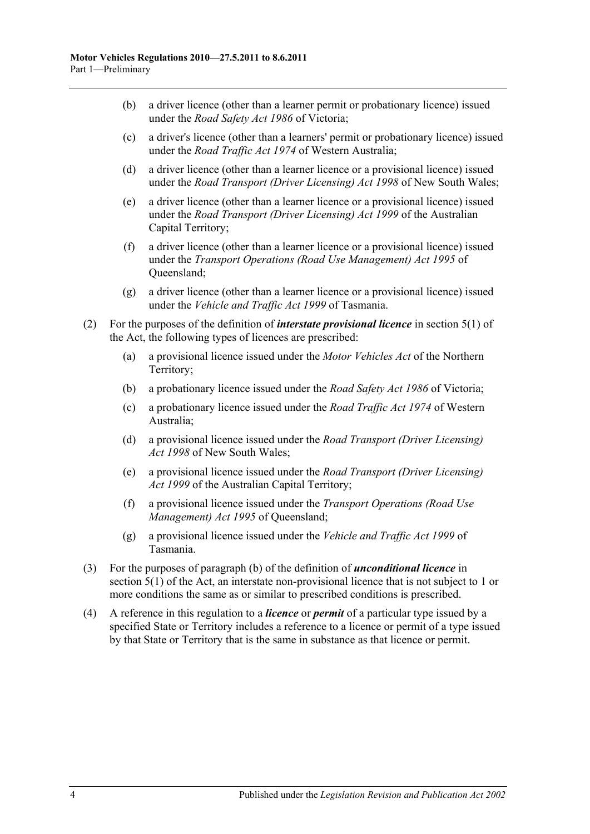- (b) a driver licence (other than a learner permit or probationary licence) issued under the *Road Safety Act 1986* of Victoria;
- (c) a driver's licence (other than a learners' permit or probationary licence) issued under the *Road Traffic Act 1974* of Western Australia;
- (d) a driver licence (other than a learner licence or a provisional licence) issued under the *Road Transport (Driver Licensing) Act 1998* of New South Wales;
- (e) a driver licence (other than a learner licence or a provisional licence) issued under the *Road Transport (Driver Licensing) Act 1999* of the Australian Capital Territory;
- (f) a driver licence (other than a learner licence or a provisional licence) issued under the *Transport Operations (Road Use Management) Act 1995* of Queensland;
- (g) a driver licence (other than a learner licence or a provisional licence) issued under the *Vehicle and Traffic Act 1999* of Tasmania.
- (2) For the purposes of the definition of *interstate provisional licence* in section 5(1) of the Act, the following types of licences are prescribed:
	- (a) a provisional licence issued under the *Motor Vehicles Act* of the Northern Territory;
	- (b) a probationary licence issued under the *Road Safety Act 1986* of Victoria;
	- (c) a probationary licence issued under the *Road Traffic Act 1974* of Western Australia;
	- (d) a provisional licence issued under the *Road Transport (Driver Licensing) Act 1998* of New South Wales;
	- (e) a provisional licence issued under the *Road Transport (Driver Licensing) Act 1999* of the Australian Capital Territory;
	- (f) a provisional licence issued under the *Transport Operations (Road Use Management) Act 1995* of Queensland;
	- (g) a provisional licence issued under the *Vehicle and Traffic Act 1999* of Tasmania.
- (3) For the purposes of paragraph (b) of the definition of *unconditional licence* in section 5(1) of the Act, an interstate non-provisional licence that is not subject to 1 or more conditions the same as or similar to prescribed conditions is prescribed.
- (4) A reference in this regulation to a *licence* or *permit* of a particular type issued by a specified State or Territory includes a reference to a licence or permit of a type issued by that State or Territory that is the same in substance as that licence or permit.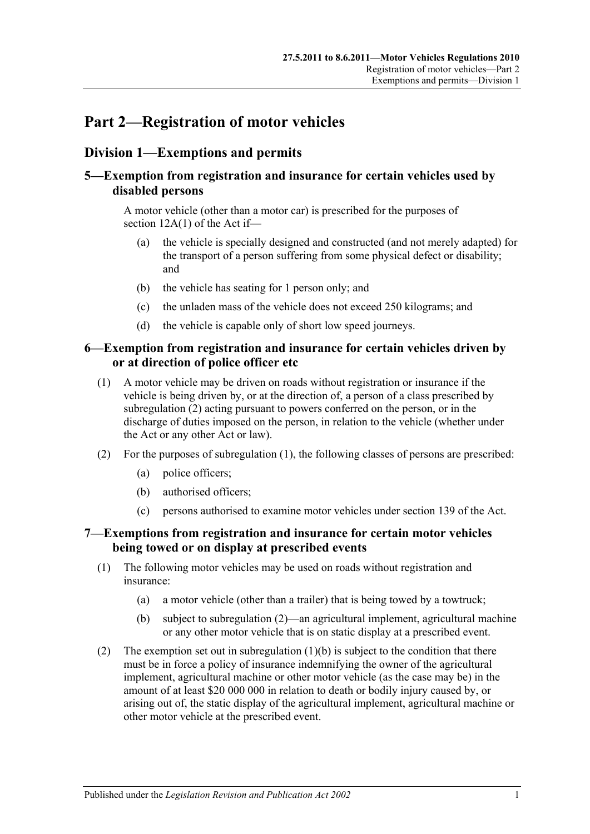# <span id="page-10-0"></span>**Part 2—Registration of motor vehicles**

## <span id="page-10-1"></span>**Division 1—Exemptions and permits**

## <span id="page-10-2"></span>**5—Exemption from registration and insurance for certain vehicles used by disabled persons**

A motor vehicle (other than a motor car) is prescribed for the purposes of section 12A(1) of the Act if—

- (a) the vehicle is specially designed and constructed (and not merely adapted) for the transport of a person suffering from some physical defect or disability; and
- (b) the vehicle has seating for 1 person only; and
- (c) the unladen mass of the vehicle does not exceed 250 kilograms; and
- (d) the vehicle is capable only of short low speed journeys.

### <span id="page-10-3"></span>**6—Exemption from registration and insurance for certain vehicles driven by or at direction of police officer etc**

- <span id="page-10-6"></span>(1) A motor vehicle may be driven on roads without registration or insurance if the vehicle is being driven by, or at the direction of, a person of a class prescribed by [subregulation](#page-10-5) (2) acting pursuant to powers conferred on the person, or in the discharge of duties imposed on the person, in relation to the vehicle (whether under the Act or any other Act or law).
- <span id="page-10-5"></span>(2) For the purposes of [subregulation](#page-10-6) (1), the following classes of persons are prescribed:
	- (a) police officers;
	- (b) authorised officers;
	- (c) persons authorised to examine motor vehicles under section 139 of the Act.

## <span id="page-10-4"></span>**7—Exemptions from registration and insurance for certain motor vehicles being towed or on display at prescribed events**

- (1) The following motor vehicles may be used on roads without registration and insurance:
	- (a) a motor vehicle (other than a trailer) that is being towed by a towtruck;
	- (b) subject to [subregulation](#page-10-7) (2)—an agricultural implement, agricultural machine or any other motor vehicle that is on static display at a prescribed event.
- <span id="page-10-8"></span><span id="page-10-7"></span>(2) The exemption set out in [subregulation](#page-10-8)  $(1)(b)$  is subject to the condition that there must be in force a policy of insurance indemnifying the owner of the agricultural implement, agricultural machine or other motor vehicle (as the case may be) in the amount of at least \$20 000 000 in relation to death or bodily injury caused by, or arising out of, the static display of the agricultural implement, agricultural machine or other motor vehicle at the prescribed event.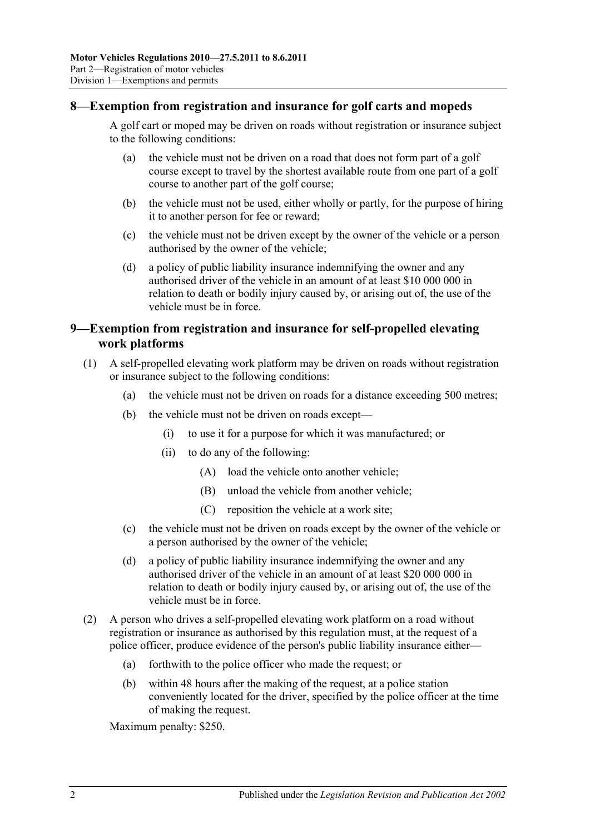#### <span id="page-11-0"></span>**8—Exemption from registration and insurance for golf carts and mopeds**

A golf cart or moped may be driven on roads without registration or insurance subject to the following conditions:

- (a) the vehicle must not be driven on a road that does not form part of a golf course except to travel by the shortest available route from one part of a golf course to another part of the golf course;
- (b) the vehicle must not be used, either wholly or partly, for the purpose of hiring it to another person for fee or reward;
- (c) the vehicle must not be driven except by the owner of the vehicle or a person authorised by the owner of the vehicle;
- (d) a policy of public liability insurance indemnifying the owner and any authorised driver of the vehicle in an amount of at least \$10 000 000 in relation to death or bodily injury caused by, or arising out of, the use of the vehicle must be in force.

### <span id="page-11-1"></span>**9—Exemption from registration and insurance for self-propelled elevating work platforms**

- (1) A self-propelled elevating work platform may be driven on roads without registration or insurance subject to the following conditions:
	- (a) the vehicle must not be driven on roads for a distance exceeding 500 metres;
	- (b) the vehicle must not be driven on roads except—
		- (i) to use it for a purpose for which it was manufactured; or
		- (ii) to do any of the following:
			- (A) load the vehicle onto another vehicle;
			- (B) unload the vehicle from another vehicle;
			- (C) reposition the vehicle at a work site;
	- (c) the vehicle must not be driven on roads except by the owner of the vehicle or a person authorised by the owner of the vehicle;
	- (d) a policy of public liability insurance indemnifying the owner and any authorised driver of the vehicle in an amount of at least \$20 000 000 in relation to death or bodily injury caused by, or arising out of, the use of the vehicle must be in force.
- (2) A person who drives a self-propelled elevating work platform on a road without registration or insurance as authorised by this regulation must, at the request of a police officer, produce evidence of the person's public liability insurance either—
	- (a) forthwith to the police officer who made the request; or
	- (b) within 48 hours after the making of the request, at a police station conveniently located for the driver, specified by the police officer at the time of making the request.

Maximum penalty: \$250.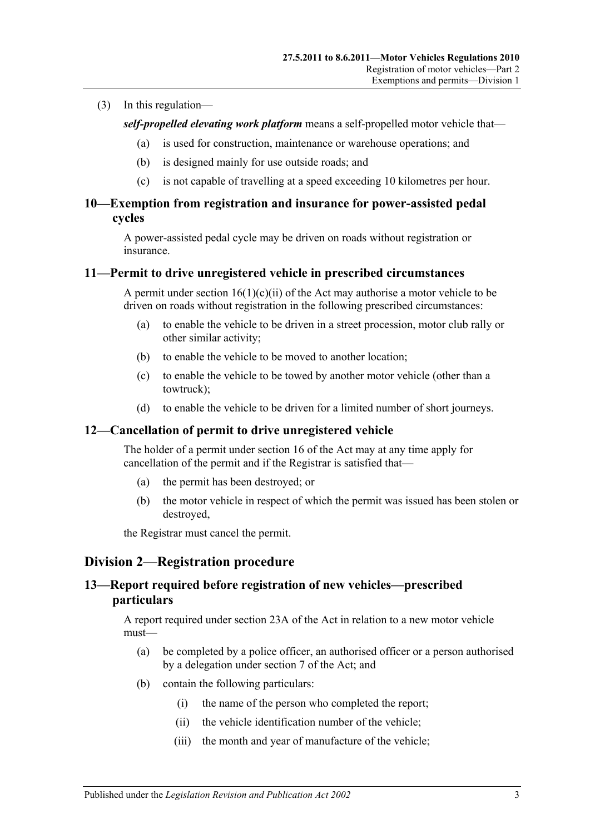#### (3) In this regulation—

*self-propelled elevating work platform* means a self-propelled motor vehicle that—

- (a) is used for construction, maintenance or warehouse operations; and
- (b) is designed mainly for use outside roads; and
- (c) is not capable of travelling at a speed exceeding 10 kilometres per hour.

#### <span id="page-12-0"></span>**10—Exemption from registration and insurance for power-assisted pedal cycles**

A power-assisted pedal cycle may be driven on roads without registration or insurance.

#### <span id="page-12-1"></span>**11—Permit to drive unregistered vehicle in prescribed circumstances**

A permit under section  $16(1)(c)(ii)$  of the Act may authorise a motor vehicle to be driven on roads without registration in the following prescribed circumstances:

- (a) to enable the vehicle to be driven in a street procession, motor club rally or other similar activity;
- (b) to enable the vehicle to be moved to another location;
- (c) to enable the vehicle to be towed by another motor vehicle (other than a towtruck);
- (d) to enable the vehicle to be driven for a limited number of short journeys.

#### <span id="page-12-2"></span>**12—Cancellation of permit to drive unregistered vehicle**

The holder of a permit under section 16 of the Act may at any time apply for cancellation of the permit and if the Registrar is satisfied that—

- (a) the permit has been destroyed; or
- (b) the motor vehicle in respect of which the permit was issued has been stolen or destroyed,

the Registrar must cancel the permit.

## <span id="page-12-3"></span>**Division 2—Registration procedure**

## <span id="page-12-4"></span>**13—Report required before registration of new vehicles—prescribed particulars**

A report required under section 23A of the Act in relation to a new motor vehicle must—

- (a) be completed by a police officer, an authorised officer or a person authorised by a delegation under section 7 of the Act; and
- (b) contain the following particulars:
	- (i) the name of the person who completed the report;
	- (ii) the vehicle identification number of the vehicle;
	- (iii) the month and year of manufacture of the vehicle;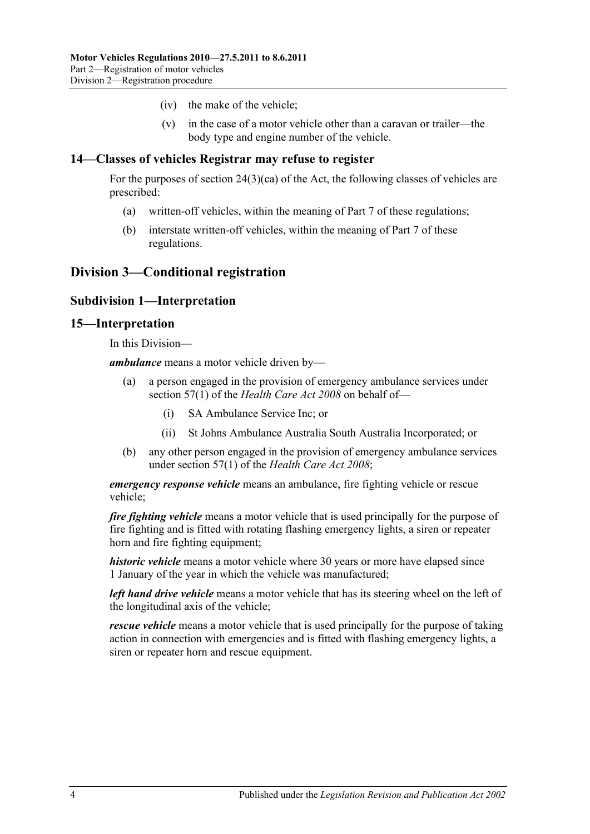- (iv) the make of the vehicle;
- (v) in the case of a motor vehicle other than a caravan or trailer—the body type and engine number of the vehicle.

#### <span id="page-13-0"></span>**14—Classes of vehicles Registrar may refuse to register**

For the purposes of section 24(3)(ca) of the Act, the following classes of vehicles are prescribed:

- (a) written-off vehicles, within the meaning of [Part 7](#page-48-0) of these regulations;
- (b) interstate written-off vehicles, within the meaning of [Part 7](#page-48-0) of these regulations.

## <span id="page-13-2"></span><span id="page-13-1"></span>**Division 3—Conditional registration**

#### **Subdivision 1—Interpretation**

#### <span id="page-13-3"></span>**15—Interpretation**

In this Division—

*ambulance* means a motor vehicle driven by—

- (a) a person engaged in the provision of emergency ambulance services under section 57(1) of the *[Health Care Act](http://www.legislation.sa.gov.au/index.aspx?action=legref&type=act&legtitle=Health%20Care%20Act%202008) 2008* on behalf of—
	- (i) SA Ambulance Service Inc; or
	- (ii) St Johns Ambulance Australia South Australia Incorporated; or
- (b) any other person engaged in the provision of emergency ambulance services under section 57(1) of the *[Health Care Act](http://www.legislation.sa.gov.au/index.aspx?action=legref&type=act&legtitle=Health%20Care%20Act%202008) 2008*;

*emergency response vehicle* means an ambulance, fire fighting vehicle or rescue vehicle;

*fire fighting vehicle* means a motor vehicle that is used principally for the purpose of fire fighting and is fitted with rotating flashing emergency lights, a siren or repeater horn and fire fighting equipment;

*historic vehicle* means a motor vehicle where 30 years or more have elapsed since 1 January of the year in which the vehicle was manufactured;

*left hand drive vehicle* means a motor vehicle that has its steering wheel on the left of the longitudinal axis of the vehicle;

*rescue vehicle* means a motor vehicle that is used principally for the purpose of taking action in connection with emergencies and is fitted with flashing emergency lights, a siren or repeater horn and rescue equipment.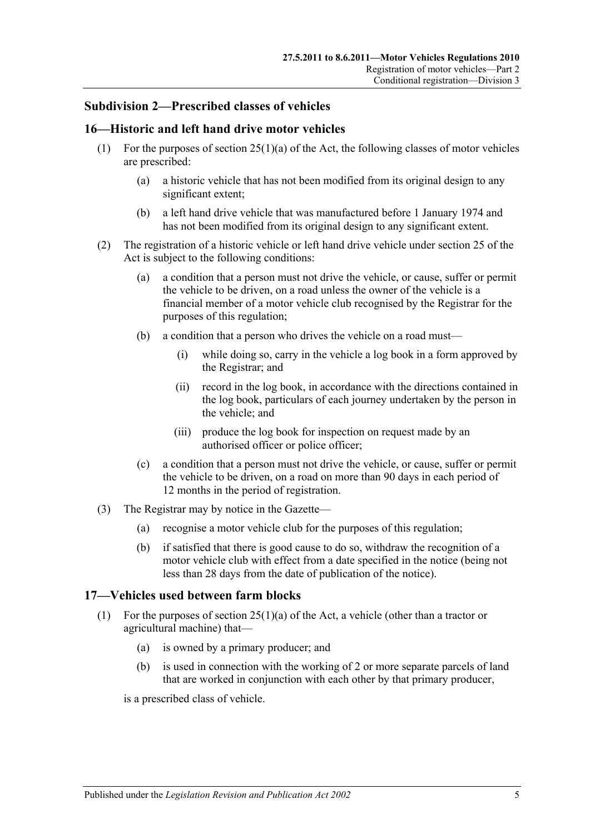#### <span id="page-14-0"></span>**Subdivision 2—Prescribed classes of vehicles**

#### <span id="page-14-1"></span>**16—Historic and left hand drive motor vehicles**

- (1) For the purposes of section 25(1)(a) of the Act, the following classes of motor vehicles are prescribed:
	- (a) a historic vehicle that has not been modified from its original design to any significant extent;
	- (b) a left hand drive vehicle that was manufactured before 1 January 1974 and has not been modified from its original design to any significant extent.
- (2) The registration of a historic vehicle or left hand drive vehicle under section 25 of the Act is subject to the following conditions:
	- (a) a condition that a person must not drive the vehicle, or cause, suffer or permit the vehicle to be driven, on a road unless the owner of the vehicle is a financial member of a motor vehicle club recognised by the Registrar for the purposes of this regulation;
	- (b) a condition that a person who drives the vehicle on a road must—
		- (i) while doing so, carry in the vehicle a log book in a form approved by the Registrar; and
		- (ii) record in the log book, in accordance with the directions contained in the log book, particulars of each journey undertaken by the person in the vehicle; and
		- (iii) produce the log book for inspection on request made by an authorised officer or police officer;
	- (c) a condition that a person must not drive the vehicle, or cause, suffer or permit the vehicle to be driven, on a road on more than 90 days in each period of 12 months in the period of registration.
- (3) The Registrar may by notice in the Gazette—
	- (a) recognise a motor vehicle club for the purposes of this regulation;
	- (b) if satisfied that there is good cause to do so, withdraw the recognition of a motor vehicle club with effect from a date specified in the notice (being not less than 28 days from the date of publication of the notice).

#### <span id="page-14-3"></span><span id="page-14-2"></span>**17—Vehicles used between farm blocks**

- (1) For the purposes of section 25(1)(a) of the Act, a vehicle (other than a tractor or agricultural machine) that—
	- (a) is owned by a primary producer; and
	- (b) is used in connection with the working of 2 or more separate parcels of land that are worked in conjunction with each other by that primary producer,

is a prescribed class of vehicle.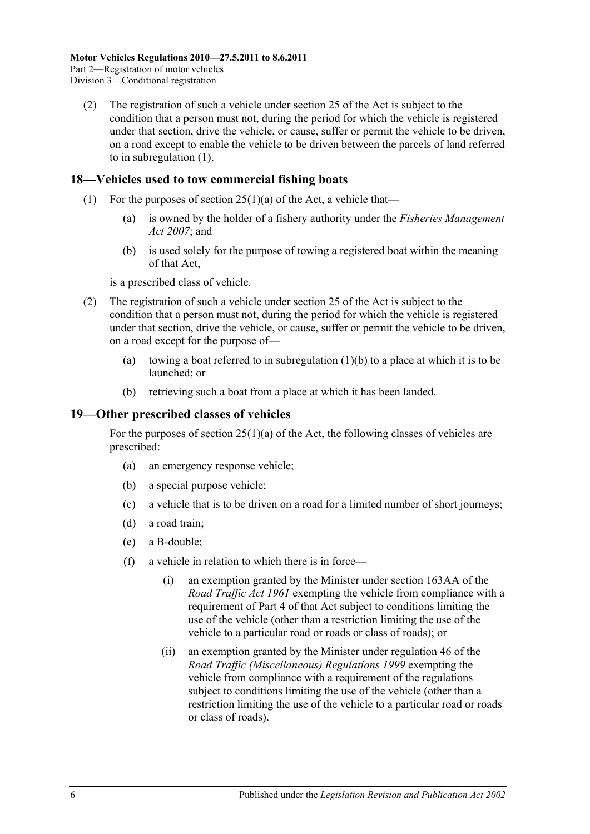(2) The registration of such a vehicle under section 25 of the Act is subject to the condition that a person must not, during the period for which the vehicle is registered under that section, drive the vehicle, or cause, suffer or permit the vehicle to be driven, on a road except to enable the vehicle to be driven between the parcels of land referred to in [subregulation](#page-14-3) (1).

### <span id="page-15-0"></span>**18—Vehicles used to tow commercial fishing boats**

- <span id="page-15-2"></span>(1) For the purposes of section  $25(1)(a)$  of the Act, a vehicle that—
	- (a) is owned by the holder of a fishery authority under the *[Fisheries Management](http://www.legislation.sa.gov.au/index.aspx?action=legref&type=act&legtitle=Fisheries%20Management%20Act%202007)  Act [2007](http://www.legislation.sa.gov.au/index.aspx?action=legref&type=act&legtitle=Fisheries%20Management%20Act%202007)*; and
	- (b) is used solely for the purpose of towing a registered boat within the meaning of that Act,

is a prescribed class of vehicle.

- (2) The registration of such a vehicle under section 25 of the Act is subject to the condition that a person must not, during the period for which the vehicle is registered under that section, drive the vehicle, or cause, suffer or permit the vehicle to be driven, on a road except for the purpose of
	- (a) towing a boat referred to in [subregulation](#page-15-2)  $(1)(b)$  to a place at which it is to be launched; or
	- (b) retrieving such a boat from a place at which it has been landed.

#### <span id="page-15-1"></span>**19—Other prescribed classes of vehicles**

For the purposes of section  $25(1)(a)$  of the Act, the following classes of vehicles are prescribed:

- (a) an emergency response vehicle;
- (b) a special purpose vehicle;
- (c) a vehicle that is to be driven on a road for a limited number of short journeys;
- (d) a road train;
- (e) a B-double;
- <span id="page-15-3"></span>(f) a vehicle in relation to which there is in force—
	- (i) an exemption granted by the Minister under section 163AA of the *[Road Traffic Act](http://www.legislation.sa.gov.au/index.aspx?action=legref&type=act&legtitle=Road%20Traffic%20Act%201961) 1961* exempting the vehicle from compliance with a requirement of Part 4 of that Act subject to conditions limiting the use of the vehicle (other than a restriction limiting the use of the vehicle to a particular road or roads or class of roads); or
	- (ii) an exemption granted by the Minister under regulation 46 of the *[Road Traffic \(Miscellaneous\) Regulations](http://www.legislation.sa.gov.au/index.aspx?action=legref&type=subordleg&legtitle=Road%20Traffic%20(Miscellaneous)%20Regulations%201999) 1999* exempting the vehicle from compliance with a requirement of the regulations subject to conditions limiting the use of the vehicle (other than a restriction limiting the use of the vehicle to a particular road or roads or class of roads).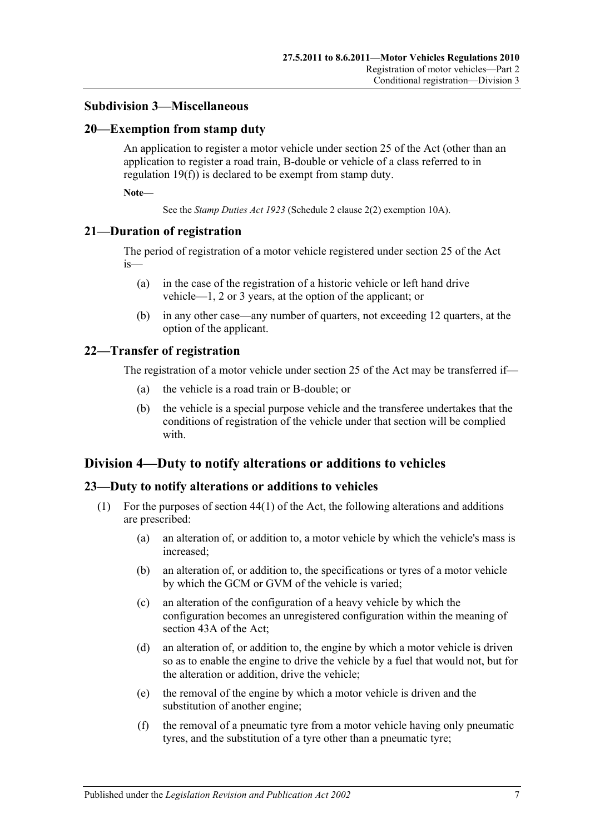#### <span id="page-16-0"></span>**Subdivision 3—Miscellaneous**

#### <span id="page-16-1"></span>**20—Exemption from stamp duty**

An application to register a motor vehicle under section 25 of the Act (other than an application to register a road train, B-double or vehicle of a class referred to in [regulation](#page-15-3) 19(f)) is declared to be exempt from stamp duty.

**Note—**

See the *[Stamp Duties Act](http://www.legislation.sa.gov.au/index.aspx?action=legref&type=act&legtitle=Stamp%20Duties%20Act%201923) 1923* (Schedule 2 clause 2(2) exemption 10A).

#### <span id="page-16-2"></span>**21—Duration of registration**

The period of registration of a motor vehicle registered under section 25 of the Act is—

- (a) in the case of the registration of a historic vehicle or left hand drive vehicle—1, 2 or 3 years, at the option of the applicant; or
- (b) in any other case—any number of quarters, not exceeding 12 quarters, at the option of the applicant.

#### <span id="page-16-3"></span>**22—Transfer of registration**

The registration of a motor vehicle under section 25 of the Act may be transferred if—

- (a) the vehicle is a road train or B-double; or
- (b) the vehicle is a special purpose vehicle and the transferee undertakes that the conditions of registration of the vehicle under that section will be complied with.

## <span id="page-16-4"></span>**Division 4—Duty to notify alterations or additions to vehicles**

#### <span id="page-16-5"></span>**23—Duty to notify alterations or additions to vehicles**

- (1) For the purposes of section  $44(1)$  of the Act, the following alterations and additions are prescribed:
	- (a) an alteration of, or addition to, a motor vehicle by which the vehicle's mass is increased;
	- (b) an alteration of, or addition to, the specifications or tyres of a motor vehicle by which the GCM or GVM of the vehicle is varied;
	- (c) an alteration of the configuration of a heavy vehicle by which the configuration becomes an unregistered configuration within the meaning of section 43A of the Act;
	- (d) an alteration of, or addition to, the engine by which a motor vehicle is driven so as to enable the engine to drive the vehicle by a fuel that would not, but for the alteration or addition, drive the vehicle;
	- (e) the removal of the engine by which a motor vehicle is driven and the substitution of another engine;
	- (f) the removal of a pneumatic tyre from a motor vehicle having only pneumatic tyres, and the substitution of a tyre other than a pneumatic tyre;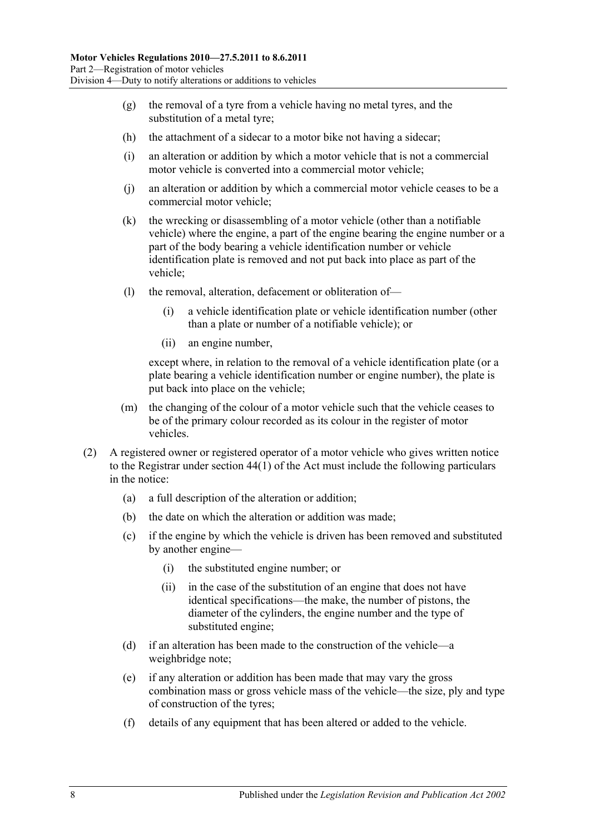- $(g)$  the removal of a tyre from a vehicle having no metal tyres, and the substitution of a metal tyre;
- (h) the attachment of a sidecar to a motor bike not having a sidecar;
- (i) an alteration or addition by which a motor vehicle that is not a commercial motor vehicle is converted into a commercial motor vehicle;
- (j) an alteration or addition by which a commercial motor vehicle ceases to be a commercial motor vehicle;
- (k) the wrecking or disassembling of a motor vehicle (other than a notifiable vehicle) where the engine, a part of the engine bearing the engine number or a part of the body bearing a vehicle identification number or vehicle identification plate is removed and not put back into place as part of the vehicle;
- (l) the removal, alteration, defacement or obliteration of—
	- (i) a vehicle identification plate or vehicle identification number (other than a plate or number of a notifiable vehicle); or
	- (ii) an engine number,

except where, in relation to the removal of a vehicle identification plate (or a plate bearing a vehicle identification number or engine number), the plate is put back into place on the vehicle;

- (m) the changing of the colour of a motor vehicle such that the vehicle ceases to be of the primary colour recorded as its colour in the register of motor vehicles.
- (2) A registered owner or registered operator of a motor vehicle who gives written notice to the Registrar under section 44(1) of the Act must include the following particulars in the notice:
	- (a) a full description of the alteration or addition;
	- (b) the date on which the alteration or addition was made;
	- (c) if the engine by which the vehicle is driven has been removed and substituted by another engine—
		- (i) the substituted engine number; or
		- (ii) in the case of the substitution of an engine that does not have identical specifications—the make, the number of pistons, the diameter of the cylinders, the engine number and the type of substituted engine;
	- (d) if an alteration has been made to the construction of the vehicle—a weighbridge note;
	- (e) if any alteration or addition has been made that may vary the gross combination mass or gross vehicle mass of the vehicle—the size, ply and type of construction of the tyres;
	- (f) details of any equipment that has been altered or added to the vehicle.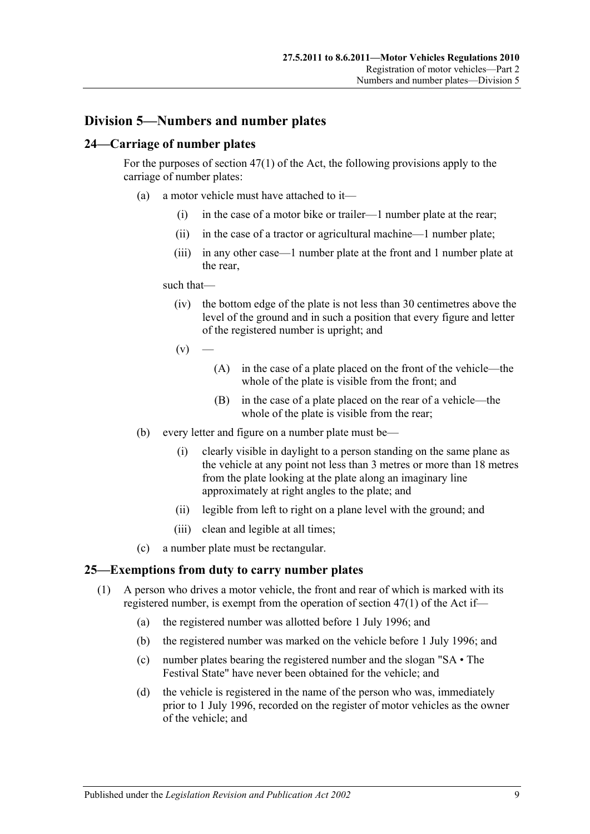## <span id="page-18-0"></span>**Division 5—Numbers and number plates**

#### <span id="page-18-1"></span>**24—Carriage of number plates**

For the purposes of section 47(1) of the Act, the following provisions apply to the carriage of number plates:

- (a) a motor vehicle must have attached to it—
	- (i) in the case of a motor bike or trailer—1 number plate at the rear;
	- (ii) in the case of a tractor or agricultural machine—1 number plate;
	- (iii) in any other case—1 number plate at the front and 1 number plate at the rear,

#### such that—

- (iv) the bottom edge of the plate is not less than 30 centimetres above the level of the ground and in such a position that every figure and letter of the registered number is upright; and
- $(v)$
- (A) in the case of a plate placed on the front of the vehicle—the whole of the plate is visible from the front; and
- (B) in the case of a plate placed on the rear of a vehicle—the whole of the plate is visible from the rear;
- (b) every letter and figure on a number plate must be—
	- (i) clearly visible in daylight to a person standing on the same plane as the vehicle at any point not less than 3 metres or more than 18 metres from the plate looking at the plate along an imaginary line approximately at right angles to the plate; and
	- (ii) legible from left to right on a plane level with the ground; and
	- (iii) clean and legible at all times;
- (c) a number plate must be rectangular.

#### <span id="page-18-2"></span>**25—Exemptions from duty to carry number plates**

- (1) A person who drives a motor vehicle, the front and rear of which is marked with its registered number, is exempt from the operation of section 47(1) of the Act if—
	- (a) the registered number was allotted before 1 July 1996; and
	- (b) the registered number was marked on the vehicle before 1 July 1996; and
	- (c) number plates bearing the registered number and the slogan "SA The Festival State" have never been obtained for the vehicle; and
	- (d) the vehicle is registered in the name of the person who was, immediately prior to 1 July 1996, recorded on the register of motor vehicles as the owner of the vehicle; and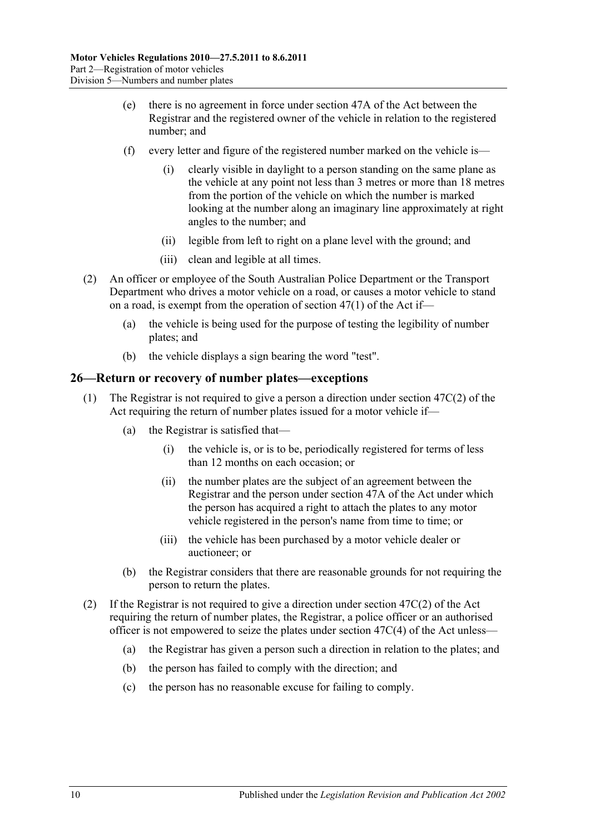- (e) there is no agreement in force under section 47A of the Act between the Registrar and the registered owner of the vehicle in relation to the registered number; and
- (f) every letter and figure of the registered number marked on the vehicle is
	- clearly visible in daylight to a person standing on the same plane as the vehicle at any point not less than 3 metres or more than 18 metres from the portion of the vehicle on which the number is marked looking at the number along an imaginary line approximately at right angles to the number; and
	- (ii) legible from left to right on a plane level with the ground; and
	- (iii) clean and legible at all times.
- (2) An officer or employee of the South Australian Police Department or the Transport Department who drives a motor vehicle on a road, or causes a motor vehicle to stand on a road, is exempt from the operation of section 47(1) of the Act if—
	- (a) the vehicle is being used for the purpose of testing the legibility of number plates; and
	- (b) the vehicle displays a sign bearing the word "test".

#### <span id="page-19-0"></span>**26—Return or recovery of number plates—exceptions**

- (1) The Registrar is not required to give a person a direction under section 47C(2) of the Act requiring the return of number plates issued for a motor vehicle if—
	- (a) the Registrar is satisfied that—
		- (i) the vehicle is, or is to be, periodically registered for terms of less than 12 months on each occasion; or
		- (ii) the number plates are the subject of an agreement between the Registrar and the person under section 47A of the Act under which the person has acquired a right to attach the plates to any motor vehicle registered in the person's name from time to time; or
		- (iii) the vehicle has been purchased by a motor vehicle dealer or auctioneer; or
	- (b) the Registrar considers that there are reasonable grounds for not requiring the person to return the plates.
- (2) If the Registrar is not required to give a direction under section 47C(2) of the Act requiring the return of number plates, the Registrar, a police officer or an authorised officer is not empowered to seize the plates under section 47C(4) of the Act unless—
	- (a) the Registrar has given a person such a direction in relation to the plates; and
	- (b) the person has failed to comply with the direction; and
	- (c) the person has no reasonable excuse for failing to comply.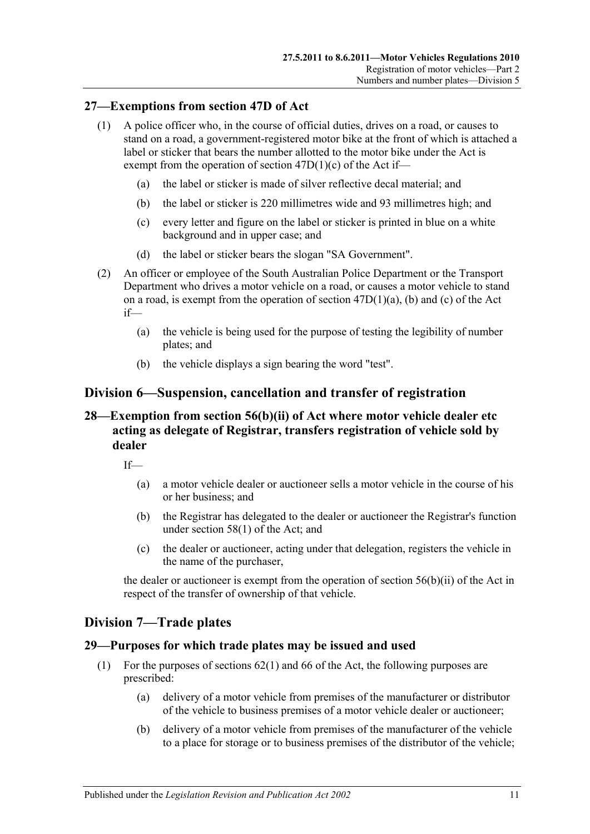#### <span id="page-20-0"></span>**27—Exemptions from section 47D of Act**

- (1) A police officer who, in the course of official duties, drives on a road, or causes to stand on a road, a government-registered motor bike at the front of which is attached a label or sticker that bears the number allotted to the motor bike under the Act is exempt from the operation of section  $47D(1)(c)$  of the Act if-
	- (a) the label or sticker is made of silver reflective decal material; and
	- (b) the label or sticker is 220 millimetres wide and 93 millimetres high; and
	- (c) every letter and figure on the label or sticker is printed in blue on a white background and in upper case; and
	- (d) the label or sticker bears the slogan "SA Government".
- (2) An officer or employee of the South Australian Police Department or the Transport Department who drives a motor vehicle on a road, or causes a motor vehicle to stand on a road, is exempt from the operation of section 47D(1)(a), (b) and (c) of the Act if—
	- (a) the vehicle is being used for the purpose of testing the legibility of number plates; and
	- (b) the vehicle displays a sign bearing the word "test".

## <span id="page-20-1"></span>**Division 6—Suspension, cancellation and transfer of registration**

## <span id="page-20-2"></span>**28—Exemption from section 56(b)(ii) of Act where motor vehicle dealer etc acting as delegate of Registrar, transfers registration of vehicle sold by dealer**

 $If$ <sub>—</sub>

- (a) a motor vehicle dealer or auctioneer sells a motor vehicle in the course of his or her business; and
- (b) the Registrar has delegated to the dealer or auctioneer the Registrar's function under section 58(1) of the Act; and
- (c) the dealer or auctioneer, acting under that delegation, registers the vehicle in the name of the purchaser,

the dealer or auctioneer is exempt from the operation of section  $56(b)(ii)$  of the Act in respect of the transfer of ownership of that vehicle.

#### <span id="page-20-3"></span>**Division 7—Trade plates**

#### <span id="page-20-4"></span>**29—Purposes for which trade plates may be issued and used**

- (1) For the purposes of sections 62(1) and 66 of the Act, the following purposes are prescribed:
	- (a) delivery of a motor vehicle from premises of the manufacturer or distributor of the vehicle to business premises of a motor vehicle dealer or auctioneer;
	- (b) delivery of a motor vehicle from premises of the manufacturer of the vehicle to a place for storage or to business premises of the distributor of the vehicle;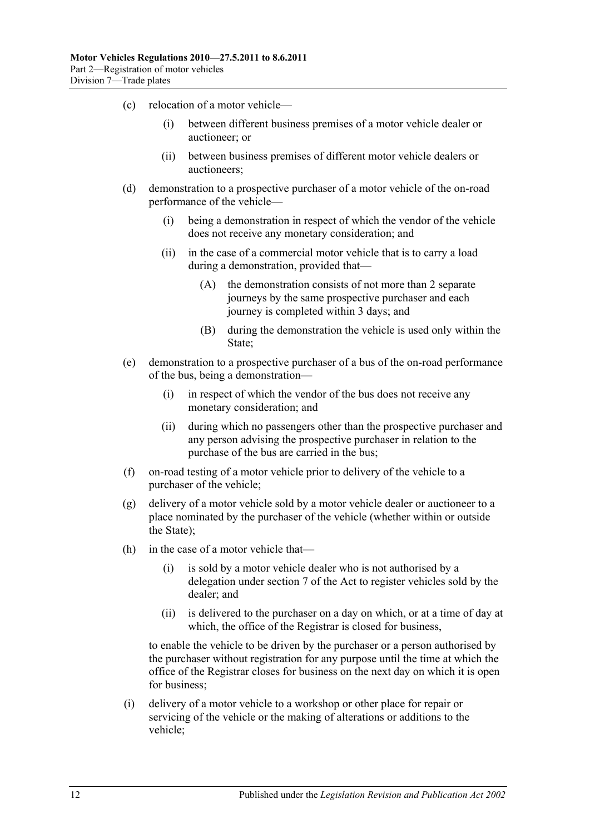- (c) relocation of a motor vehicle—
	- (i) between different business premises of a motor vehicle dealer or auctioneer; or
	- (ii) between business premises of different motor vehicle dealers or auctioneers;
- (d) demonstration to a prospective purchaser of a motor vehicle of the on-road performance of the vehicle—
	- (i) being a demonstration in respect of which the vendor of the vehicle does not receive any monetary consideration; and
	- (ii) in the case of a commercial motor vehicle that is to carry a load during a demonstration, provided that—
		- (A) the demonstration consists of not more than 2 separate journeys by the same prospective purchaser and each journey is completed within 3 days; and
		- (B) during the demonstration the vehicle is used only within the State;
- (e) demonstration to a prospective purchaser of a bus of the on-road performance of the bus, being a demonstration—
	- (i) in respect of which the vendor of the bus does not receive any monetary consideration; and
	- (ii) during which no passengers other than the prospective purchaser and any person advising the prospective purchaser in relation to the purchase of the bus are carried in the bus;
- (f) on-road testing of a motor vehicle prior to delivery of the vehicle to a purchaser of the vehicle;
- (g) delivery of a motor vehicle sold by a motor vehicle dealer or auctioneer to a place nominated by the purchaser of the vehicle (whether within or outside the State);
- (h) in the case of a motor vehicle that—
	- (i) is sold by a motor vehicle dealer who is not authorised by a delegation under section 7 of the Act to register vehicles sold by the dealer; and
	- (ii) is delivered to the purchaser on a day on which, or at a time of day at which, the office of the Registrar is closed for business,

to enable the vehicle to be driven by the purchaser or a person authorised by the purchaser without registration for any purpose until the time at which the office of the Registrar closes for business on the next day on which it is open for business;

(i) delivery of a motor vehicle to a workshop or other place for repair or servicing of the vehicle or the making of alterations or additions to the vehicle;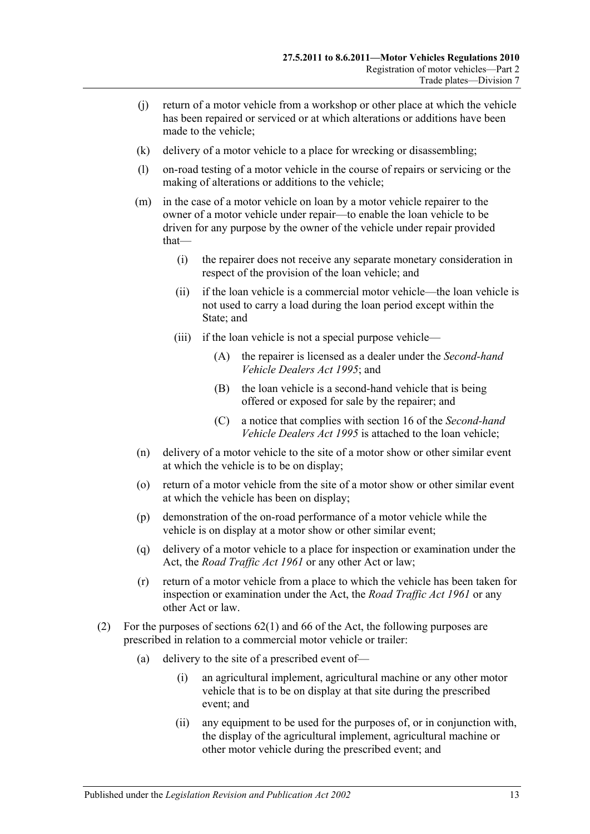- (j) return of a motor vehicle from a workshop or other place at which the vehicle has been repaired or serviced or at which alterations or additions have been made to the vehicle;
- (k) delivery of a motor vehicle to a place for wrecking or disassembling;
- (l) on-road testing of a motor vehicle in the course of repairs or servicing or the making of alterations or additions to the vehicle;
- (m) in the case of a motor vehicle on loan by a motor vehicle repairer to the owner of a motor vehicle under repair—to enable the loan vehicle to be driven for any purpose by the owner of the vehicle under repair provided that—
	- (i) the repairer does not receive any separate monetary consideration in respect of the provision of the loan vehicle; and
	- (ii) if the loan vehicle is a commercial motor vehicle—the loan vehicle is not used to carry a load during the loan period except within the State; and
	- (iii) if the loan vehicle is not a special purpose vehicle—
		- (A) the repairer is licensed as a dealer under the *[Second-hand](http://www.legislation.sa.gov.au/index.aspx?action=legref&type=act&legtitle=Second-hand%20Vehicle%20Dealers%20Act%201995)  [Vehicle Dealers Act](http://www.legislation.sa.gov.au/index.aspx?action=legref&type=act&legtitle=Second-hand%20Vehicle%20Dealers%20Act%201995) 1995*; and
		- (B) the loan vehicle is a second-hand vehicle that is being offered or exposed for sale by the repairer; and
		- (C) a notice that complies with section 16 of the *[Second-hand](http://www.legislation.sa.gov.au/index.aspx?action=legref&type=act&legtitle=Second-hand%20Vehicle%20Dealers%20Act%201995)  [Vehicle Dealers Act](http://www.legislation.sa.gov.au/index.aspx?action=legref&type=act&legtitle=Second-hand%20Vehicle%20Dealers%20Act%201995) 1995* is attached to the loan vehicle;
- (n) delivery of a motor vehicle to the site of a motor show or other similar event at which the vehicle is to be on display;
- (o) return of a motor vehicle from the site of a motor show or other similar event at which the vehicle has been on display;
- (p) demonstration of the on-road performance of a motor vehicle while the vehicle is on display at a motor show or other similar event;
- (q) delivery of a motor vehicle to a place for inspection or examination under the Act, the *[Road Traffic Act](http://www.legislation.sa.gov.au/index.aspx?action=legref&type=act&legtitle=Road%20Traffic%20Act%201961) 1961* or any other Act or law;
- (r) return of a motor vehicle from a place to which the vehicle has been taken for inspection or examination under the Act, the *[Road Traffic Act](http://www.legislation.sa.gov.au/index.aspx?action=legref&type=act&legtitle=Road%20Traffic%20Act%201961) 1961* or any other Act or law.
- (2) For the purposes of sections 62(1) and 66 of the Act, the following purposes are prescribed in relation to a commercial motor vehicle or trailer:
	- (a) delivery to the site of a prescribed event of—
		- (i) an agricultural implement, agricultural machine or any other motor vehicle that is to be on display at that site during the prescribed event; and
		- (ii) any equipment to be used for the purposes of, or in conjunction with, the display of the agricultural implement, agricultural machine or other motor vehicle during the prescribed event; and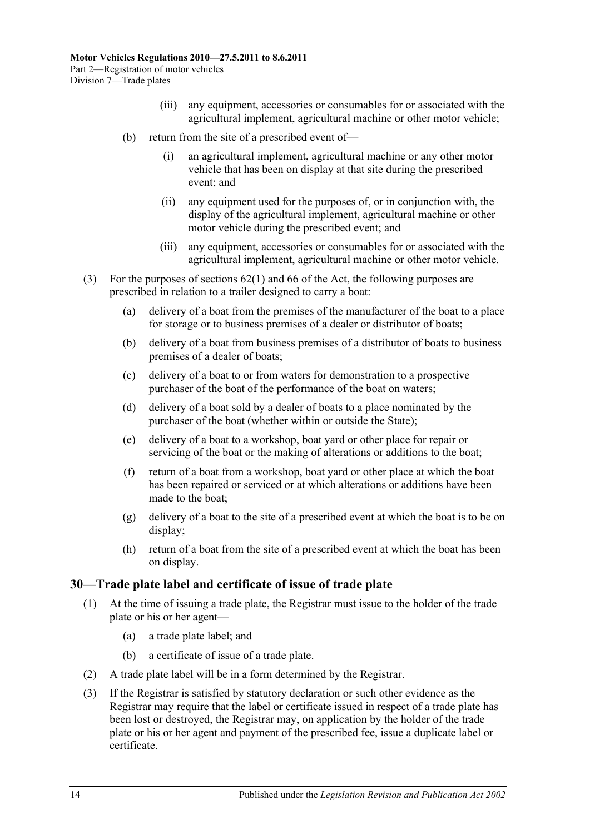- (iii) any equipment, accessories or consumables for or associated with the agricultural implement, agricultural machine or other motor vehicle;
- (b) return from the site of a prescribed event of—
	- (i) an agricultural implement, agricultural machine or any other motor vehicle that has been on display at that site during the prescribed event; and
	- (ii) any equipment used for the purposes of, or in conjunction with, the display of the agricultural implement, agricultural machine or other motor vehicle during the prescribed event; and
	- (iii) any equipment, accessories or consumables for or associated with the agricultural implement, agricultural machine or other motor vehicle.
- (3) For the purposes of sections 62(1) and 66 of the Act, the following purposes are prescribed in relation to a trailer designed to carry a boat:
	- (a) delivery of a boat from the premises of the manufacturer of the boat to a place for storage or to business premises of a dealer or distributor of boats;
	- (b) delivery of a boat from business premises of a distributor of boats to business premises of a dealer of boats;
	- (c) delivery of a boat to or from waters for demonstration to a prospective purchaser of the boat of the performance of the boat on waters;
	- (d) delivery of a boat sold by a dealer of boats to a place nominated by the purchaser of the boat (whether within or outside the State);
	- (e) delivery of a boat to a workshop, boat yard or other place for repair or servicing of the boat or the making of alterations or additions to the boat;
	- (f) return of a boat from a workshop, boat yard or other place at which the boat has been repaired or serviced or at which alterations or additions have been made to the boat;
	- (g) delivery of a boat to the site of a prescribed event at which the boat is to be on display;
	- (h) return of a boat from the site of a prescribed event at which the boat has been on display.

#### <span id="page-23-0"></span>**30—Trade plate label and certificate of issue of trade plate**

- (1) At the time of issuing a trade plate, the Registrar must issue to the holder of the trade plate or his or her agent—
	- (a) a trade plate label; and
	- (b) a certificate of issue of a trade plate.
- (2) A trade plate label will be in a form determined by the Registrar.
- (3) If the Registrar is satisfied by statutory declaration or such other evidence as the Registrar may require that the label or certificate issued in respect of a trade plate has been lost or destroyed, the Registrar may, on application by the holder of the trade plate or his or her agent and payment of the prescribed fee, issue a duplicate label or certificate.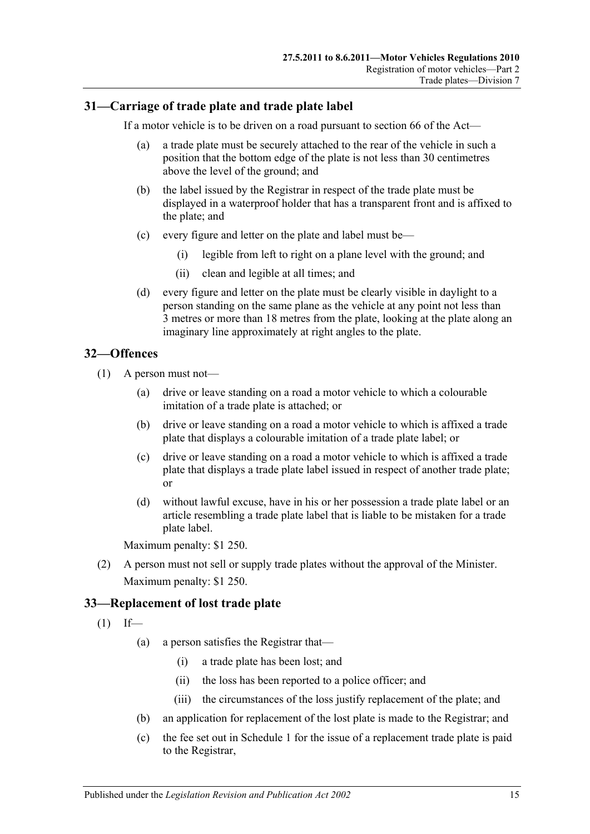## <span id="page-24-0"></span>**31—Carriage of trade plate and trade plate label**

If a motor vehicle is to be driven on a road pursuant to section 66 of the Act—

- (a) a trade plate must be securely attached to the rear of the vehicle in such a position that the bottom edge of the plate is not less than 30 centimetres above the level of the ground; and
- (b) the label issued by the Registrar in respect of the trade plate must be displayed in a waterproof holder that has a transparent front and is affixed to the plate; and
- (c) every figure and letter on the plate and label must be—
	- (i) legible from left to right on a plane level with the ground; and
	- (ii) clean and legible at all times; and
- (d) every figure and letter on the plate must be clearly visible in daylight to a person standing on the same plane as the vehicle at any point not less than 3 metres or more than 18 metres from the plate, looking at the plate along an imaginary line approximately at right angles to the plate.

#### <span id="page-24-1"></span>**32—Offences**

- (1) A person must not—
	- (a) drive or leave standing on a road a motor vehicle to which a colourable imitation of a trade plate is attached; or
	- (b) drive or leave standing on a road a motor vehicle to which is affixed a trade plate that displays a colourable imitation of a trade plate label; or
	- (c) drive or leave standing on a road a motor vehicle to which is affixed a trade plate that displays a trade plate label issued in respect of another trade plate; or
	- (d) without lawful excuse, have in his or her possession a trade plate label or an article resembling a trade plate label that is liable to be mistaken for a trade plate label.

Maximum penalty: \$1 250.

(2) A person must not sell or supply trade plates without the approval of the Minister. Maximum penalty: \$1 250.

#### <span id="page-24-2"></span>**33—Replacement of lost trade plate**

<span id="page-24-3"></span> $(1)$  If—

- (a) a person satisfies the Registrar that—
	- (i) a trade plate has been lost; and
	- (ii) the loss has been reported to a police officer; and
	- (iii) the circumstances of the loss justify replacement of the plate; and
- (b) an application for replacement of the lost plate is made to the Registrar; and
- (c) the fee set out in [Schedule 1](#page-66-0) for the issue of a replacement trade plate is paid to the Registrar,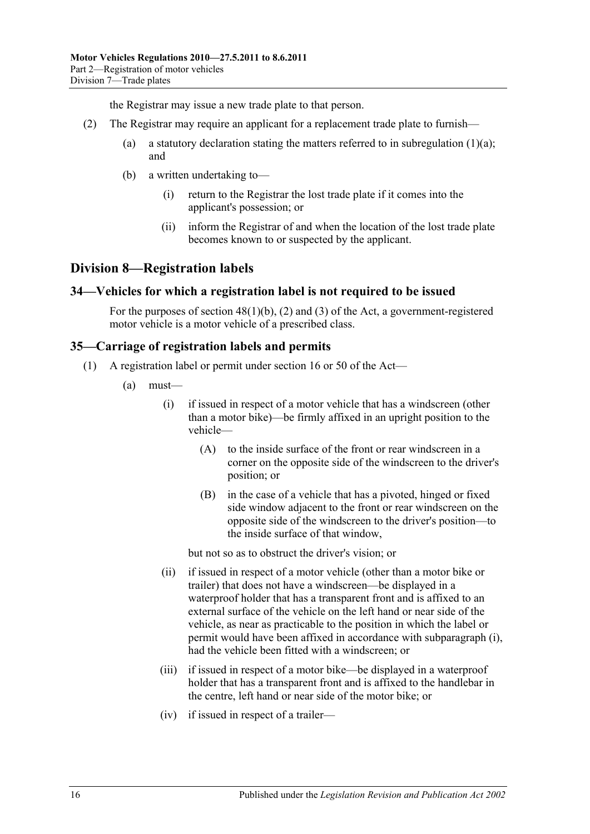the Registrar may issue a new trade plate to that person.

- (2) The Registrar may require an applicant for a replacement trade plate to furnish
	- (a) a statutory declaration stating the matters referred to in [subregulation](#page-24-3)  $(1)(a)$ ; and
	- (b) a written undertaking to—
		- (i) return to the Registrar the lost trade plate if it comes into the applicant's possession; or
		- (ii) inform the Registrar of and when the location of the lost trade plate becomes known to or suspected by the applicant.

## <span id="page-25-0"></span>**Division 8—Registration labels**

#### <span id="page-25-1"></span>**34—Vehicles for which a registration label is not required to be issued**

For the purposes of section  $48(1)(b)$ , (2) and (3) of the Act, a government-registered motor vehicle is a motor vehicle of a prescribed class.

#### <span id="page-25-4"></span><span id="page-25-2"></span>**35—Carriage of registration labels and permits**

- <span id="page-25-3"></span>(1) A registration label or permit under section 16 or 50 of the Act—
	- (a) must—
		- (i) if issued in respect of a motor vehicle that has a windscreen (other than a motor bike)—be firmly affixed in an upright position to the vehicle—
			- (A) to the inside surface of the front or rear windscreen in a corner on the opposite side of the windscreen to the driver's position; or
			- (B) in the case of a vehicle that has a pivoted, hinged or fixed side window adjacent to the front or rear windscreen on the opposite side of the windscreen to the driver's position—to the inside surface of that window,

but not so as to obstruct the driver's vision; or

- (ii) if issued in respect of a motor vehicle (other than a motor bike or trailer) that does not have a windscreen—be displayed in a waterproof holder that has a transparent front and is affixed to an external surface of the vehicle on the left hand or near side of the vehicle, as near as practicable to the position in which the label or permit would have been affixed in accordance with [subparagraph](#page-25-3) (i), had the vehicle been fitted with a windscreen; or
- (iii) if issued in respect of a motor bike—be displayed in a waterproof holder that has a transparent front and is affixed to the handlebar in the centre, left hand or near side of the motor bike; or
- (iv) if issued in respect of a trailer—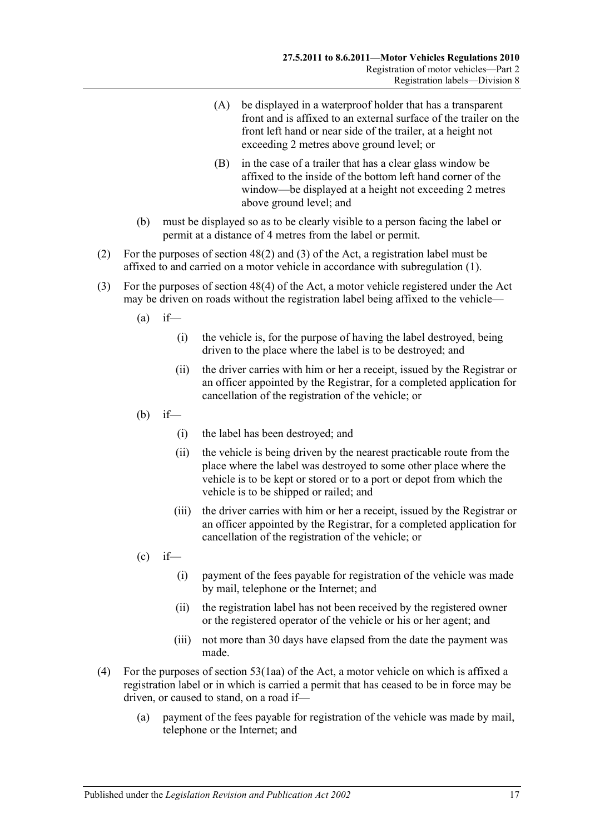- (A) be displayed in a waterproof holder that has a transparent front and is affixed to an external surface of the trailer on the front left hand or near side of the trailer, at a height not exceeding 2 metres above ground level; or
- (B) in the case of a trailer that has a clear glass window be affixed to the inside of the bottom left hand corner of the window—be displayed at a height not exceeding 2 metres above ground level; and
- (b) must be displayed so as to be clearly visible to a person facing the label or permit at a distance of 4 metres from the label or permit.
- (2) For the purposes of section 48(2) and (3) of the Act, a registration label must be affixed to and carried on a motor vehicle in accordance with [subregulation](#page-25-4) (1).
- (3) For the purposes of section 48(4) of the Act, a motor vehicle registered under the Act may be driven on roads without the registration label being affixed to the vehicle—
	- $(a)$  if—
		- (i) the vehicle is, for the purpose of having the label destroyed, being driven to the place where the label is to be destroyed; and
		- (ii) the driver carries with him or her a receipt, issued by the Registrar or an officer appointed by the Registrar, for a completed application for cancellation of the registration of the vehicle; or
	- $(b)$  if—
		- (i) the label has been destroyed; and
		- (ii) the vehicle is being driven by the nearest practicable route from the place where the label was destroyed to some other place where the vehicle is to be kept or stored or to a port or depot from which the vehicle is to be shipped or railed; and
		- (iii) the driver carries with him or her a receipt, issued by the Registrar or an officer appointed by the Registrar, for a completed application for cancellation of the registration of the vehicle; or
	- $\left( c \right)$  if  $\leftarrow$ 
		- (i) payment of the fees payable for registration of the vehicle was made by mail, telephone or the Internet; and
		- (ii) the registration label has not been received by the registered owner or the registered operator of the vehicle or his or her agent; and
		- (iii) not more than 30 days have elapsed from the date the payment was made.
- (4) For the purposes of section 53(1aa) of the Act, a motor vehicle on which is affixed a registration label or in which is carried a permit that has ceased to be in force may be driven, or caused to stand, on a road if—
	- (a) payment of the fees payable for registration of the vehicle was made by mail, telephone or the Internet; and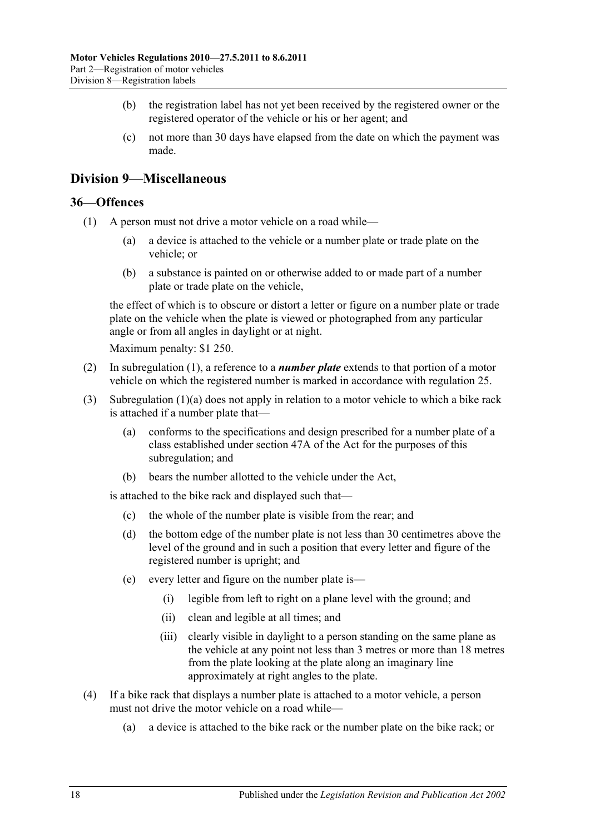- (b) the registration label has not yet been received by the registered owner or the registered operator of the vehicle or his or her agent; and
- (c) not more than 30 days have elapsed from the date on which the payment was made.

## <span id="page-27-0"></span>**Division 9—Miscellaneous**

#### <span id="page-27-2"></span><span id="page-27-1"></span>**36—Offences**

- <span id="page-27-3"></span>(1) A person must not drive a motor vehicle on a road while—
	- (a) a device is attached to the vehicle or a number plate or trade plate on the vehicle; or
	- (b) a substance is painted on or otherwise added to or made part of a number plate or trade plate on the vehicle,

the effect of which is to obscure or distort a letter or figure on a number plate or trade plate on the vehicle when the plate is viewed or photographed from any particular angle or from all angles in daylight or at night.

Maximum penalty: \$1 250.

- (2) In [subregulation](#page-27-2) (1), a reference to a *number plate* extends to that portion of a motor vehicle on which the registered number is marked in accordance with [regulation](#page-18-2) 25.
- (3) [Subregulation](#page-27-3) (1)(a) does not apply in relation to a motor vehicle to which a bike rack is attached if a number plate that—
	- (a) conforms to the specifications and design prescribed for a number plate of a class established under section 47A of the Act for the purposes of this subregulation; and
	- (b) bears the number allotted to the vehicle under the Act,

is attached to the bike rack and displayed such that—

- (c) the whole of the number plate is visible from the rear; and
- (d) the bottom edge of the number plate is not less than 30 centimetres above the level of the ground and in such a position that every letter and figure of the registered number is upright; and
- (e) every letter and figure on the number plate is—
	- (i) legible from left to right on a plane level with the ground; and
	- (ii) clean and legible at all times; and
	- (iii) clearly visible in daylight to a person standing on the same plane as the vehicle at any point not less than 3 metres or more than 18 metres from the plate looking at the plate along an imaginary line approximately at right angles to the plate.
- (4) If a bike rack that displays a number plate is attached to a motor vehicle, a person must not drive the motor vehicle on a road while—
	- (a) a device is attached to the bike rack or the number plate on the bike rack; or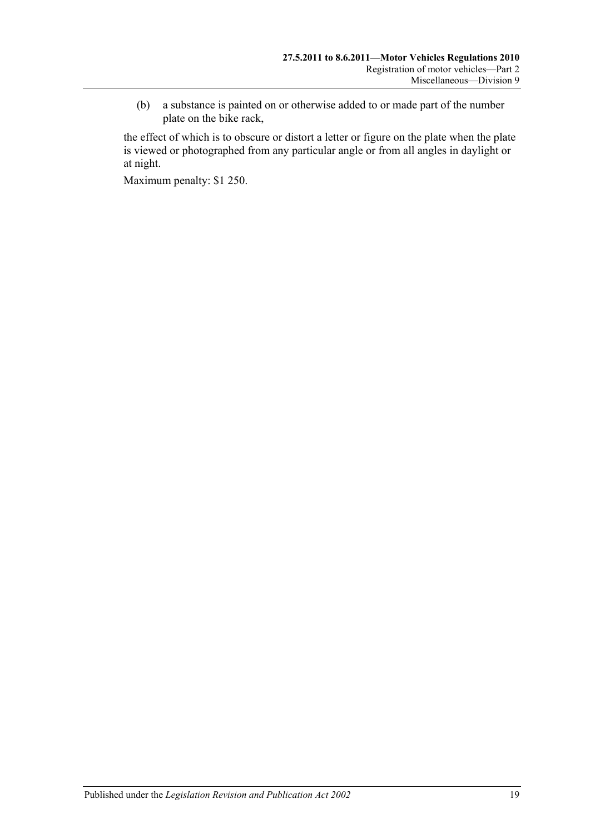(b) a substance is painted on or otherwise added to or made part of the number plate on the bike rack,

the effect of which is to obscure or distort a letter or figure on the plate when the plate is viewed or photographed from any particular angle or from all angles in daylight or at night.

Maximum penalty: \$1 250.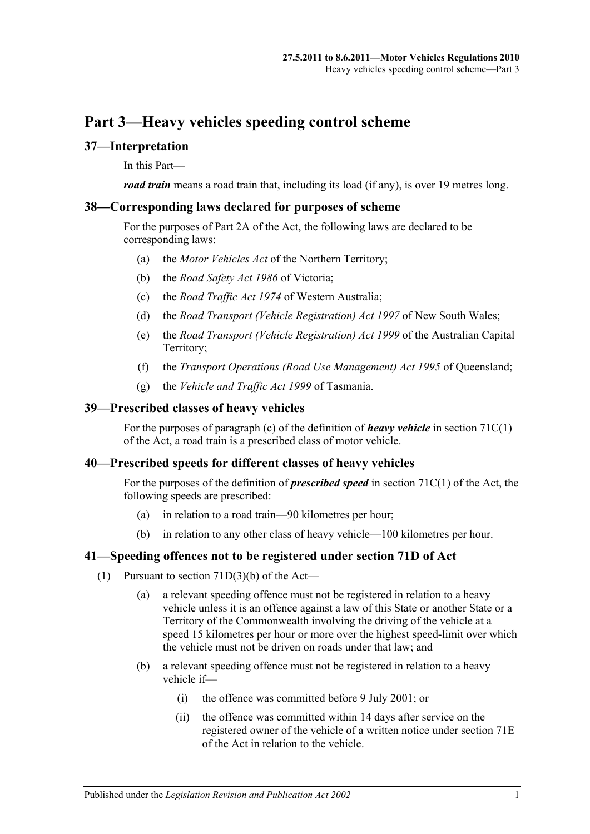## <span id="page-30-0"></span>**Part 3—Heavy vehicles speeding control scheme**

### <span id="page-30-1"></span>**37—Interpretation**

In this Part—

*road train* means a road train that, including its load (if any), is over 19 metres long.

#### <span id="page-30-2"></span>**38—Corresponding laws declared for purposes of scheme**

For the purposes of Part 2A of the Act, the following laws are declared to be corresponding laws:

- (a) the *Motor Vehicles Act* of the Northern Territory;
- (b) the *Road Safety Act 1986* of Victoria;
- (c) the *Road Traffic Act 1974* of Western Australia;
- (d) the *Road Transport (Vehicle Registration) Act 1997* of New South Wales;
- (e) the *Road Transport (Vehicle Registration) Act 1999* of the Australian Capital Territory;
- (f) the *Transport Operations (Road Use Management) Act 1995* of Queensland;
- (g) the *Vehicle and Traffic Act 1999* of Tasmania.

#### <span id="page-30-3"></span>**39—Prescribed classes of heavy vehicles**

For the purposes of paragraph (c) of the definition of *heavy vehicle* in section 71C(1) of the Act, a road train is a prescribed class of motor vehicle.

#### <span id="page-30-4"></span>**40—Prescribed speeds for different classes of heavy vehicles**

For the purposes of the definition of *prescribed speed* in section 71C(1) of the Act, the following speeds are prescribed:

- (a) in relation to a road train—90 kilometres per hour;
- (b) in relation to any other class of heavy vehicle—100 kilometres per hour.

#### <span id="page-30-5"></span>**41—Speeding offences not to be registered under section 71D of Act**

- (1) Pursuant to section  $71D(3)(b)$  of the Act—
	- (a) a relevant speeding offence must not be registered in relation to a heavy vehicle unless it is an offence against a law of this State or another State or a Territory of the Commonwealth involving the driving of the vehicle at a speed 15 kilometres per hour or more over the highest speed-limit over which the vehicle must not be driven on roads under that law; and
	- (b) a relevant speeding offence must not be registered in relation to a heavy vehicle if—
		- (i) the offence was committed before 9 July 2001; or
		- (ii) the offence was committed within 14 days after service on the registered owner of the vehicle of a written notice under section 71E of the Act in relation to the vehicle.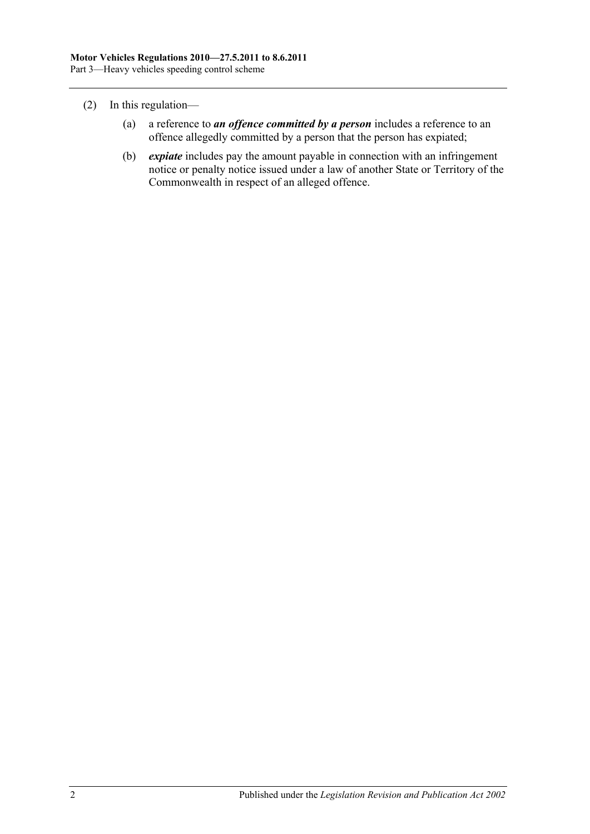- (2) In this regulation—
	- (a) a reference to *an offence committed by a person* includes a reference to an offence allegedly committed by a person that the person has expiated;
	- (b) *expiate* includes pay the amount payable in connection with an infringement notice or penalty notice issued under a law of another State or Territory of the Commonwealth in respect of an alleged offence.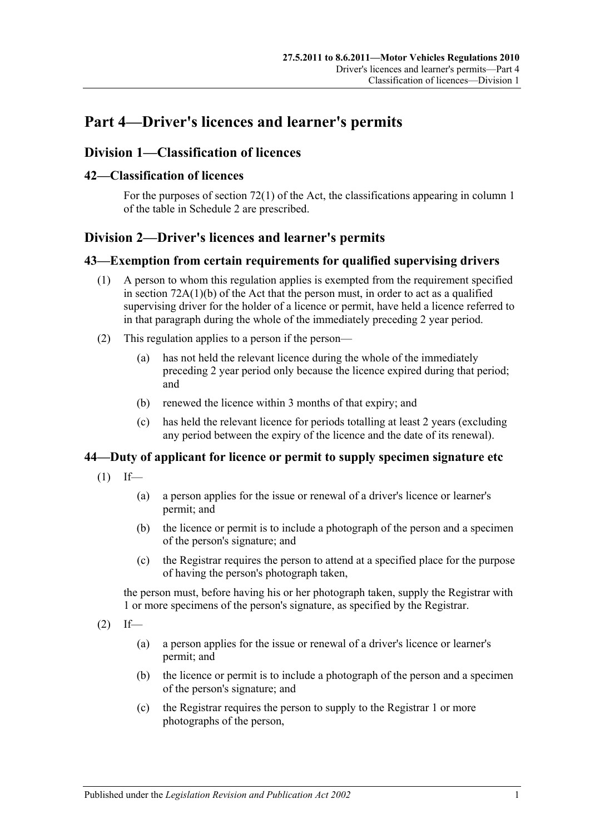## <span id="page-32-0"></span>**Part 4—Driver's licences and learner's permits**

## <span id="page-32-1"></span>**Division 1—Classification of licences**

## <span id="page-32-2"></span>**42—Classification of licences**

For the purposes of section 72(1) of the Act, the classifications appearing in column 1 of the table in [Schedule 2](#page-76-0) are prescribed.

## <span id="page-32-3"></span>**Division 2—Driver's licences and learner's permits**

#### <span id="page-32-4"></span>**43—Exemption from certain requirements for qualified supervising drivers**

- (1) A person to whom this regulation applies is exempted from the requirement specified in section 72A(1)(b) of the Act that the person must, in order to act as a qualified supervising driver for the holder of a licence or permit, have held a licence referred to in that paragraph during the whole of the immediately preceding 2 year period.
- (2) This regulation applies to a person if the person—
	- (a) has not held the relevant licence during the whole of the immediately preceding 2 year period only because the licence expired during that period; and
	- (b) renewed the licence within 3 months of that expiry; and
	- (c) has held the relevant licence for periods totalling at least 2 years (excluding any period between the expiry of the licence and the date of its renewal).

## <span id="page-32-5"></span>**44—Duty of applicant for licence or permit to supply specimen signature etc**

- $(1)$  If—
	- (a) a person applies for the issue or renewal of a driver's licence or learner's permit; and
	- (b) the licence or permit is to include a photograph of the person and a specimen of the person's signature; and
	- (c) the Registrar requires the person to attend at a specified place for the purpose of having the person's photograph taken,

the person must, before having his or her photograph taken, supply the Registrar with 1 or more specimens of the person's signature, as specified by the Registrar.

- $(2)$  If—
	- (a) a person applies for the issue or renewal of a driver's licence or learner's permit; and
	- (b) the licence or permit is to include a photograph of the person and a specimen of the person's signature; and
	- (c) the Registrar requires the person to supply to the Registrar 1 or more photographs of the person,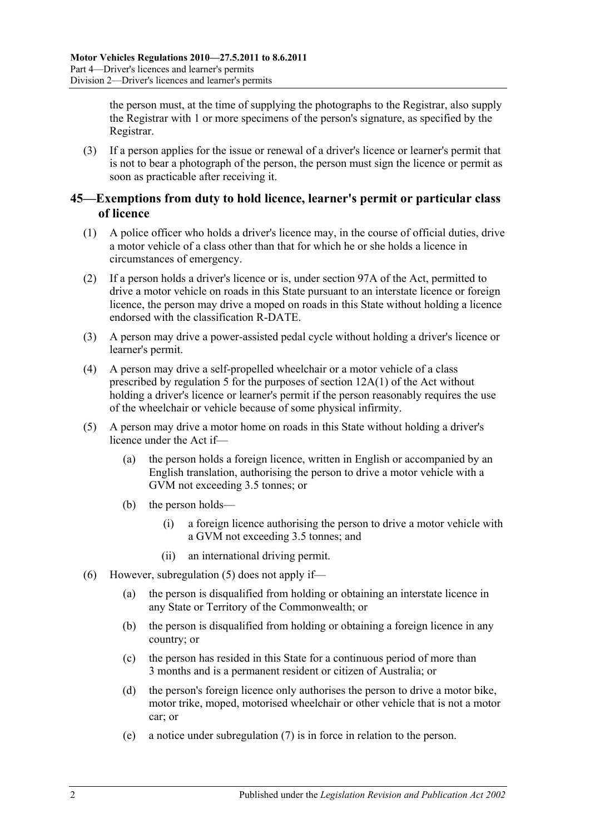the person must, at the time of supplying the photographs to the Registrar, also supply the Registrar with 1 or more specimens of the person's signature, as specified by the Registrar.

(3) If a person applies for the issue or renewal of a driver's licence or learner's permit that is not to bear a photograph of the person, the person must sign the licence or permit as soon as practicable after receiving it.

## <span id="page-33-0"></span>**45—Exemptions from duty to hold licence, learner's permit or particular class of licence**

- (1) A police officer who holds a driver's licence may, in the course of official duties, drive a motor vehicle of a class other than that for which he or she holds a licence in circumstances of emergency.
- (2) If a person holds a driver's licence or is, under section 97A of the Act, permitted to drive a motor vehicle on roads in this State pursuant to an interstate licence or foreign licence, the person may drive a moped on roads in this State without holding a licence endorsed with the classification R-DATE.
- (3) A person may drive a power-assisted pedal cycle without holding a driver's licence or learner's permit.
- (4) A person may drive a self-propelled wheelchair or a motor vehicle of a class prescribed by [regulation](#page-10-2) 5 for the purposes of section 12A(1) of the Act without holding a driver's licence or learner's permit if the person reasonably requires the use of the wheelchair or vehicle because of some physical infirmity.
- <span id="page-33-1"></span>(5) A person may drive a motor home on roads in this State without holding a driver's licence under the Act if—
	- (a) the person holds a foreign licence, written in English or accompanied by an English translation, authorising the person to drive a motor vehicle with a GVM not exceeding 3.5 tonnes; or
	- (b) the person holds—
		- (i) a foreign licence authorising the person to drive a motor vehicle with a GVM not exceeding 3.5 tonnes; and
		- (ii) an international driving permit.
- (6) However, [subregulation](#page-33-1) (5) does not apply if—
	- (a) the person is disqualified from holding or obtaining an interstate licence in any State or Territory of the Commonwealth; or
	- (b) the person is disqualified from holding or obtaining a foreign licence in any country; or
	- (c) the person has resided in this State for a continuous period of more than 3 months and is a permanent resident or citizen of Australia; or
	- (d) the person's foreign licence only authorises the person to drive a motor bike, motor trike, moped, motorised wheelchair or other vehicle that is not a motor car; or
	- (e) a notice under [subregulation](#page-34-1) (7) is in force in relation to the person.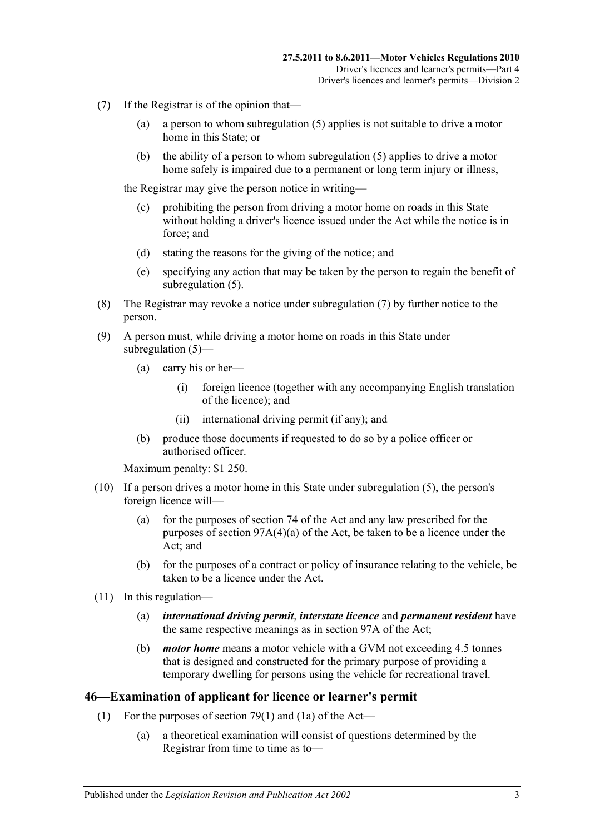- <span id="page-34-1"></span>(7) If the Registrar is of the opinion that—
	- (a) a person to whom [subregulation](#page-33-1) (5) applies is not suitable to drive a motor home in this State; or
	- (b) the ability of a person to whom [subregulation](#page-33-1) (5) applies to drive a motor home safely is impaired due to a permanent or long term injury or illness,

the Registrar may give the person notice in writing—

- (c) prohibiting the person from driving a motor home on roads in this State without holding a driver's licence issued under the Act while the notice is in force; and
- (d) stating the reasons for the giving of the notice; and
- (e) specifying any action that may be taken by the person to regain the benefit of [subregulation](#page-33-1) (5).
- (8) The Registrar may revoke a notice under [subregulation](#page-34-1) (7) by further notice to the person.
- (9) A person must, while driving a motor home on roads in this State under [subregulation](#page-33-1) (5)—
	- (a) carry his or her—
		- (i) foreign licence (together with any accompanying English translation of the licence); and
		- (ii) international driving permit (if any); and
	- (b) produce those documents if requested to do so by a police officer or authorised officer.

Maximum penalty: \$1 250.

- (10) If a person drives a motor home in this State under [subregulation](#page-33-1) (5), the person's foreign licence will—
	- (a) for the purposes of section 74 of the Act and any law prescribed for the purposes of section 97A(4)(a) of the Act, be taken to be a licence under the Act; and
	- (b) for the purposes of a contract or policy of insurance relating to the vehicle, be taken to be a licence under the Act.
- (11) In this regulation—
	- (a) *international driving permit*, *interstate licence* and *permanent resident* have the same respective meanings as in section 97A of the Act;
	- (b) *motor home* means a motor vehicle with a GVM not exceeding 4.5 tonnes that is designed and constructed for the primary purpose of providing a temporary dwelling for persons using the vehicle for recreational travel.

#### <span id="page-34-0"></span>**46—Examination of applicant for licence or learner's permit**

- (1) For the purposes of section 79(1) and (1a) of the Act—
	- (a) a theoretical examination will consist of questions determined by the Registrar from time to time as to—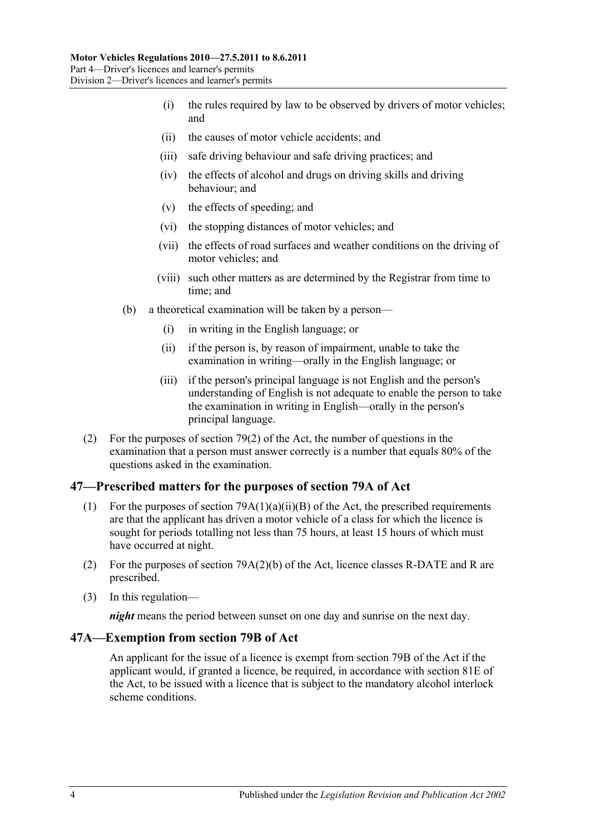- (i) the rules required by law to be observed by drivers of motor vehicles; and
- (ii) the causes of motor vehicle accidents; and
- (iii) safe driving behaviour and safe driving practices; and
- (iv) the effects of alcohol and drugs on driving skills and driving behaviour; and
- (v) the effects of speeding; and
- (vi) the stopping distances of motor vehicles; and
- (vii) the effects of road surfaces and weather conditions on the driving of motor vehicles; and
- (viii) such other matters as are determined by the Registrar from time to time; and
- (b) a theoretical examination will be taken by a person—
	- (i) in writing in the English language; or
	- (ii) if the person is, by reason of impairment, unable to take the examination in writing—orally in the English language; or
	- (iii) if the person's principal language is not English and the person's understanding of English is not adequate to enable the person to take the examination in writing in English—orally in the person's principal language.
- (2) For the purposes of section 79(2) of the Act, the number of questions in the examination that a person must answer correctly is a number that equals 80% of the questions asked in the examination.

## <span id="page-35-0"></span>**47—Prescribed matters for the purposes of section 79A of Act**

- (1) For the purposes of section  $79A(1)(a)(ii)(B)$  of the Act, the prescribed requirements are that the applicant has driven a motor vehicle of a class for which the licence is sought for periods totalling not less than 75 hours, at least 15 hours of which must have occurred at night.
- (2) For the purposes of section 79A(2)(b) of the Act, licence classes R-DATE and R are prescribed.
- (3) In this regulation—

*night* means the period between sunset on one day and sunrise on the next day.

#### <span id="page-35-1"></span>**47A—Exemption from section 79B of Act**

An applicant for the issue of a licence is exempt from section 79B of the Act if the applicant would, if granted a licence, be required, in accordance with section 81E of the Act, to be issued with a licence that is subject to the mandatory alcohol interlock scheme conditions.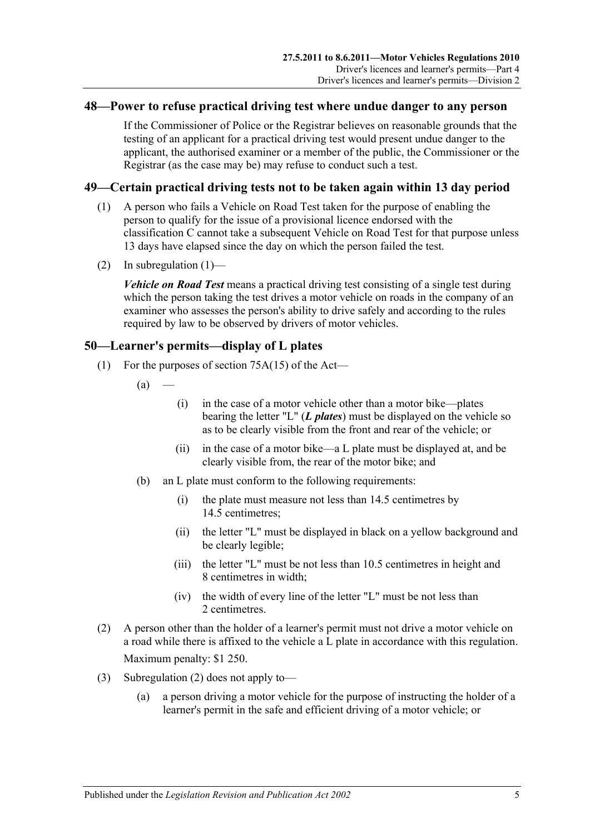### **48—Power to refuse practical driving test where undue danger to any person**

If the Commissioner of Police or the Registrar believes on reasonable grounds that the testing of an applicant for a practical driving test would present undue danger to the applicant, the authorised examiner or a member of the public, the Commissioner or the Registrar (as the case may be) may refuse to conduct such a test.

### <span id="page-36-0"></span>**49—Certain practical driving tests not to be taken again within 13 day period**

- (1) A person who fails a Vehicle on Road Test taken for the purpose of enabling the person to qualify for the issue of a provisional licence endorsed with the classification C cannot take a subsequent Vehicle on Road Test for that purpose unless 13 days have elapsed since the day on which the person failed the test.
- (2) In [subregulation](#page-36-0)  $(1)$ —

*Vehicle on Road Test* means a practical driving test consisting of a single test during which the person taking the test drives a motor vehicle on roads in the company of an examiner who assesses the person's ability to drive safely and according to the rules required by law to be observed by drivers of motor vehicles.

### **50—Learner's permits—display of L plates**

- (1) For the purposes of section 75A(15) of the Act—
	- $(a)$
- (i) in the case of a motor vehicle other than a motor bike—plates bearing the letter "L" (*L plates*) must be displayed on the vehicle so as to be clearly visible from the front and rear of the vehicle; or
- (ii) in the case of a motor bike—a L plate must be displayed at, and be clearly visible from, the rear of the motor bike; and
- (b) an L plate must conform to the following requirements:
	- (i) the plate must measure not less than 14.5 centimetres by 14.5 centimetres;
	- (ii) the letter "L" must be displayed in black on a yellow background and be clearly legible;
	- (iii) the letter "L" must be not less than 10.5 centimetres in height and 8 centimetres in width;
	- (iv) the width of every line of the letter "L" must be not less than 2 centimetres.
- <span id="page-36-1"></span>(2) A person other than the holder of a learner's permit must not drive a motor vehicle on a road while there is affixed to the vehicle a L plate in accordance with this regulation. Maximum penalty: \$1 250.
- (3) [Subregulation](#page-36-1) (2) does not apply to—
	- (a) a person driving a motor vehicle for the purpose of instructing the holder of a learner's permit in the safe and efficient driving of a motor vehicle; or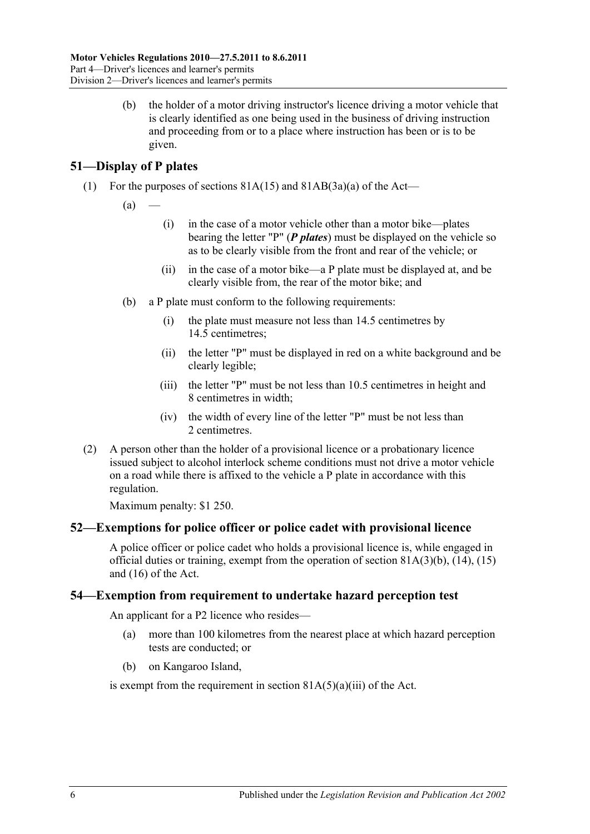(b) the holder of a motor driving instructor's licence driving a motor vehicle that is clearly identified as one being used in the business of driving instruction and proceeding from or to a place where instruction has been or is to be given.

# **51—Display of P plates**

- (1) For the purposes of sections  $81A(15)$  and  $81AB(3a)(a)$  of the Act—
	- $(a)$
- (i) in the case of a motor vehicle other than a motor bike—plates bearing the letter "P" (*P plates*) must be displayed on the vehicle so as to be clearly visible from the front and rear of the vehicle; or
- (ii) in the case of a motor bike—a P plate must be displayed at, and be clearly visible from, the rear of the motor bike; and
- (b) a P plate must conform to the following requirements:
	- (i) the plate must measure not less than 14.5 centimetres by 14.5 centimetres;
	- (ii) the letter "P" must be displayed in red on a white background and be clearly legible;
	- (iii) the letter "P" must be not less than 10.5 centimetres in height and 8 centimetres in width;
	- (iv) the width of every line of the letter "P" must be not less than 2 centimetres.
- (2) A person other than the holder of a provisional licence or a probationary licence issued subject to alcohol interlock scheme conditions must not drive a motor vehicle on a road while there is affixed to the vehicle a P plate in accordance with this regulation.

Maximum penalty: \$1 250.

### **52—Exemptions for police officer or police cadet with provisional licence**

A police officer or police cadet who holds a provisional licence is, while engaged in official duties or training, exempt from the operation of section 81A(3)(b), (14), (15) and (16) of the Act.

### **54—Exemption from requirement to undertake hazard perception test**

An applicant for a P2 licence who resides—

- (a) more than 100 kilometres from the nearest place at which hazard perception tests are conducted; or
- (b) on Kangaroo Island,

is exempt from the requirement in section  $81A(5)(a)(iii)$  of the Act.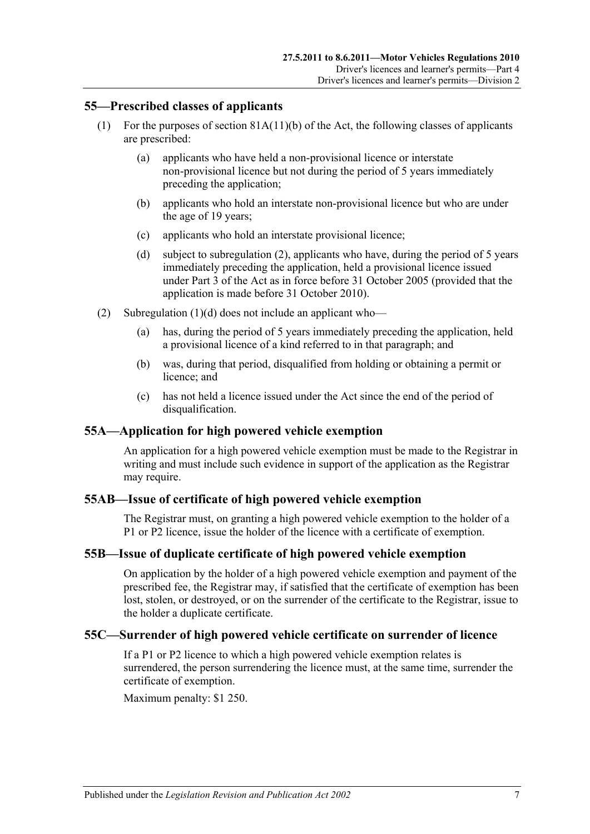### **55—Prescribed classes of applicants**

- (1) For the purposes of section 81A(11)(b) of the Act, the following classes of applicants are prescribed:
	- (a) applicants who have held a non-provisional licence or interstate non-provisional licence but not during the period of 5 years immediately preceding the application;
	- (b) applicants who hold an interstate non-provisional licence but who are under the age of 19 years;
	- (c) applicants who hold an interstate provisional licence;
	- (d) subject to [subregulation](#page-38-0) (2), applicants who have, during the period of 5 years immediately preceding the application, held a provisional licence issued under Part 3 of the Act as in force before 31 October 2005 (provided that the application is made before 31 October 2010).
- <span id="page-38-1"></span><span id="page-38-0"></span>(2) [Subregulation](#page-38-1)  $(1)(d)$  does not include an applicant who—
	- (a) has, during the period of 5 years immediately preceding the application, held a provisional licence of a kind referred to in that paragraph; and
	- (b) was, during that period, disqualified from holding or obtaining a permit or licence; and
	- (c) has not held a licence issued under the Act since the end of the period of disqualification.

### **55A—Application for high powered vehicle exemption**

An application for a high powered vehicle exemption must be made to the Registrar in writing and must include such evidence in support of the application as the Registrar may require.

### **55AB—Issue of certificate of high powered vehicle exemption**

The Registrar must, on granting a high powered vehicle exemption to the holder of a P1 or P2 licence, issue the holder of the licence with a certificate of exemption.

### **55B—Issue of duplicate certificate of high powered vehicle exemption**

On application by the holder of a high powered vehicle exemption and payment of the prescribed fee, the Registrar may, if satisfied that the certificate of exemption has been lost, stolen, or destroyed, or on the surrender of the certificate to the Registrar, issue to the holder a duplicate certificate.

### **55C—Surrender of high powered vehicle certificate on surrender of licence**

If a P1 or P2 licence to which a high powered vehicle exemption relates is surrendered, the person surrendering the licence must, at the same time, surrender the certificate of exemption.

Maximum penalty: \$1 250.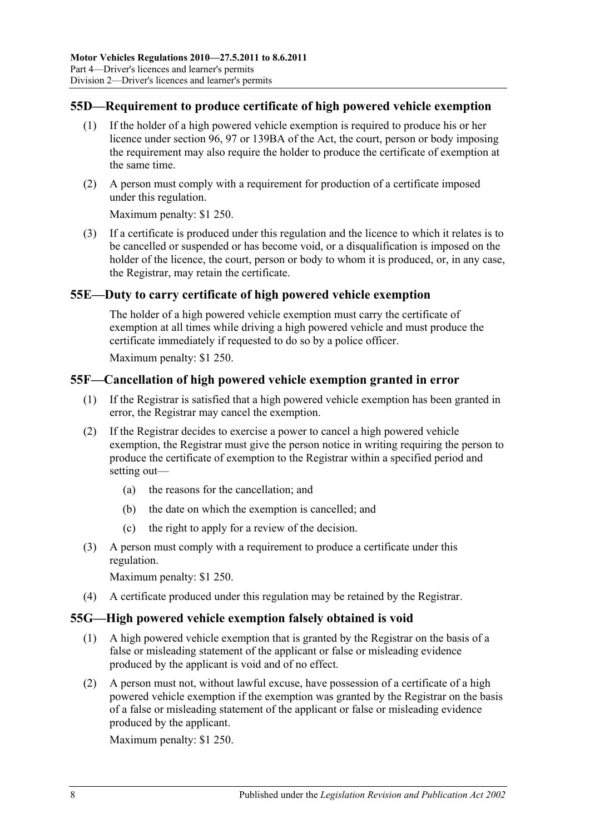### **55D—Requirement to produce certificate of high powered vehicle exemption**

- (1) If the holder of a high powered vehicle exemption is required to produce his or her licence under section 96, 97 or 139BA of the Act, the court, person or body imposing the requirement may also require the holder to produce the certificate of exemption at the same time.
- (2) A person must comply with a requirement for production of a certificate imposed under this regulation.

Maximum penalty: \$1 250.

(3) If a certificate is produced under this regulation and the licence to which it relates is to be cancelled or suspended or has become void, or a disqualification is imposed on the holder of the licence, the court, person or body to whom it is produced, or, in any case, the Registrar, may retain the certificate.

### **55E—Duty to carry certificate of high powered vehicle exemption**

The holder of a high powered vehicle exemption must carry the certificate of exemption at all times while driving a high powered vehicle and must produce the certificate immediately if requested to do so by a police officer.

Maximum penalty: \$1 250.

### **55F—Cancellation of high powered vehicle exemption granted in error**

- (1) If the Registrar is satisfied that a high powered vehicle exemption has been granted in error, the Registrar may cancel the exemption.
- (2) If the Registrar decides to exercise a power to cancel a high powered vehicle exemption, the Registrar must give the person notice in writing requiring the person to produce the certificate of exemption to the Registrar within a specified period and setting out—
	- (a) the reasons for the cancellation; and
	- (b) the date on which the exemption is cancelled; and
	- (c) the right to apply for a review of the decision.
- (3) A person must comply with a requirement to produce a certificate under this regulation.

Maximum penalty: \$1 250.

(4) A certificate produced under this regulation may be retained by the Registrar.

### **55G—High powered vehicle exemption falsely obtained is void**

- (1) A high powered vehicle exemption that is granted by the Registrar on the basis of a false or misleading statement of the applicant or false or misleading evidence produced by the applicant is void and of no effect.
- (2) A person must not, without lawful excuse, have possession of a certificate of a high powered vehicle exemption if the exemption was granted by the Registrar on the basis of a false or misleading statement of the applicant or false or misleading evidence produced by the applicant.

Maximum penalty: \$1 250.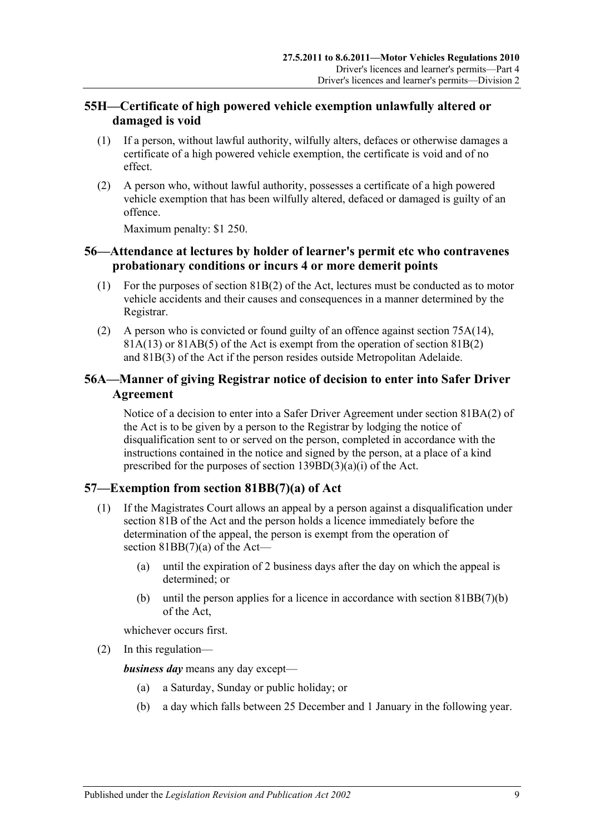# **55H—Certificate of high powered vehicle exemption unlawfully altered or damaged is void**

- (1) If a person, without lawful authority, wilfully alters, defaces or otherwise damages a certificate of a high powered vehicle exemption, the certificate is void and of no effect.
- (2) A person who, without lawful authority, possesses a certificate of a high powered vehicle exemption that has been wilfully altered, defaced or damaged is guilty of an offence.

Maximum penalty: \$1 250.

# **56—Attendance at lectures by holder of learner's permit etc who contravenes probationary conditions or incurs 4 or more demerit points**

- (1) For the purposes of section 81B(2) of the Act, lectures must be conducted as to motor vehicle accidents and their causes and consequences in a manner determined by the Registrar.
- (2) A person who is convicted or found guilty of an offence against section 75A(14),  $81A(13)$  or  $81AB(5)$  of the Act is exempt from the operation of section  $81B(2)$ and 81B(3) of the Act if the person resides outside Metropolitan Adelaide.

# **56A—Manner of giving Registrar notice of decision to enter into Safer Driver Agreement**

Notice of a decision to enter into a Safer Driver Agreement under section 81BA(2) of the Act is to be given by a person to the Registrar by lodging the notice of disqualification sent to or served on the person, completed in accordance with the instructions contained in the notice and signed by the person, at a place of a kind prescribed for the purposes of section 139BD(3)(a)(i) of the Act.

# **57—Exemption from section 81BB(7)(a) of Act**

- (1) If the Magistrates Court allows an appeal by a person against a disqualification under section 81B of the Act and the person holds a licence immediately before the determination of the appeal, the person is exempt from the operation of section  $81BB(7)(a)$  of the Act—
	- (a) until the expiration of 2 business days after the day on which the appeal is determined; or
	- (b) until the person applies for a licence in accordance with section 81BB(7)(b) of the Act,

whichever occurs first.

(2) In this regulation—

*business day* means any day except—

- (a) a Saturday, Sunday or public holiday; or
- (b) a day which falls between 25 December and 1 January in the following year.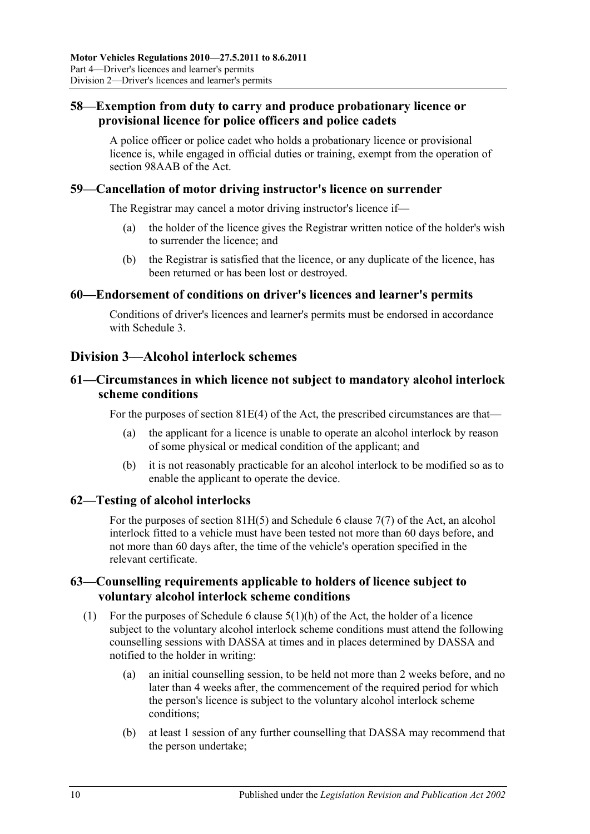# **58—Exemption from duty to carry and produce probationary licence or provisional licence for police officers and police cadets**

A police officer or police cadet who holds a probationary licence or provisional licence is, while engaged in official duties or training, exempt from the operation of section 98AAB of the Act.

### **59—Cancellation of motor driving instructor's licence on surrender**

The Registrar may cancel a motor driving instructor's licence if—

- (a) the holder of the licence gives the Registrar written notice of the holder's wish to surrender the licence; and
- (b) the Registrar is satisfied that the licence, or any duplicate of the licence, has been returned or has been lost or destroyed.

### **60—Endorsement of conditions on driver's licences and learner's permits**

Conditions of driver's licences and learner's permits must be endorsed in accordance with [Schedule 3.](#page-80-0)

# **Division 3—Alcohol interlock schemes**

### **61—Circumstances in which licence not subject to mandatory alcohol interlock scheme conditions**

For the purposes of section  $81E(4)$  of the Act, the prescribed circumstances are that—

- (a) the applicant for a licence is unable to operate an alcohol interlock by reason of some physical or medical condition of the applicant; and
- (b) it is not reasonably practicable for an alcohol interlock to be modified so as to enable the applicant to operate the device.

### **62—Testing of alcohol interlocks**

For the purposes of section 81H(5) and Schedule 6 clause 7(7) of the Act, an alcohol interlock fitted to a vehicle must have been tested not more than 60 days before, and not more than 60 days after, the time of the vehicle's operation specified in the relevant certificate.

### **63—Counselling requirements applicable to holders of licence subject to voluntary alcohol interlock scheme conditions**

- (1) For the purposes of Schedule 6 clause  $5(1)(h)$  of the Act, the holder of a licence subject to the voluntary alcohol interlock scheme conditions must attend the following counselling sessions with DASSA at times and in places determined by DASSA and notified to the holder in writing:
	- (a) an initial counselling session, to be held not more than 2 weeks before, and no later than 4 weeks after, the commencement of the required period for which the person's licence is subject to the voluntary alcohol interlock scheme conditions;
	- (b) at least 1 session of any further counselling that DASSA may recommend that the person undertake;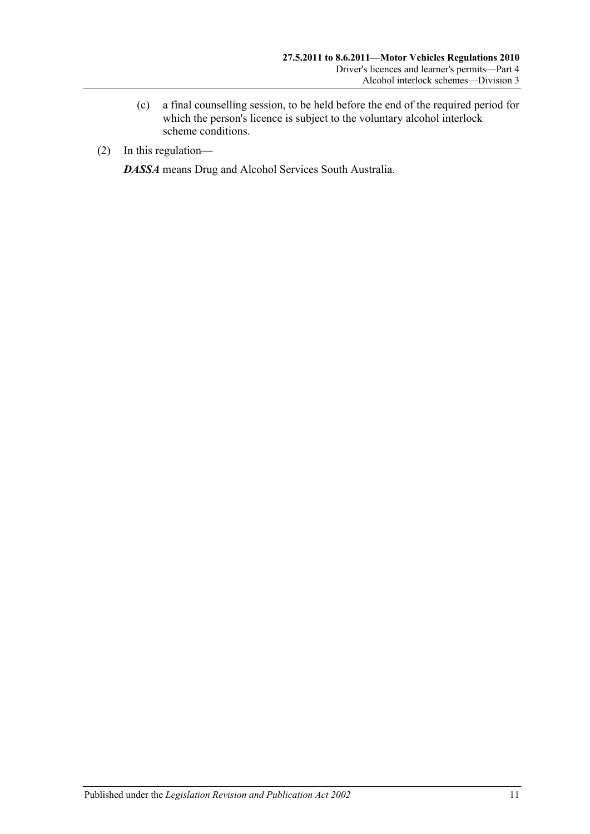- (c) a final counselling session, to be held before the end of the required period for which the person's licence is subject to the voluntary alcohol interlock scheme conditions.
- (2) In this regulation—

*DASSA* means Drug and Alcohol Services South Australia.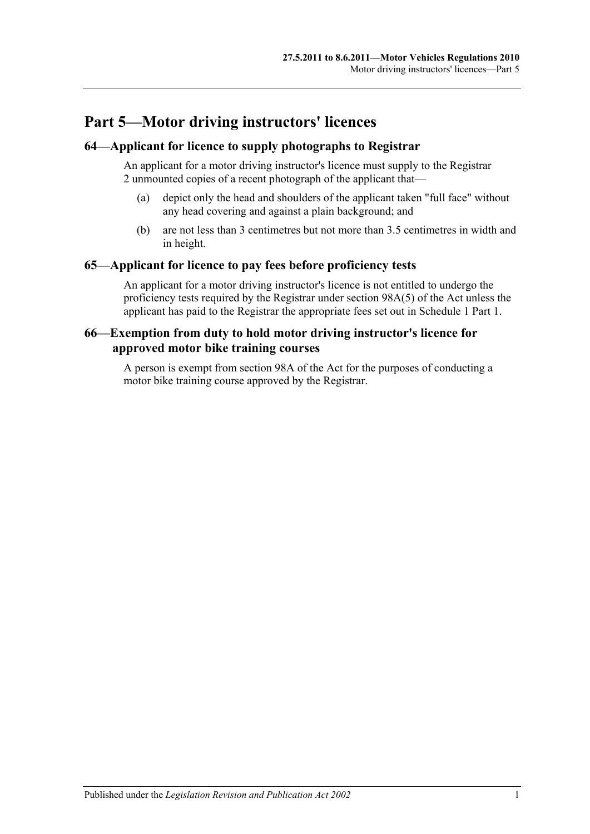# **Part 5—Motor driving instructors' licences**

# **64—Applicant for licence to supply photographs to Registrar**

An applicant for a motor driving instructor's licence must supply to the Registrar 2 unmounted copies of a recent photograph of the applicant that—

- (a) depict only the head and shoulders of the applicant taken "full face" without any head covering and against a plain background; and
- (b) are not less than 3 centimetres but not more than 3.5 centimetres in width and in height.

### **65—Applicant for licence to pay fees before proficiency tests**

An applicant for a motor driving instructor's licence is not entitled to undergo the proficiency tests required by the Registrar under section 98A(5) of the Act unless the applicant has paid to the Registrar the appropriate fees set out in Schedule 1 Part 1.

### **66—Exemption from duty to hold motor driving instructor's licence for approved motor bike training courses**

A person is exempt from section 98A of the Act for the purposes of conducting a motor bike training course approved by the Registrar.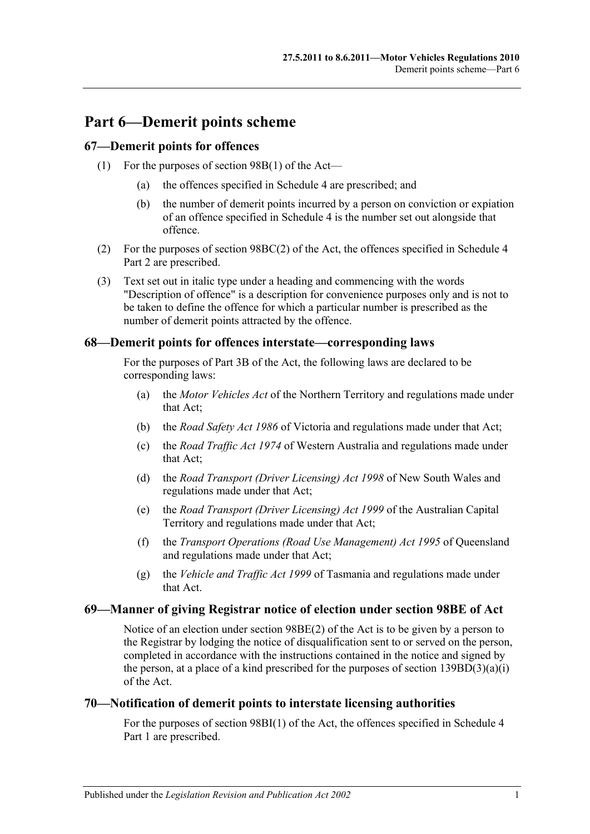# **Part 6—Demerit points scheme**

### **67—Demerit points for offences**

- (1) For the purposes of section 98B(1) of the Act—
	- (a) the offences specified in [Schedule 4](#page-82-0) are prescribed; and
	- (b) the number of demerit points incurred by a person on conviction or expiation of an offence specified in [Schedule 4](#page-82-0) is the number set out alongside that offence.
- (2) For the purposes of section 98BC(2) of the Act, the offences specified in Schedule 4 Part 2 are prescribed.
- (3) Text set out in italic type under a heading and commencing with the words "Description of offence" is a description for convenience purposes only and is not to be taken to define the offence for which a particular number is prescribed as the number of demerit points attracted by the offence.

### **68—Demerit points for offences interstate—corresponding laws**

For the purposes of Part 3B of the Act, the following laws are declared to be corresponding laws:

- (a) the *Motor Vehicles Act* of the Northern Territory and regulations made under that Act;
- (b) the *Road Safety Act 1986* of Victoria and regulations made under that Act;
- (c) the *Road Traffic Act 1974* of Western Australia and regulations made under that Act;
- (d) the *Road Transport (Driver Licensing) Act 1998* of New South Wales and regulations made under that Act;
- (e) the *Road Transport (Driver Licensing) Act 1999* of the Australian Capital Territory and regulations made under that Act;
- (f) the *Transport Operations (Road Use Management) Act 1995* of Queensland and regulations made under that Act;
- (g) the *Vehicle and Traffic Act 1999* of Tasmania and regulations made under that Act.

### **69—Manner of giving Registrar notice of election under section 98BE of Act**

Notice of an election under section 98BE(2) of the Act is to be given by a person to the Registrar by lodging the notice of disqualification sent to or served on the person, completed in accordance with the instructions contained in the notice and signed by the person, at a place of a kind prescribed for the purposes of section  $139BD(3)(a)(i)$ of the Act.

### **70—Notification of demerit points to interstate licensing authorities**

For the purposes of section 98BI(1) of the Act, the offences specified in Schedule 4 Part 1 are prescribed.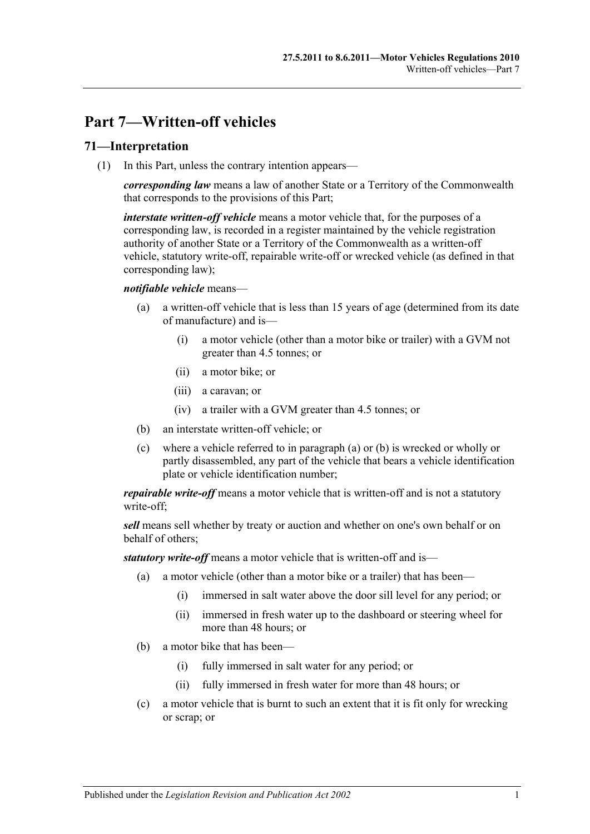# **Part 7—Written-off vehicles**

### **71—Interpretation**

(1) In this Part, unless the contrary intention appears—

*corresponding law* means a law of another State or a Territory of the Commonwealth that corresponds to the provisions of this Part;

*interstate written-off vehicle* means a motor vehicle that, for the purposes of a corresponding law, is recorded in a register maintained by the vehicle registration authority of another State or a Territory of the Commonwealth as a written-off vehicle, statutory write-off, repairable write-off or wrecked vehicle (as defined in that corresponding law);

### <span id="page-48-0"></span>*notifiable vehicle* means—

- (a) a written-off vehicle that is less than 15 years of age (determined from its date of manufacture) and is—
	- (i) a motor vehicle (other than a motor bike or trailer) with a GVM not greater than 4.5 tonnes; or
	- (ii) a motor bike; or
	- (iii) a caravan; or
	- (iv) a trailer with a GVM greater than 4.5 tonnes; or
- <span id="page-48-1"></span>(b) an interstate written-off vehicle; or
- (c) where a vehicle referred to in [paragraph](#page-48-0) (a) or [\(b\)](#page-48-1) is wrecked or wholly or partly disassembled, any part of the vehicle that bears a vehicle identification plate or vehicle identification number;

*repairable write-off* means a motor vehicle that is written-off and is not a statutory write-off;

*sell* means sell whether by treaty or auction and whether on one's own behalf or on behalf of others;

*statutory write-off* means a motor vehicle that is written-off and is—

- (a) a motor vehicle (other than a motor bike or a trailer) that has been—
	- (i) immersed in salt water above the door sill level for any period; or
	- (ii) immersed in fresh water up to the dashboard or steering wheel for more than 48 hours; or
- (b) a motor bike that has been—
	- (i) fully immersed in salt water for any period; or
	- (ii) fully immersed in fresh water for more than 48 hours; or
- (c) a motor vehicle that is burnt to such an extent that it is fit only for wrecking or scrap; or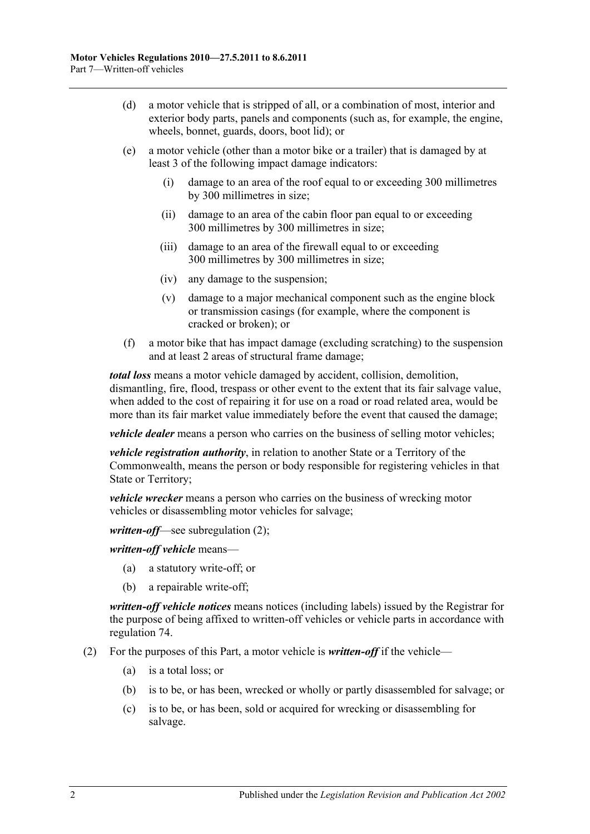- (d) a motor vehicle that is stripped of all, or a combination of most, interior and exterior body parts, panels and components (such as, for example, the engine, wheels, bonnet, guards, doors, boot lid); or
- (e) a motor vehicle (other than a motor bike or a trailer) that is damaged by at least 3 of the following impact damage indicators:
	- (i) damage to an area of the roof equal to or exceeding 300 millimetres by 300 millimetres in size;
	- (ii) damage to an area of the cabin floor pan equal to or exceeding 300 millimetres by 300 millimetres in size;
	- (iii) damage to an area of the firewall equal to or exceeding 300 millimetres by 300 millimetres in size;
	- (iv) any damage to the suspension;
	- (v) damage to a major mechanical component such as the engine block or transmission casings (for example, where the component is cracked or broken); or
- (f) a motor bike that has impact damage (excluding scratching) to the suspension and at least 2 areas of structural frame damage;

*total loss* means a motor vehicle damaged by accident, collision, demolition, dismantling, fire, flood, trespass or other event to the extent that its fair salvage value, when added to the cost of repairing it for use on a road or road related area, would be more than its fair market value immediately before the event that caused the damage;

*vehicle dealer* means a person who carries on the business of selling motor vehicles;

*vehicle registration authority*, in relation to another State or a Territory of the Commonwealth, means the person or body responsible for registering vehicles in that State or Territory;

*vehicle wrecker* means a person who carries on the business of wrecking motor vehicles or disassembling motor vehicles for salvage;

*written-off*—see [subregulation](#page-49-0) (2);

*written-off vehicle* means—

- (a) a statutory write-off; or
- (b) a repairable write-off;

*written-off vehicle notices* means notices (including labels) issued by the Registrar for the purpose of being affixed to written-off vehicles or vehicle parts in accordance with [regulation](#page-50-0) 74.

- <span id="page-49-0"></span>(2) For the purposes of this Part, a motor vehicle is *written-off* if the vehicle—
	- (a) is a total loss; or
	- (b) is to be, or has been, wrecked or wholly or partly disassembled for salvage; or
	- (c) is to be, or has been, sold or acquired for wrecking or disassembling for salvage.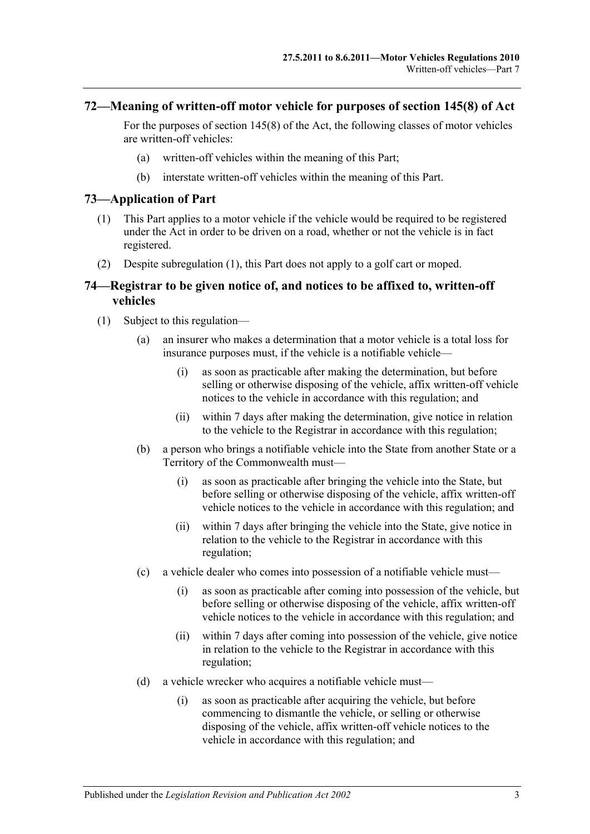### **72—Meaning of written-off motor vehicle for purposes of section 145(8) of Act**

For the purposes of section 145(8) of the Act, the following classes of motor vehicles are written-off vehicles:

- (a) written-off vehicles within the meaning of this Part;
- (b) interstate written-off vehicles within the meaning of this Part.

### <span id="page-50-1"></span>**73—Application of Part**

- (1) This Part applies to a motor vehicle if the vehicle would be required to be registered under the Act in order to be driven on a road, whether or not the vehicle is in fact registered.
- (2) Despite [subregulation](#page-50-1) (1), this Part does not apply to a golf cart or moped.

### <span id="page-50-0"></span>**74—Registrar to be given notice of, and notices to be affixed to, written-off vehicles**

- <span id="page-50-4"></span><span id="page-50-3"></span><span id="page-50-2"></span>(1) Subject to this regulation—
	- (a) an insurer who makes a determination that a motor vehicle is a total loss for insurance purposes must, if the vehicle is a notifiable vehicle—
		- (i) as soon as practicable after making the determination, but before selling or otherwise disposing of the vehicle, affix written-off vehicle notices to the vehicle in accordance with this regulation; and
		- (ii) within 7 days after making the determination, give notice in relation to the vehicle to the Registrar in accordance with this regulation;
	- (b) a person who brings a notifiable vehicle into the State from another State or a Territory of the Commonwealth must—
		- (i) as soon as practicable after bringing the vehicle into the State, but before selling or otherwise disposing of the vehicle, affix written-off vehicle notices to the vehicle in accordance with this regulation; and
		- (ii) within 7 days after bringing the vehicle into the State, give notice in relation to the vehicle to the Registrar in accordance with this regulation;
	- (c) a vehicle dealer who comes into possession of a notifiable vehicle must—
		- (i) as soon as practicable after coming into possession of the vehicle, but before selling or otherwise disposing of the vehicle, affix written-off vehicle notices to the vehicle in accordance with this regulation; and
		- (ii) within 7 days after coming into possession of the vehicle, give notice in relation to the vehicle to the Registrar in accordance with this regulation;
	- (d) a vehicle wrecker who acquires a notifiable vehicle must—
		- (i) as soon as practicable after acquiring the vehicle, but before commencing to dismantle the vehicle, or selling or otherwise disposing of the vehicle, affix written-off vehicle notices to the vehicle in accordance with this regulation; and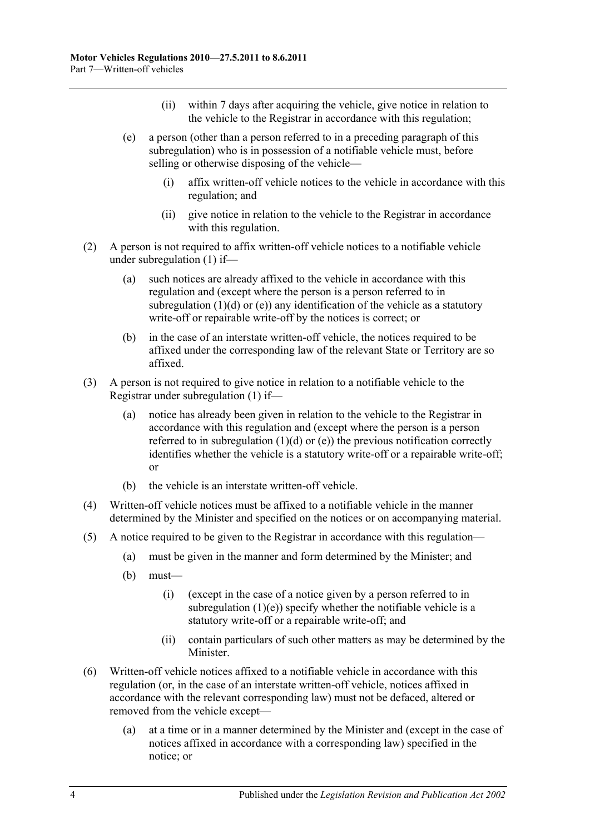- (ii) within 7 days after acquiring the vehicle, give notice in relation to the vehicle to the Registrar in accordance with this regulation;
- <span id="page-51-0"></span>(e) a person (other than a person referred to in a preceding paragraph of this subregulation) who is in possession of a notifiable vehicle must, before selling or otherwise disposing of the vehicle—
	- (i) affix written-off vehicle notices to the vehicle in accordance with this regulation; and
	- (ii) give notice in relation to the vehicle to the Registrar in accordance with this regulation.
- (2) A person is not required to affix written-off vehicle notices to a notifiable vehicle under [subregulation](#page-50-2) (1) if—
	- (a) such notices are already affixed to the vehicle in accordance with this regulation and (except where the person is a person referred to in [subregulation](#page-50-3)  $(1)(d)$  or  $(e)$ ) any identification of the vehicle as a statutory write-off or repairable write-off by the notices is correct; or
	- (b) in the case of an interstate written-off vehicle, the notices required to be affixed under the corresponding law of the relevant State or Territory are so affixed.
- (3) A person is not required to give notice in relation to a notifiable vehicle to the Registrar under [subregulation](#page-50-2) (1) if—
	- (a) notice has already been given in relation to the vehicle to the Registrar in accordance with this regulation and (except where the person is a person referred to in [subregulation](#page-50-3)  $(1)(d)$  or  $(e)$ ) the previous notification correctly identifies whether the vehicle is a statutory write-off or a repairable write-off; or
	- (b) the vehicle is an interstate written-off vehicle.
- (4) Written-off vehicle notices must be affixed to a notifiable vehicle in the manner determined by the Minister and specified on the notices or on accompanying material.
- $(5)$  A notice required to be given to the Registrar in accordance with this regulation—
	- (a) must be given in the manner and form determined by the Minister; and
	- (b) must—
		- (i) (except in the case of a notice given by a person referred to in [subregulation](#page-51-0)  $(1)(e)$ ) specify whether the notifiable vehicle is a statutory write-off or a repairable write-off; and
		- (ii) contain particulars of such other matters as may be determined by the Minister.
- (6) Written-off vehicle notices affixed to a notifiable vehicle in accordance with this regulation (or, in the case of an interstate written-off vehicle, notices affixed in accordance with the relevant corresponding law) must not be defaced, altered or removed from the vehicle except—
	- (a) at a time or in a manner determined by the Minister and (except in the case of notices affixed in accordance with a corresponding law) specified in the notice; or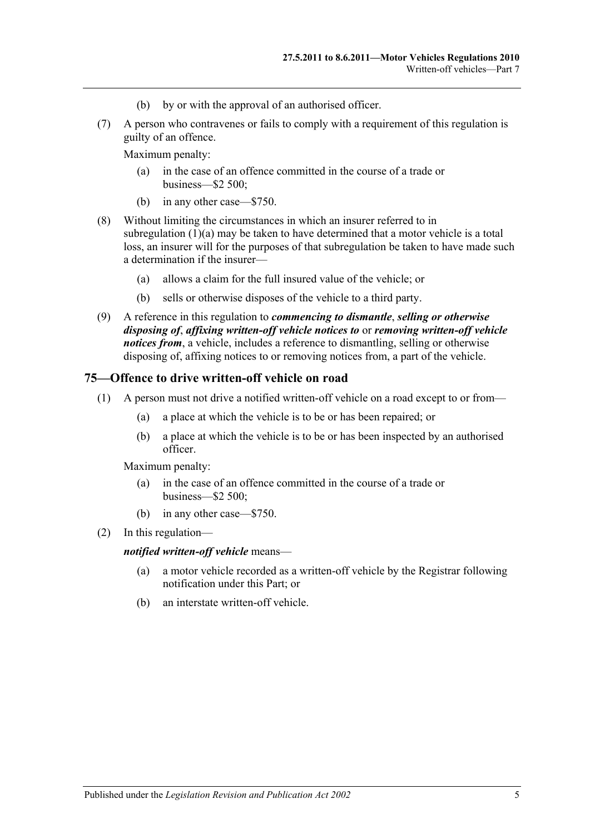- (b) by or with the approval of an authorised officer.
- (7) A person who contravenes or fails to comply with a requirement of this regulation is guilty of an offence.

Maximum penalty:

- (a) in the case of an offence committed in the course of a trade or business—\$2 500;
- (b) in any other case—\$750.
- (8) Without limiting the circumstances in which an insurer referred to in [subregulation](#page-50-4)  $(1)(a)$  may be taken to have determined that a motor vehicle is a total loss, an insurer will for the purposes of that subregulation be taken to have made such a determination if the insurer—
	- (a) allows a claim for the full insured value of the vehicle; or
	- (b) sells or otherwise disposes of the vehicle to a third party.
- (9) A reference in this regulation to *commencing to dismantle*, *selling or otherwise disposing of*, *affixing written-off vehicle notices to* or *removing written-off vehicle notices from*, a vehicle, includes a reference to dismantling, selling or otherwise disposing of, affixing notices to or removing notices from, a part of the vehicle.

### **75—Offence to drive written-off vehicle on road**

- (1) A person must not drive a notified written-off vehicle on a road except to or from—
	- (a) a place at which the vehicle is to be or has been repaired; or
	- (b) a place at which the vehicle is to be or has been inspected by an authorised officer.

Maximum penalty:

- (a) in the case of an offence committed in the course of a trade or business—\$2 500;
- (b) in any other case—\$750.
- (2) In this regulation—

### *notified written-off vehicle* means—

- (a) a motor vehicle recorded as a written-off vehicle by the Registrar following notification under this Part; or
- (b) an interstate written-off vehicle.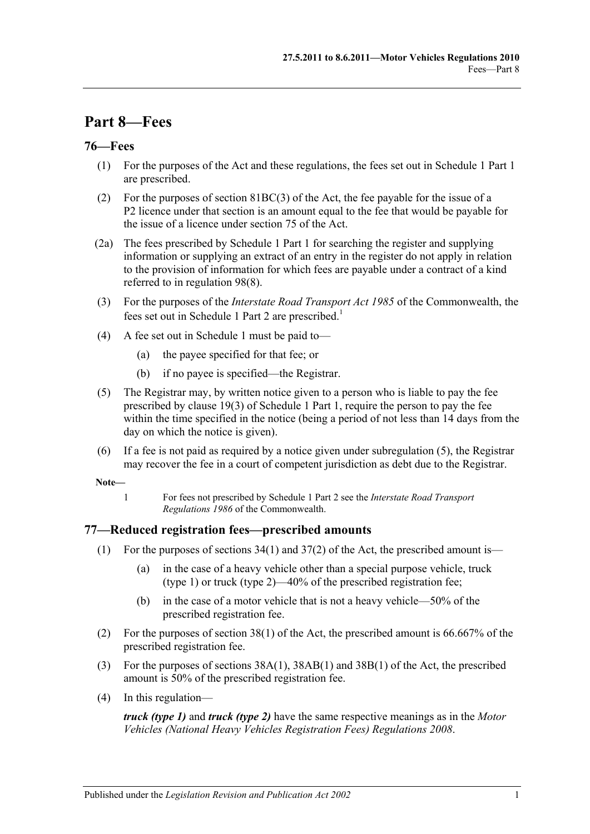# **Part 8—Fees**

## **76—Fees**

- (1) For the purposes of the Act and these regulations, the fees set out in Schedule 1 Part 1 are prescribed.
- (2) For the purposes of section 81BC(3) of the Act, the fee payable for the issue of a P2 licence under that section is an amount equal to the fee that would be payable for the issue of a licence under section 75 of the Act.
- (2a) The fees prescribed by Schedule 1 Part 1 for searching the register and supplying information or supplying an extract of an entry in the register do not apply in relation to the provision of information for which fees are payable under a contract of a kind referred to in [regulation](#page-64-0) 98(8).
- (3) For the purposes of the *Interstate Road Transport Act 1985* of the Commonwealth, the fees set out in Schedule 1 Part 2 are prescribed.<sup>1</sup>
- (4) A fee set out in [Schedule 1](#page-66-0) must be paid to—
	- (a) the payee specified for that fee; or
	- (b) if no payee is specified—the Registrar.
- <span id="page-54-0"></span>(5) The Registrar may, by written notice given to a person who is liable to pay the fee prescribed by clause 19(3) of Schedule 1 Part 1, require the person to pay the fee within the time specified in the notice (being a period of not less than 14 days from the day on which the notice is given).
- (6) If a fee is not paid as required by a notice given under [subregulation](#page-54-0) (5), the Registrar may recover the fee in a court of competent jurisdiction as debt due to the Registrar.

**Note—**

1 For fees not prescribed by Schedule 1 Part 2 see the *Interstate Road Transport Regulations 1986* of the Commonwealth.

# **77—Reduced registration fees—prescribed amounts**

- (1) For the purposes of sections  $34(1)$  and  $37(2)$  of the Act, the prescribed amount is—
	- (a) in the case of a heavy vehicle other than a special purpose vehicle, truck (type 1) or truck (type 2)—40% of the prescribed registration fee;
	- (b) in the case of a motor vehicle that is not a heavy vehicle—50% of the prescribed registration fee.
- (2) For the purposes of section 38(1) of the Act, the prescribed amount is 66.667% of the prescribed registration fee.
- (3) For the purposes of sections 38A(1), 38AB(1) and 38B(1) of the Act, the prescribed amount is 50% of the prescribed registration fee.
- (4) In this regulation—

*truck (type 1)* and *truck (type 2)* have the same respective meanings as in the *[Motor](http://www.legislation.sa.gov.au/index.aspx?action=legref&type=subordleg&legtitle=Motor%20Vehicles%20(National%20Heavy%20Vehicles%20Registration%20Fees)%20Regulations%202008)  [Vehicles \(National Heavy Vehicles Registration Fees\) Regulations](http://www.legislation.sa.gov.au/index.aspx?action=legref&type=subordleg&legtitle=Motor%20Vehicles%20(National%20Heavy%20Vehicles%20Registration%20Fees)%20Regulations%202008) 2008*.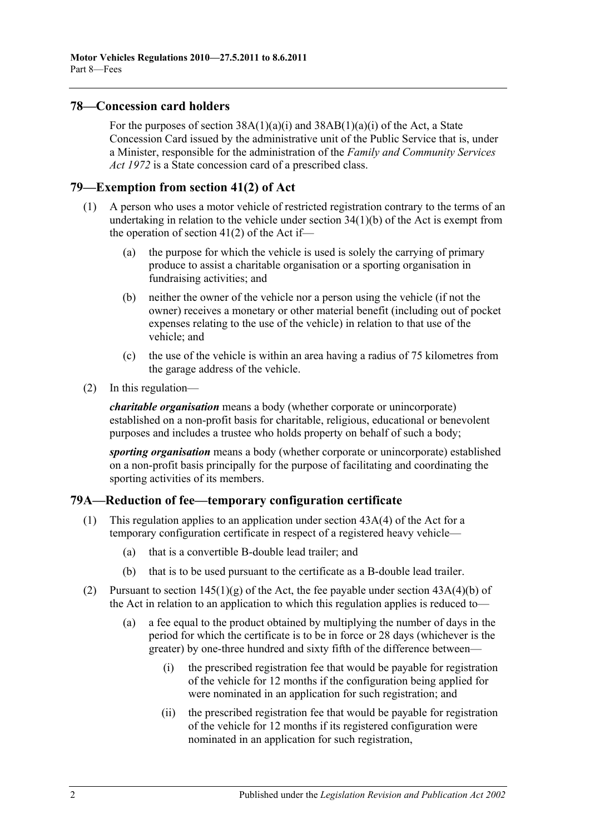### **78—Concession card holders**

For the purposes of section  $38A(1)(a)(i)$  and  $38AB(1)(a)(i)$  of the Act, a State Concession Card issued by the administrative unit of the Public Service that is, under a Minister, responsible for the administration of the *[Family and Community Services](http://www.legislation.sa.gov.au/index.aspx?action=legref&type=act&legtitle=Family%20and%20Community%20Services%20Act%201972)  Act [1972](http://www.legislation.sa.gov.au/index.aspx?action=legref&type=act&legtitle=Family%20and%20Community%20Services%20Act%201972)* is a State concession card of a prescribed class.

### **79—Exemption from section 41(2) of Act**

- (1) A person who uses a motor vehicle of restricted registration contrary to the terms of an undertaking in relation to the vehicle under section 34(1)(b) of the Act is exempt from the operation of section 41(2) of the Act if—
	- (a) the purpose for which the vehicle is used is solely the carrying of primary produce to assist a charitable organisation or a sporting organisation in fundraising activities; and
	- (b) neither the owner of the vehicle nor a person using the vehicle (if not the owner) receives a monetary or other material benefit (including out of pocket expenses relating to the use of the vehicle) in relation to that use of the vehicle; and
	- (c) the use of the vehicle is within an area having a radius of 75 kilometres from the garage address of the vehicle.
- (2) In this regulation—

*charitable organisation* means a body (whether corporate or unincorporate) established on a non-profit basis for charitable, religious, educational or benevolent purposes and includes a trustee who holds property on behalf of such a body;

*sporting organisation* means a body (whether corporate or unincorporate) established on a non-profit basis principally for the purpose of facilitating and coordinating the sporting activities of its members.

### **79A—Reduction of fee—temporary configuration certificate**

- (1) This regulation applies to an application under section 43A(4) of the Act for a temporary configuration certificate in respect of a registered heavy vehicle—
	- (a) that is a convertible B-double lead trailer; and
	- (b) that is to be used pursuant to the certificate as a B-double lead trailer.
- (2) Pursuant to section  $145(1)(g)$  of the Act, the fee payable under section  $43A(4)(b)$  of the Act in relation to an application to which this regulation applies is reduced to—
	- (a) a fee equal to the product obtained by multiplying the number of days in the period for which the certificate is to be in force or 28 days (whichever is the greater) by one-three hundred and sixty fifth of the difference between—
		- (i) the prescribed registration fee that would be payable for registration of the vehicle for 12 months if the configuration being applied for were nominated in an application for such registration; and
		- (ii) the prescribed registration fee that would be payable for registration of the vehicle for 12 months if its registered configuration were nominated in an application for such registration,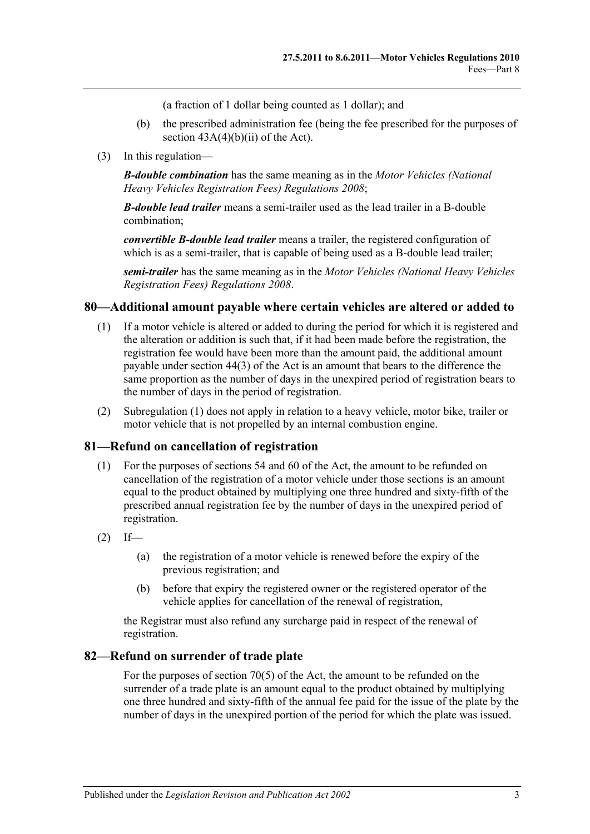(a fraction of 1 dollar being counted as 1 dollar); and

- (b) the prescribed administration fee (being the fee prescribed for the purposes of section  $43A(4)(b)(ii)$  of the Act).
- (3) In this regulation—

*B-double combination* has the same meaning as in the *[Motor Vehicles \(National](http://www.legislation.sa.gov.au/index.aspx?action=legref&type=subordleg&legtitle=Motor%20Vehicles%20(National%20Heavy%20Vehicles%20Registration%20Fees)%20Regulations%202008)  [Heavy Vehicles Registration Fees\) Regulations](http://www.legislation.sa.gov.au/index.aspx?action=legref&type=subordleg&legtitle=Motor%20Vehicles%20(National%20Heavy%20Vehicles%20Registration%20Fees)%20Regulations%202008) 2008*;

*B-double lead trailer* means a semi-trailer used as the lead trailer in a B-double combination;

*convertible B-double lead trailer* means a trailer, the registered configuration of which is as a semi-trailer, that is capable of being used as a B-double lead trailer;

*semi-trailer* has the same meaning as in the *[Motor Vehicles \(National Heavy Vehicles](http://www.legislation.sa.gov.au/index.aspx?action=legref&type=subordleg&legtitle=Motor%20Vehicles%20(National%20Heavy%20Vehicles%20Registration%20Fees)%20Regulations%202008)  [Registration Fees\) Regulations](http://www.legislation.sa.gov.au/index.aspx?action=legref&type=subordleg&legtitle=Motor%20Vehicles%20(National%20Heavy%20Vehicles%20Registration%20Fees)%20Regulations%202008) 2008*.

### <span id="page-56-0"></span>**80—Additional amount payable where certain vehicles are altered or added to**

- (1) If a motor vehicle is altered or added to during the period for which it is registered and the alteration or addition is such that, if it had been made before the registration, the registration fee would have been more than the amount paid, the additional amount payable under section 44(3) of the Act is an amount that bears to the difference the same proportion as the number of days in the unexpired period of registration bears to the number of days in the period of registration.
- (2) [Subregulation \(1\)](#page-56-0) does not apply in relation to a heavy vehicle, motor bike, trailer or motor vehicle that is not propelled by an internal combustion engine.

### **81—Refund on cancellation of registration**

- (1) For the purposes of sections 54 and 60 of the Act, the amount to be refunded on cancellation of the registration of a motor vehicle under those sections is an amount equal to the product obtained by multiplying one three hundred and sixty-fifth of the prescribed annual registration fee by the number of days in the unexpired period of registration.
- $(2)$  If—
	- (a) the registration of a motor vehicle is renewed before the expiry of the previous registration; and
	- (b) before that expiry the registered owner or the registered operator of the vehicle applies for cancellation of the renewal of registration,

the Registrar must also refund any surcharge paid in respect of the renewal of registration.

### **82—Refund on surrender of trade plate**

For the purposes of section 70(5) of the Act, the amount to be refunded on the surrender of a trade plate is an amount equal to the product obtained by multiplying one three hundred and sixty-fifth of the annual fee paid for the issue of the plate by the number of days in the unexpired portion of the period for which the plate was issued.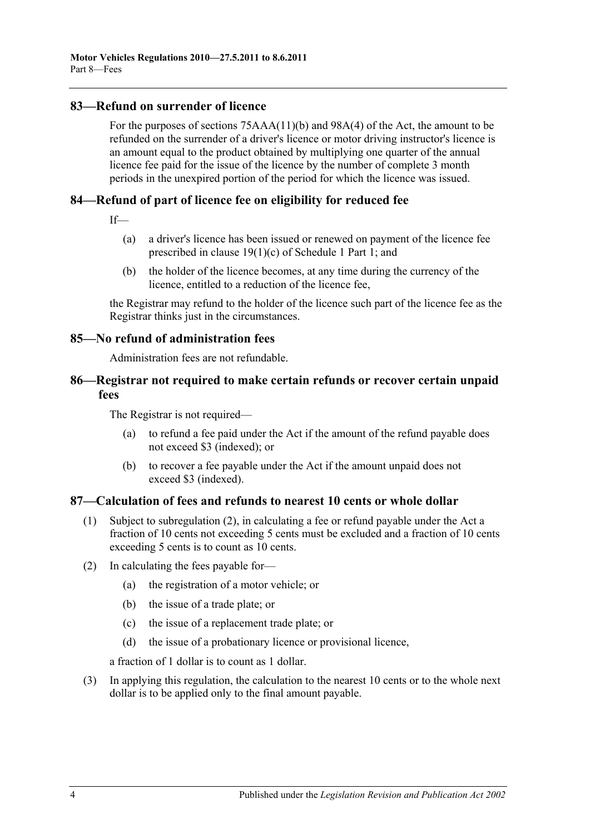### **83—Refund on surrender of licence**

For the purposes of sections 75AAA(11)(b) and 98A(4) of the Act, the amount to be refunded on the surrender of a driver's licence or motor driving instructor's licence is an amount equal to the product obtained by multiplying one quarter of the annual licence fee paid for the issue of the licence by the number of complete 3 month periods in the unexpired portion of the period for which the licence was issued.

# **84—Refund of part of licence fee on eligibility for reduced fee**

 $If$ <sub>—</sub>

- (a) a driver's licence has been issued or renewed on payment of the licence fee prescribed in clause 19(1)(c) of Schedule 1 Part 1; and
- (b) the holder of the licence becomes, at any time during the currency of the licence, entitled to a reduction of the licence fee,

the Registrar may refund to the holder of the licence such part of the licence fee as the Registrar thinks just in the circumstances.

### **85—No refund of administration fees**

Administration fees are not refundable.

### **86—Registrar not required to make certain refunds or recover certain unpaid fees**

The Registrar is not required—

- (a) to refund a fee paid under the Act if the amount of the refund payable does not exceed \$3 (indexed); or
- (b) to recover a fee payable under the Act if the amount unpaid does not exceed \$3 (indexed).

### **87—Calculation of fees and refunds to nearest 10 cents or whole dollar**

- (1) Subject to [subregulation](#page-57-0) (2), in calculating a fee or refund payable under the Act a fraction of 10 cents not exceeding 5 cents must be excluded and a fraction of 10 cents exceeding 5 cents is to count as 10 cents.
- <span id="page-57-0"></span>(2) In calculating the fees payable for—
	- (a) the registration of a motor vehicle; or
	- (b) the issue of a trade plate; or
	- (c) the issue of a replacement trade plate; or
	- (d) the issue of a probationary licence or provisional licence,

a fraction of 1 dollar is to count as 1 dollar.

(3) In applying this regulation, the calculation to the nearest 10 cents or to the whole next dollar is to be applied only to the final amount payable.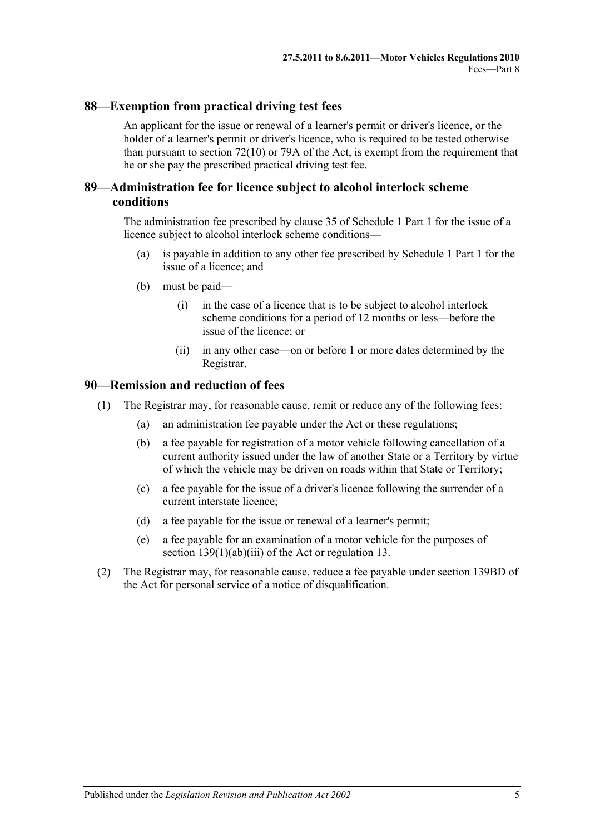### **88—Exemption from practical driving test fees**

An applicant for the issue or renewal of a learner's permit or driver's licence, or the holder of a learner's permit or driver's licence, who is required to be tested otherwise than pursuant to section 72(10) or 79A of the Act, is exempt from the requirement that he or she pay the prescribed practical driving test fee.

### **89—Administration fee for licence subject to alcohol interlock scheme conditions**

The administration fee prescribed by clause 35 of Schedule 1 Part 1 for the issue of a licence subject to alcohol interlock scheme conditions—

- (a) is payable in addition to any other fee prescribed by Schedule 1 Part 1 for the issue of a licence; and
- (b) must be paid—
	- (i) in the case of a licence that is to be subject to alcohol interlock scheme conditions for a period of 12 months or less—before the issue of the licence; or
	- (ii) in any other case—on or before 1 or more dates determined by the Registrar.

### **90—Remission and reduction of fees**

- (1) The Registrar may, for reasonable cause, remit or reduce any of the following fees:
	- (a) an administration fee payable under the Act or these regulations;
	- (b) a fee payable for registration of a motor vehicle following cancellation of a current authority issued under the law of another State or a Territory by virtue of which the vehicle may be driven on roads within that State or Territory;
	- (c) a fee payable for the issue of a driver's licence following the surrender of a current interstate licence;
	- (d) a fee payable for the issue or renewal of a learner's permit;
	- (e) a fee payable for an examination of a motor vehicle for the purposes of section 139(1)(ab)(iii) of the Act or [regulation](#page-12-0) 13.
- (2) The Registrar may, for reasonable cause, reduce a fee payable under section 139BD of the Act for personal service of a notice of disqualification.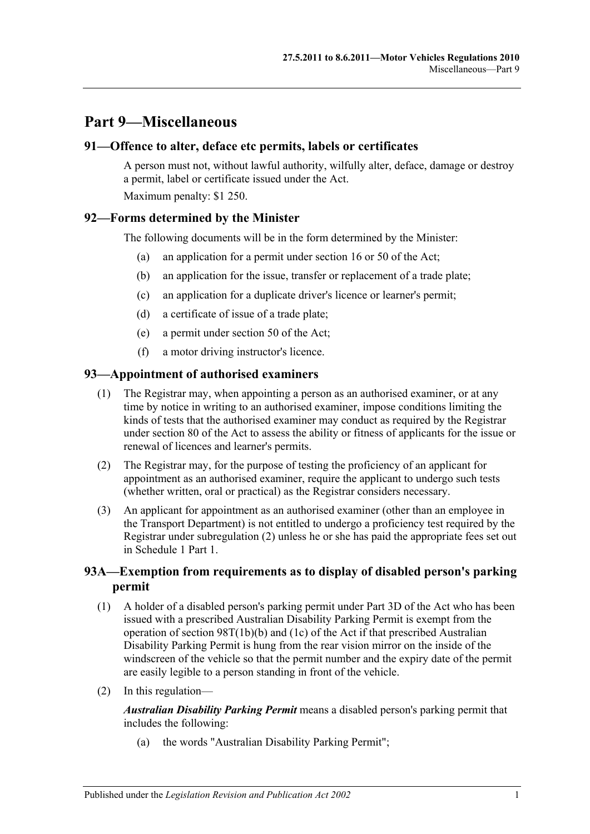# **Part 9—Miscellaneous**

### **91—Offence to alter, deface etc permits, labels or certificates**

A person must not, without lawful authority, wilfully alter, deface, damage or destroy a permit, label or certificate issued under the Act.

Maximum penalty: \$1 250.

### **92—Forms determined by the Minister**

The following documents will be in the form determined by the Minister:

- (a) an application for a permit under section 16 or 50 of the Act;
- (b) an application for the issue, transfer or replacement of a trade plate;
- (c) an application for a duplicate driver's licence or learner's permit;
- (d) a certificate of issue of a trade plate;
- (e) a permit under section 50 of the Act;
- (f) a motor driving instructor's licence.

### **93—Appointment of authorised examiners**

- (1) The Registrar may, when appointing a person as an authorised examiner, or at any time by notice in writing to an authorised examiner, impose conditions limiting the kinds of tests that the authorised examiner may conduct as required by the Registrar under section 80 of the Act to assess the ability or fitness of applicants for the issue or renewal of licences and learner's permits.
- <span id="page-60-0"></span>(2) The Registrar may, for the purpose of testing the proficiency of an applicant for appointment as an authorised examiner, require the applicant to undergo such tests (whether written, oral or practical) as the Registrar considers necessary.
- (3) An applicant for appointment as an authorised examiner (other than an employee in the Transport Department) is not entitled to undergo a proficiency test required by the Registrar under [subregulation](#page-60-0) (2) unless he or she has paid the appropriate fees set out in Schedule 1 Part 1.

# **93A—Exemption from requirements as to display of disabled person's parking permit**

- (1) A holder of a disabled person's parking permit under Part 3D of the Act who has been issued with a prescribed Australian Disability Parking Permit is exempt from the operation of section 98T(1b)(b) and (1c) of the Act if that prescribed Australian Disability Parking Permit is hung from the rear vision mirror on the inside of the windscreen of the vehicle so that the permit number and the expiry date of the permit are easily legible to a person standing in front of the vehicle.
- (2) In this regulation—

*Australian Disability Parking Permit* means a disabled person's parking permit that includes the following:

(a) the words "Australian Disability Parking Permit";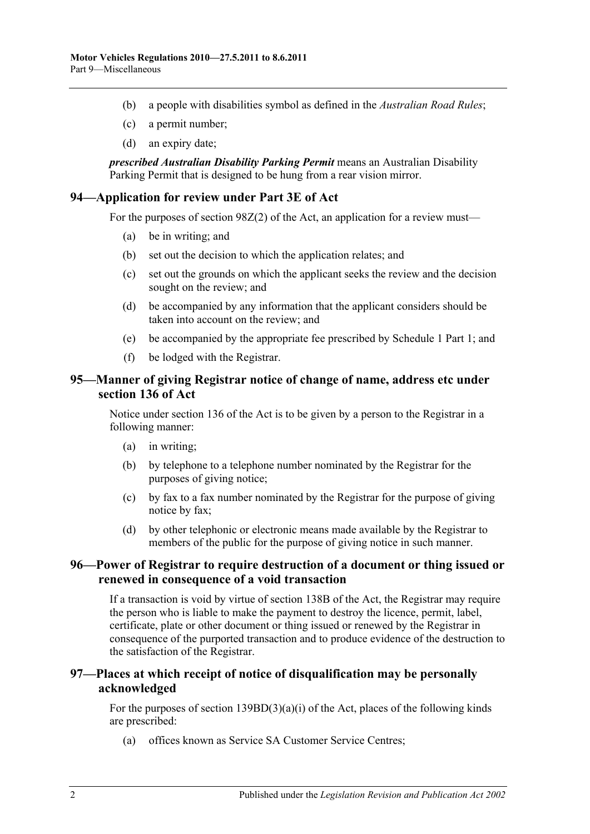- (b) a people with disabilities symbol as defined in the *[Australian Road Rules](http://www.legislation.sa.gov.au/index.aspx?action=legref&type=act&legtitle=Australian%20Road%20Rules)*;
- (c) a permit number;
- (d) an expiry date;

*prescribed Australian Disability Parking Permit* means an Australian Disability Parking Permit that is designed to be hung from a rear vision mirror.

### **94—Application for review under Part 3E of Act**

For the purposes of section 98Z(2) of the Act, an application for a review must—

- (a) be in writing; and
- (b) set out the decision to which the application relates; and
- (c) set out the grounds on which the applicant seeks the review and the decision sought on the review; and
- (d) be accompanied by any information that the applicant considers should be taken into account on the review; and
- (e) be accompanied by the appropriate fee prescribed by Schedule 1 Part 1; and
- (f) be lodged with the Registrar.

### **95—Manner of giving Registrar notice of change of name, address etc under section 136 of Act**

Notice under section 136 of the Act is to be given by a person to the Registrar in a following manner:

- (a) in writing;
- (b) by telephone to a telephone number nominated by the Registrar for the purposes of giving notice;
- (c) by fax to a fax number nominated by the Registrar for the purpose of giving notice by fax;
- (d) by other telephonic or electronic means made available by the Registrar to members of the public for the purpose of giving notice in such manner.

### **96—Power of Registrar to require destruction of a document or thing issued or renewed in consequence of a void transaction**

If a transaction is void by virtue of section 138B of the Act, the Registrar may require the person who is liable to make the payment to destroy the licence, permit, label, certificate, plate or other document or thing issued or renewed by the Registrar in consequence of the purported transaction and to produce evidence of the destruction to the satisfaction of the Registrar.

### **97—Places at which receipt of notice of disqualification may be personally acknowledged**

For the purposes of section  $139BD(3)(a)(i)$  of the Act, places of the following kinds are prescribed:

(a) offices known as Service SA Customer Service Centres;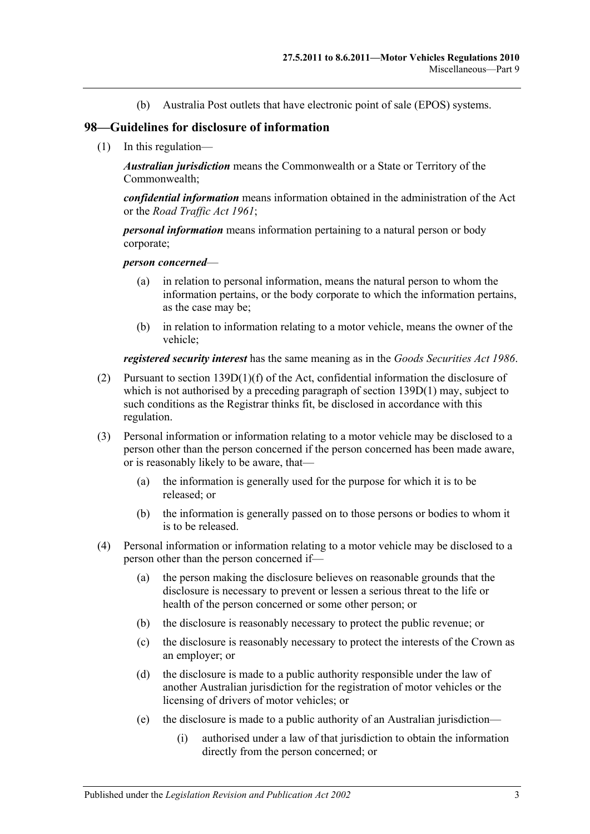(b) Australia Post outlets that have electronic point of sale (EPOS) systems.

### **98—Guidelines for disclosure of information**

(1) In this regulation—

*Australian jurisdiction* means the Commonwealth or a State or Territory of the Commonwealth;

*confidential information* means information obtained in the administration of the Act or the *[Road Traffic Act](http://www.legislation.sa.gov.au/index.aspx?action=legref&type=act&legtitle=Road%20Traffic%20Act%201961) 1961*;

*personal information* means information pertaining to a natural person or body corporate;

#### *person concerned*—

- (a) in relation to personal information, means the natural person to whom the information pertains, or the body corporate to which the information pertains, as the case may be;
- (b) in relation to information relating to a motor vehicle, means the owner of the vehicle;

*registered security interest* has the same meaning as in the *[Goods Securities Act](http://www.legislation.sa.gov.au/index.aspx?action=legref&type=act&legtitle=Goods%20Securities%20Act%201986) 1986*.

- (2) Pursuant to section 139D(1)(f) of the Act, confidential information the disclosure of which is not authorised by a preceding paragraph of section 139D(1) may, subject to such conditions as the Registrar thinks fit, be disclosed in accordance with this regulation.
- (3) Personal information or information relating to a motor vehicle may be disclosed to a person other than the person concerned if the person concerned has been made aware, or is reasonably likely to be aware, that—
	- (a) the information is generally used for the purpose for which it is to be released; or
	- (b) the information is generally passed on to those persons or bodies to whom it is to be released.
- (4) Personal information or information relating to a motor vehicle may be disclosed to a person other than the person concerned if—
	- (a) the person making the disclosure believes on reasonable grounds that the disclosure is necessary to prevent or lessen a serious threat to the life or health of the person concerned or some other person; or
	- (b) the disclosure is reasonably necessary to protect the public revenue; or
	- (c) the disclosure is reasonably necessary to protect the interests of the Crown as an employer; or
	- (d) the disclosure is made to a public authority responsible under the law of another Australian jurisdiction for the registration of motor vehicles or the licensing of drivers of motor vehicles; or
	- (e) the disclosure is made to a public authority of an Australian jurisdiction—
		- (i) authorised under a law of that jurisdiction to obtain the information directly from the person concerned; or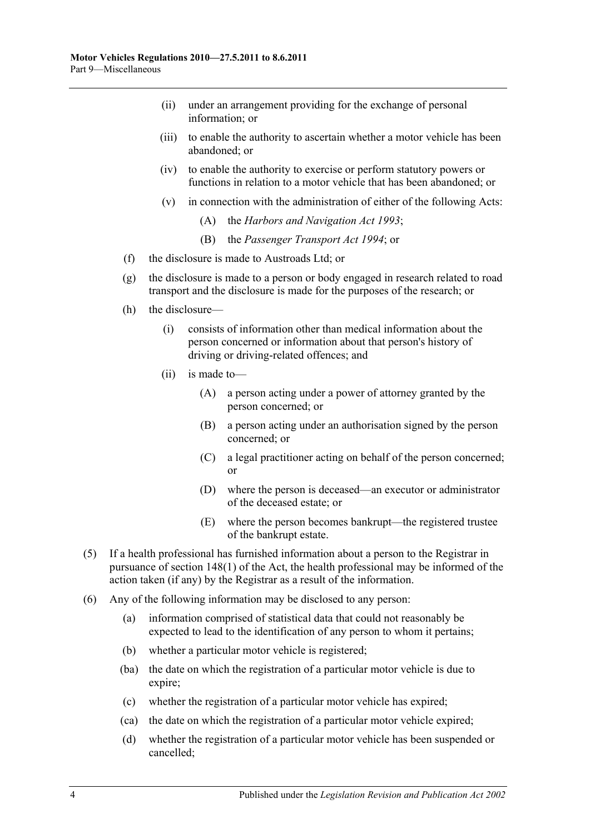- (ii) under an arrangement providing for the exchange of personal information; or
- (iii) to enable the authority to ascertain whether a motor vehicle has been abandoned; or
- (iv) to enable the authority to exercise or perform statutory powers or functions in relation to a motor vehicle that has been abandoned; or
- (v) in connection with the administration of either of the following Acts:
	- (A) the *[Harbors and Navigation](http://www.legislation.sa.gov.au/index.aspx?action=legref&type=act&legtitle=Harbors%20and%20Navigation%20Act%201993) Act 1993*;
	- (B) the *[Passenger Transport Act](http://www.legislation.sa.gov.au/index.aspx?action=legref&type=act&legtitle=Passenger%20Transport%20Act%201994) 1994*; or
- (f) the disclosure is made to Austroads Ltd; or
- (g) the disclosure is made to a person or body engaged in research related to road transport and the disclosure is made for the purposes of the research; or
- (h) the disclosure—
	- (i) consists of information other than medical information about the person concerned or information about that person's history of driving or driving-related offences; and
	- (ii) is made to—
		- (A) a person acting under a power of attorney granted by the person concerned; or
		- (B) a person acting under an authorisation signed by the person concerned; or
		- (C) a legal practitioner acting on behalf of the person concerned; or
		- (D) where the person is deceased—an executor or administrator of the deceased estate; or
		- (E) where the person becomes bankrupt—the registered trustee of the bankrupt estate.
- (5) If a health professional has furnished information about a person to the Registrar in pursuance of section 148(1) of the Act, the health professional may be informed of the action taken (if any) by the Registrar as a result of the information.
- (6) Any of the following information may be disclosed to any person:
	- (a) information comprised of statistical data that could not reasonably be expected to lead to the identification of any person to whom it pertains;
	- (b) whether a particular motor vehicle is registered;
	- (ba) the date on which the registration of a particular motor vehicle is due to expire;
	- (c) whether the registration of a particular motor vehicle has expired;
	- (ca) the date on which the registration of a particular motor vehicle expired;
	- (d) whether the registration of a particular motor vehicle has been suspended or cancelled;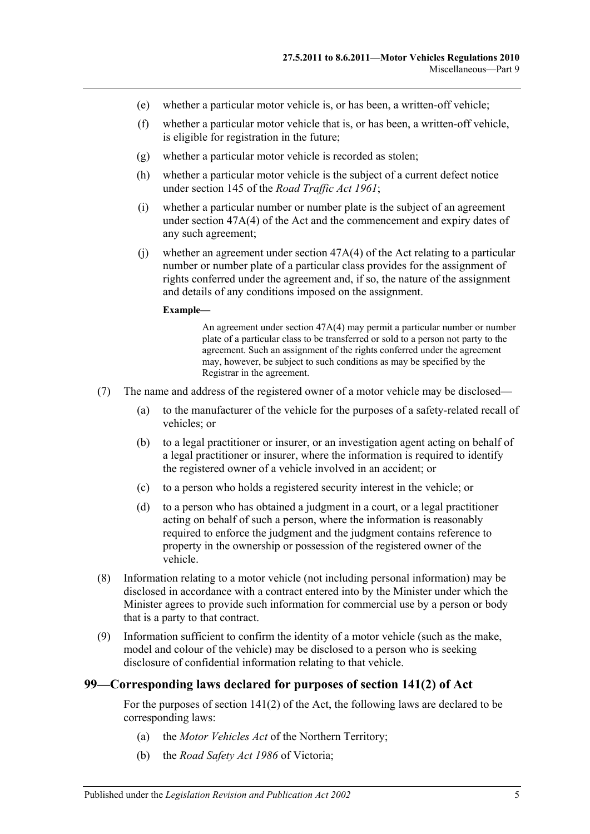- (e) whether a particular motor vehicle is, or has been, a written-off vehicle;
- (f) whether a particular motor vehicle that is, or has been, a written-off vehicle, is eligible for registration in the future;
- (g) whether a particular motor vehicle is recorded as stolen;
- (h) whether a particular motor vehicle is the subject of a current defect notice under section 145 of the *[Road Traffic Act](http://www.legislation.sa.gov.au/index.aspx?action=legref&type=act&legtitle=Road%20Traffic%20Act%201961) 1961*;
- (i) whether a particular number or number plate is the subject of an agreement under section 47A(4) of the Act and the commencement and expiry dates of any such agreement;
- (i) whether an agreement under section  $47A(4)$  of the Act relating to a particular number or number plate of a particular class provides for the assignment of rights conferred under the agreement and, if so, the nature of the assignment and details of any conditions imposed on the assignment.

#### **Example—**

An agreement under section 47A(4) may permit a particular number or number plate of a particular class to be transferred or sold to a person not party to the agreement. Such an assignment of the rights conferred under the agreement may, however, be subject to such conditions as may be specified by the Registrar in the agreement.

- (7) The name and address of the registered owner of a motor vehicle may be disclosed—
	- (a) to the manufacturer of the vehicle for the purposes of a safety-related recall of vehicles; or
	- (b) to a legal practitioner or insurer, or an investigation agent acting on behalf of a legal practitioner or insurer, where the information is required to identify the registered owner of a vehicle involved in an accident; or
	- (c) to a person who holds a registered security interest in the vehicle; or
	- (d) to a person who has obtained a judgment in a court, or a legal practitioner acting on behalf of such a person, where the information is reasonably required to enforce the judgment and the judgment contains reference to property in the ownership or possession of the registered owner of the vehicle.
- <span id="page-64-0"></span>(8) Information relating to a motor vehicle (not including personal information) may be disclosed in accordance with a contract entered into by the Minister under which the Minister agrees to provide such information for commercial use by a person or body that is a party to that contract.
- (9) Information sufficient to confirm the identity of a motor vehicle (such as the make, model and colour of the vehicle) may be disclosed to a person who is seeking disclosure of confidential information relating to that vehicle.

### **99—Corresponding laws declared for purposes of section 141(2) of Act**

For the purposes of section 141(2) of the Act, the following laws are declared to be corresponding laws:

- (a) the *Motor Vehicles Act* of the Northern Territory;
- (b) the *Road Safety Act 1986* of Victoria;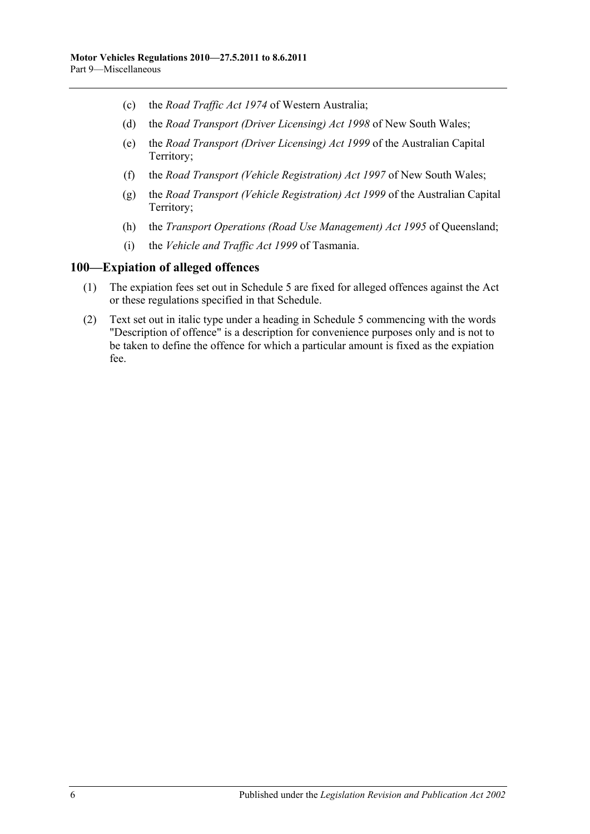- (c) the *Road Traffic Act 1974* of Western Australia;
- (d) the *Road Transport (Driver Licensing) Act 1998* of New South Wales;
- (e) the *Road Transport (Driver Licensing) Act 1999* of the Australian Capital Territory;
- (f) the *Road Transport (Vehicle Registration) Act 1997* of New South Wales;
- (g) the *Road Transport (Vehicle Registration) Act 1999* of the Australian Capital Territory;
- (h) the *Transport Operations (Road Use Management) Act 1995* of Queensland;
- (i) the *Vehicle and Traffic Act 1999* of Tasmania.

### **100—Expiation of alleged offences**

- (1) The expiation fees set out in [Schedule 5](#page-94-0) are fixed for alleged offences against the Act or these regulations specified in that Schedule.
- (2) Text set out in italic type under a heading in [Schedule 5](#page-94-0) commencing with the words "Description of offence" is a description for convenience purposes only and is not to be taken to define the offence for which a particular amount is fixed as the expiation fee.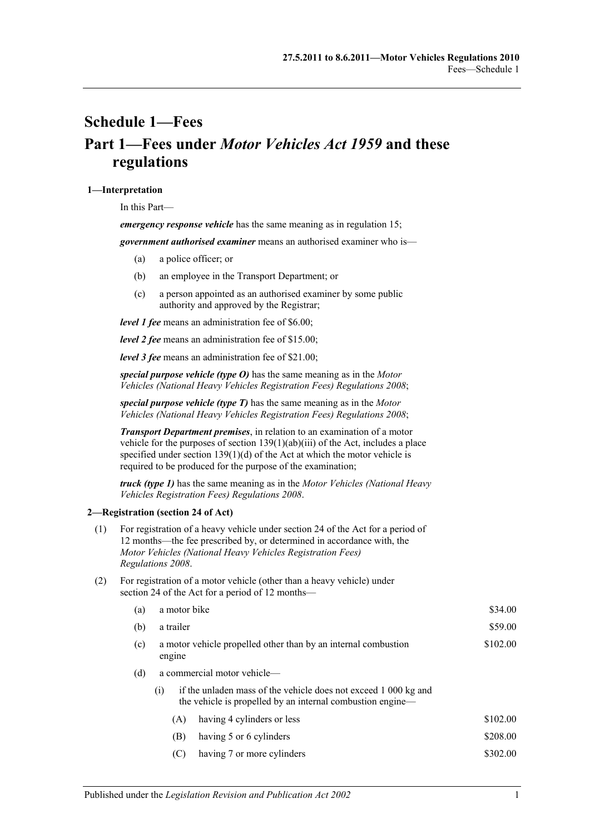# <span id="page-66-0"></span>**Schedule 1—Fees Part 1—Fees under** *Motor Vehicles Act 1959* **and these regulations**

#### **1—Interpretation**

In this Part—

*emergency response vehicle* has the same meaning as in [regulation](#page-13-0) 15;

*government authorised examiner* means an authorised examiner who is—

- (a) a police officer; or
- (b) an employee in the Transport Department; or
- (c) a person appointed as an authorised examiner by some public authority and approved by the Registrar;

*level 1 fee* means an administration fee of \$6.00;

*level 2 fee* means an administration fee of \$15.00;

*level 3 fee* means an administration fee of \$21.00;

*special purpose vehicle (type O)* has the same meaning as in the *[Motor](http://www.legislation.sa.gov.au/index.aspx?action=legref&type=subordleg&legtitle=Motor%20Vehicles%20(National%20Heavy%20Vehicles%20Registration%20Fees)%20Regulations%202008)  [Vehicles \(National Heavy Vehicles Registration Fees\) Regulations](http://www.legislation.sa.gov.au/index.aspx?action=legref&type=subordleg&legtitle=Motor%20Vehicles%20(National%20Heavy%20Vehicles%20Registration%20Fees)%20Regulations%202008) 2008*;

*special purpose vehicle (type T)* has the same meaning as in the *[Motor](http://www.legislation.sa.gov.au/index.aspx?action=legref&type=subordleg&legtitle=Motor%20Vehicles%20(National%20Heavy%20Vehicles%20Registration%20Fees)%20Regulations%202008)  [Vehicles \(National Heavy Vehicles Registration Fees\) Regulations](http://www.legislation.sa.gov.au/index.aspx?action=legref&type=subordleg&legtitle=Motor%20Vehicles%20(National%20Heavy%20Vehicles%20Registration%20Fees)%20Regulations%202008) 2008*;

*Transport Department premises*, in relation to an examination of a motor vehicle for the purposes of section 139(1)(ab)(iii) of the Act, includes a place specified under section  $139(1)(d)$  of the Act at which the motor vehicle is required to be produced for the purpose of the examination;

*truck (type 1)* has the same meaning as in the *[Motor Vehicles \(National Heavy](http://www.legislation.sa.gov.au/index.aspx?action=legref&type=subordleg&legtitle=Motor%20Vehicles%20(National%20Heavy%20Vehicles%20Registration%20Fees)%20Regulations%202008)  [Vehicles Registration Fees\) Regulations](http://www.legislation.sa.gov.au/index.aspx?action=legref&type=subordleg&legtitle=Motor%20Vehicles%20(National%20Heavy%20Vehicles%20Registration%20Fees)%20Regulations%202008) 2008*.

#### **2—Registration (section 24 of Act)**

| (1) | For registration of a heavy vehicle under section 24 of the Act for a period of |
|-----|---------------------------------------------------------------------------------|
|     | 12 months—the fee prescribed by, or determined in accordance with, the          |
|     | Motor Vehicles (National Heavy Vehicles Registration Fees)                      |
|     | Regulations 2008.                                                               |

(2) For registration of a motor vehicle (other than a heavy vehicle) under section 24 of the Act for a period of 12 months—

| (a) |        | a motor bike                                                                                                                  |          |  |  |
|-----|--------|-------------------------------------------------------------------------------------------------------------------------------|----------|--|--|
| (b) |        | a trailer                                                                                                                     |          |  |  |
| (c) | engine | a motor vehicle propelled other than by an internal combustion                                                                |          |  |  |
| (d) |        | a commercial motor vehicle—                                                                                                   |          |  |  |
|     | (i)    | if the unladen mass of the vehicle does not exceed 1 000 kg and<br>the vehicle is propelled by an internal combustion engine— |          |  |  |
|     | (A)    | having 4 cylinders or less                                                                                                    | \$102.00 |  |  |
|     | (B)    | having 5 or 6 cylinders                                                                                                       | \$208.00 |  |  |
|     | (C)    | having 7 or more cylinders                                                                                                    | \$302.00 |  |  |
|     |        |                                                                                                                               |          |  |  |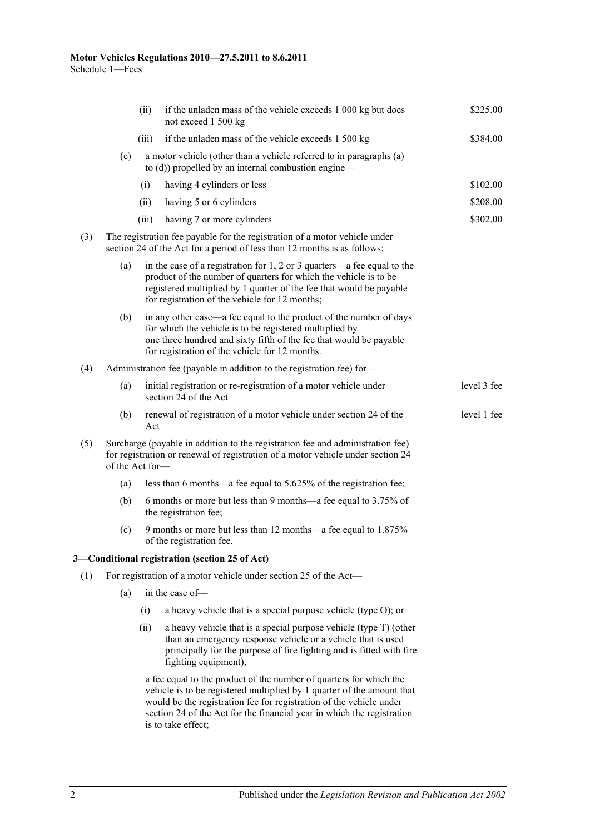|     |                 | (ii)  | if the unladen mass of the vehicle exceeds 1 000 kg but does<br>not exceed 1 500 kg                                                                                                                                                                                                                                 | \$225.00    |
|-----|-----------------|-------|---------------------------------------------------------------------------------------------------------------------------------------------------------------------------------------------------------------------------------------------------------------------------------------------------------------------|-------------|
|     |                 | (iii) | if the unladen mass of the vehicle exceeds 1 500 kg                                                                                                                                                                                                                                                                 | \$384.00    |
|     | (e)             |       | a motor vehicle (other than a vehicle referred to in paragraphs (a)<br>to $(d)$ ) propelled by an internal combustion engine—                                                                                                                                                                                       |             |
|     |                 | (i)   | having 4 cylinders or less                                                                                                                                                                                                                                                                                          | \$102.00    |
|     |                 | (ii)  | having 5 or 6 cylinders                                                                                                                                                                                                                                                                                             | \$208.00    |
|     |                 | (iii) | having 7 or more cylinders                                                                                                                                                                                                                                                                                          | \$302.00    |
| (3) |                 |       | The registration fee payable for the registration of a motor vehicle under<br>section 24 of the Act for a period of less than 12 months is as follows:                                                                                                                                                              |             |
|     | (a)             |       | in the case of a registration for $1, 2$ or $3$ quarters—a fee equal to the<br>product of the number of quarters for which the vehicle is to be<br>registered multiplied by 1 quarter of the fee that would be payable<br>for registration of the vehicle for 12 months;                                            |             |
|     | (b)             |       | in any other case—a fee equal to the product of the number of days<br>for which the vehicle is to be registered multiplied by<br>one three hundred and sixty fifth of the fee that would be payable<br>for registration of the vehicle for 12 months.                                                               |             |
| (4) |                 |       | Administration fee (payable in addition to the registration fee) for-                                                                                                                                                                                                                                               |             |
|     | (a)             |       | initial registration or re-registration of a motor vehicle under<br>section 24 of the Act                                                                                                                                                                                                                           | level 3 fee |
|     | (b)             | Act   | renewal of registration of a motor vehicle under section 24 of the                                                                                                                                                                                                                                                  | level 1 fee |
| (5) | of the Act for- |       | Surcharge (payable in addition to the registration fee and administration fee)<br>for registration or renewal of registration of a motor vehicle under section 24                                                                                                                                                   |             |
|     | (a)             |       | less than 6 months—a fee equal to 5.625% of the registration fee;                                                                                                                                                                                                                                                   |             |
|     | (b)             |       | 6 months or more but less than 9 months—a fee equal to 3.75% of<br>the registration fee;                                                                                                                                                                                                                            |             |
|     | (c)             |       | 9 months or more but less than 12 months—a fee equal to 1.875%<br>of the registration fee.                                                                                                                                                                                                                          |             |
|     |                 |       | 3-Conditional registration (section 25 of Act)                                                                                                                                                                                                                                                                      |             |
| (1) |                 |       | For registration of a motor vehicle under section 25 of the Act-                                                                                                                                                                                                                                                    |             |
|     | (a)             |       | in the case of-                                                                                                                                                                                                                                                                                                     |             |
|     |                 | (i)   | a heavy vehicle that is a special purpose vehicle (type O); or                                                                                                                                                                                                                                                      |             |
|     |                 | (ii)  | a heavy vehicle that is a special purpose vehicle (type T) (other<br>than an emergency response vehicle or a vehicle that is used<br>principally for the purpose of fire fighting and is fitted with fire<br>fighting equipment),                                                                                   |             |
|     |                 |       | a fee equal to the product of the number of quarters for which the<br>vehicle is to be registered multiplied by 1 quarter of the amount that<br>would be the registration fee for registration of the vehicle under<br>section 24 of the Act for the financial year in which the registration<br>is to take effect; |             |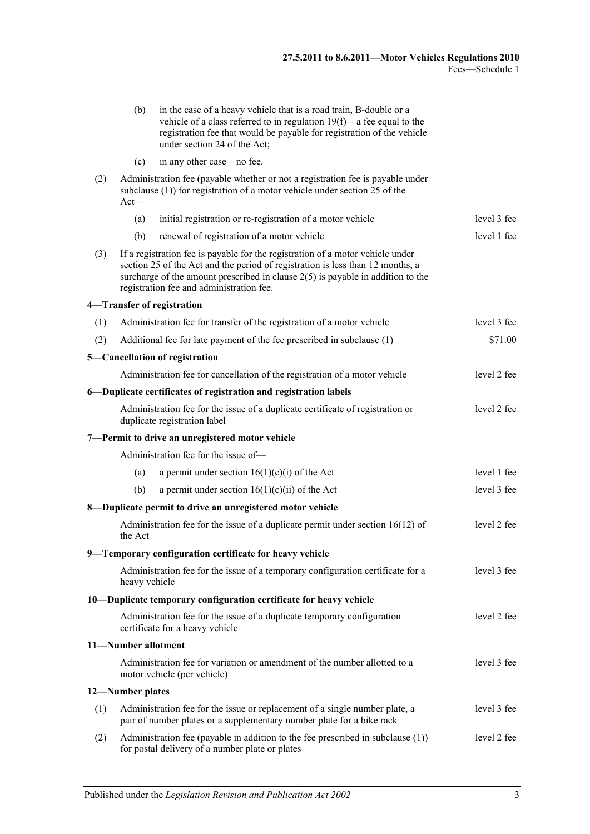|     | (b)                                                                                                                                                                                                                                                                                               | in the case of a heavy vehicle that is a road train, B-double or a<br>vehicle of a class referred to in regulation $19(f)$ —a fee equal to the<br>registration fee that would be payable for registration of the vehicle<br>under section 24 of the Act; |             |  |  |  |
|-----|---------------------------------------------------------------------------------------------------------------------------------------------------------------------------------------------------------------------------------------------------------------------------------------------------|----------------------------------------------------------------------------------------------------------------------------------------------------------------------------------------------------------------------------------------------------------|-------------|--|--|--|
|     | (c)                                                                                                                                                                                                                                                                                               | in any other case—no fee.                                                                                                                                                                                                                                |             |  |  |  |
| (2) | $Act$ —                                                                                                                                                                                                                                                                                           | Administration fee (payable whether or not a registration fee is payable under<br>subclause $(1)$ ) for registration of a motor vehicle under section 25 of the                                                                                          |             |  |  |  |
|     | (a)                                                                                                                                                                                                                                                                                               | initial registration or re-registration of a motor vehicle                                                                                                                                                                                               | level 3 fee |  |  |  |
|     | (b)                                                                                                                                                                                                                                                                                               | renewal of registration of a motor vehicle                                                                                                                                                                                                               | level 1 fee |  |  |  |
| (3) | If a registration fee is payable for the registration of a motor vehicle under<br>section 25 of the Act and the period of registration is less than 12 months, a<br>surcharge of the amount prescribed in clause $2(5)$ is payable in addition to the<br>registration fee and administration fee. |                                                                                                                                                                                                                                                          |             |  |  |  |
|     |                                                                                                                                                                                                                                                                                                   | 4-Transfer of registration                                                                                                                                                                                                                               |             |  |  |  |
| (1) |                                                                                                                                                                                                                                                                                                   | Administration fee for transfer of the registration of a motor vehicle                                                                                                                                                                                   | level 3 fee |  |  |  |
| (2) |                                                                                                                                                                                                                                                                                                   | Additional fee for late payment of the fee prescribed in subclause (1)                                                                                                                                                                                   | \$71.00     |  |  |  |
|     |                                                                                                                                                                                                                                                                                                   | 5-Cancellation of registration                                                                                                                                                                                                                           |             |  |  |  |
|     |                                                                                                                                                                                                                                                                                                   | Administration fee for cancellation of the registration of a motor vehicle                                                                                                                                                                               | level 2 fee |  |  |  |
|     |                                                                                                                                                                                                                                                                                                   | 6-Duplicate certificates of registration and registration labels                                                                                                                                                                                         |             |  |  |  |
|     |                                                                                                                                                                                                                                                                                                   | Administration fee for the issue of a duplicate certificate of registration or<br>duplicate registration label                                                                                                                                           | level 2 fee |  |  |  |
|     |                                                                                                                                                                                                                                                                                                   | 7-Permit to drive an unregistered motor vehicle                                                                                                                                                                                                          |             |  |  |  |
|     |                                                                                                                                                                                                                                                                                                   | Administration fee for the issue of-                                                                                                                                                                                                                     |             |  |  |  |
|     | (a)                                                                                                                                                                                                                                                                                               | a permit under section $16(1)(c)(i)$ of the Act                                                                                                                                                                                                          | level 1 fee |  |  |  |
|     | (b)                                                                                                                                                                                                                                                                                               | a permit under section $16(1)(c)(ii)$ of the Act                                                                                                                                                                                                         | level 3 fee |  |  |  |
|     |                                                                                                                                                                                                                                                                                                   | 8-Duplicate permit to drive an unregistered motor vehicle                                                                                                                                                                                                |             |  |  |  |
|     | the Act                                                                                                                                                                                                                                                                                           | Administration fee for the issue of a duplicate permit under section $16(12)$ of                                                                                                                                                                         | level 2 fee |  |  |  |
|     |                                                                                                                                                                                                                                                                                                   | 9-Temporary configuration certificate for heavy vehicle                                                                                                                                                                                                  |             |  |  |  |
|     | heavy vehicle                                                                                                                                                                                                                                                                                     | Administration fee for the issue of a temporary configuration certificate for a                                                                                                                                                                          | level 3 fee |  |  |  |
|     |                                                                                                                                                                                                                                                                                                   | 10—Duplicate temporary configuration certificate for heavy vehicle                                                                                                                                                                                       |             |  |  |  |
|     |                                                                                                                                                                                                                                                                                                   | Administration fee for the issue of a duplicate temporary configuration<br>certificate for a heavy vehicle                                                                                                                                               | level 2 fee |  |  |  |
|     | 11-Number allotment                                                                                                                                                                                                                                                                               |                                                                                                                                                                                                                                                          |             |  |  |  |
|     |                                                                                                                                                                                                                                                                                                   | Administration fee for variation or amendment of the number allotted to a<br>motor vehicle (per vehicle)                                                                                                                                                 | level 3 fee |  |  |  |
|     | 12-Number plates                                                                                                                                                                                                                                                                                  |                                                                                                                                                                                                                                                          |             |  |  |  |
| (1) |                                                                                                                                                                                                                                                                                                   | Administration fee for the issue or replacement of a single number plate, a<br>pair of number plates or a supplementary number plate for a bike rack                                                                                                     | level 3 fee |  |  |  |
| (2) |                                                                                                                                                                                                                                                                                                   | Administration fee (payable in addition to the fee prescribed in subclause $(1)$ )<br>for postal delivery of a number plate or plates                                                                                                                    | level 2 fee |  |  |  |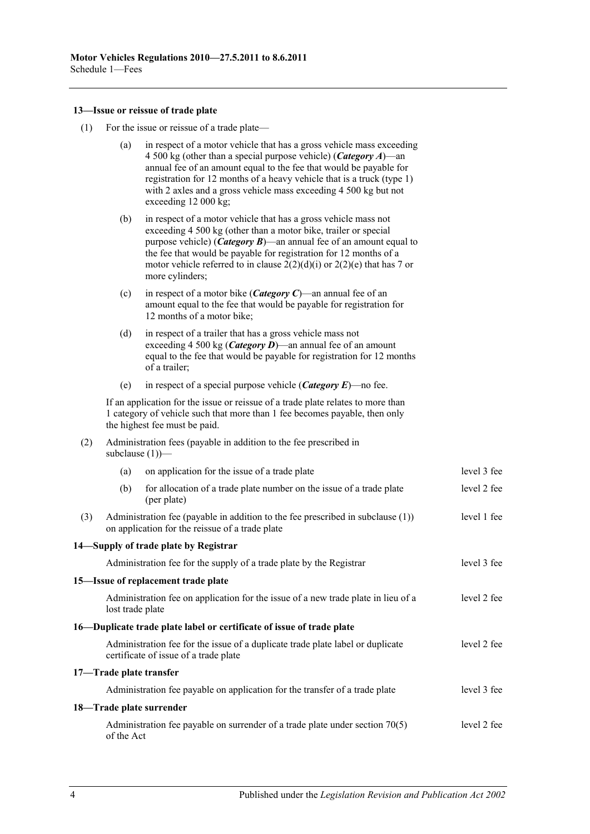### **13—Issue or reissue of trade plate**

(1) For the issue or reissue of a trade plate—

|     | (a)                                                                                                                                                  | in respect of a motor vehicle that has a gross vehicle mass exceeding<br>4 500 kg (other than a special purpose vehicle) ( <i>Category A</i> )—an<br>annual fee of an amount equal to the fee that would be payable for<br>registration for 12 months of a heavy vehicle that is a truck (type 1)<br>with 2 axles and a gross vehicle mass exceeding 4 500 kg but not<br>exceeding 12 000 kg; |             |  |  |  |
|-----|------------------------------------------------------------------------------------------------------------------------------------------------------|-----------------------------------------------------------------------------------------------------------------------------------------------------------------------------------------------------------------------------------------------------------------------------------------------------------------------------------------------------------------------------------------------|-------------|--|--|--|
|     | (b)                                                                                                                                                  | in respect of a motor vehicle that has a gross vehicle mass not<br>exceeding 4 500 kg (other than a motor bike, trailer or special<br>purpose vehicle) ( <i>Category B</i> )—an annual fee of an amount equal to<br>the fee that would be payable for registration for 12 months of a<br>motor vehicle referred to in clause $2(2)(d)(i)$ or $2(2)(e)$ that has 7 or<br>more cylinders;       |             |  |  |  |
|     | (c)                                                                                                                                                  | in respect of a motor bike ( <i>Category C</i> )—an annual fee of an<br>amount equal to the fee that would be payable for registration for<br>12 months of a motor bike;                                                                                                                                                                                                                      |             |  |  |  |
|     | (d)                                                                                                                                                  | in respect of a trailer that has a gross vehicle mass not<br>exceeding 4 500 kg ( <i>Category D</i> )—an annual fee of an amount<br>equal to the fee that would be payable for registration for 12 months<br>of a trailer;                                                                                                                                                                    |             |  |  |  |
|     | (e)                                                                                                                                                  | in respect of a special purpose vehicle ( <i>Category E</i> )—no fee.                                                                                                                                                                                                                                                                                                                         |             |  |  |  |
|     |                                                                                                                                                      | If an application for the issue or reissue of a trade plate relates to more than<br>1 category of vehicle such that more than 1 fee becomes payable, then only<br>the highest fee must be paid.                                                                                                                                                                                               |             |  |  |  |
| (2) |                                                                                                                                                      | Administration fees (payable in addition to the fee prescribed in<br>subclause $(1)$ ) $-$                                                                                                                                                                                                                                                                                                    |             |  |  |  |
|     | (a)                                                                                                                                                  | on application for the issue of a trade plate                                                                                                                                                                                                                                                                                                                                                 | level 3 fee |  |  |  |
|     | (b)                                                                                                                                                  | for allocation of a trade plate number on the issue of a trade plate<br>(per plate)                                                                                                                                                                                                                                                                                                           | level 2 fee |  |  |  |
| (3) | Administration fee (payable in addition to the fee prescribed in subclause $(1)$ )<br>level 1 fee<br>on application for the reissue of a trade plate |                                                                                                                                                                                                                                                                                                                                                                                               |             |  |  |  |
|     |                                                                                                                                                      | 14—Supply of trade plate by Registrar                                                                                                                                                                                                                                                                                                                                                         |             |  |  |  |
|     |                                                                                                                                                      | Administration fee for the supply of a trade plate by the Registrar                                                                                                                                                                                                                                                                                                                           | level 3 fee |  |  |  |
|     |                                                                                                                                                      | 15-Issue of replacement trade plate                                                                                                                                                                                                                                                                                                                                                           |             |  |  |  |
|     | Administration fee on application for the issue of a new trade plate in lieu of a<br>lost trade plate                                                |                                                                                                                                                                                                                                                                                                                                                                                               |             |  |  |  |
|     |                                                                                                                                                      | 16—Duplicate trade plate label or certificate of issue of trade plate                                                                                                                                                                                                                                                                                                                         |             |  |  |  |
|     |                                                                                                                                                      | Administration fee for the issue of a duplicate trade plate label or duplicate<br>certificate of issue of a trade plate                                                                                                                                                                                                                                                                       | level 2 fee |  |  |  |
|     |                                                                                                                                                      | 17-Trade plate transfer                                                                                                                                                                                                                                                                                                                                                                       |             |  |  |  |
|     |                                                                                                                                                      | Administration fee payable on application for the transfer of a trade plate                                                                                                                                                                                                                                                                                                                   | level 3 fee |  |  |  |
|     |                                                                                                                                                      | 18-Trade plate surrender                                                                                                                                                                                                                                                                                                                                                                      |             |  |  |  |
|     | Administration fee payable on surrender of a trade plate under section $70(5)$<br>level 2 fee<br>of the Act                                          |                                                                                                                                                                                                                                                                                                                                                                                               |             |  |  |  |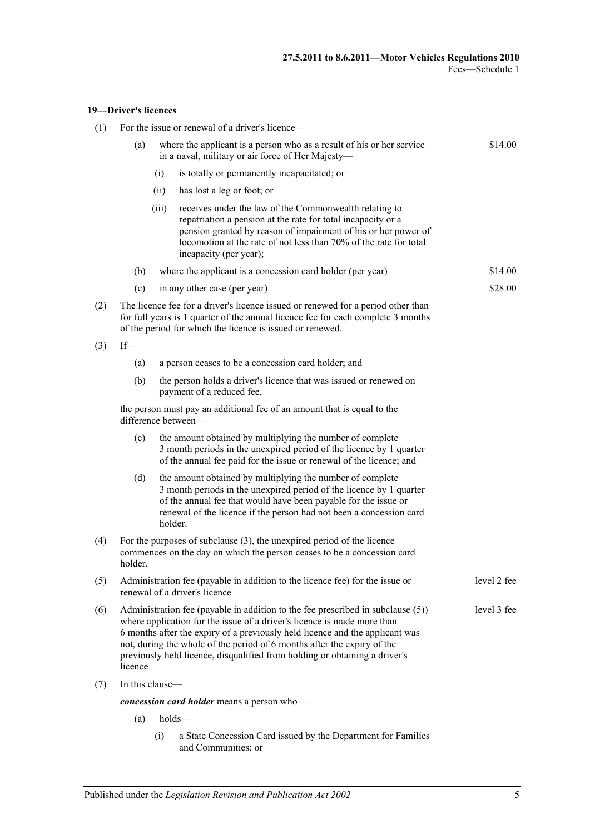#### **19—Driver's licences**

| (1) | For the issue or renewal of a driver's licence-                                                                                                                                                                                                                                                                                                                                                                               |      |                                                                                                                                                                                                                                                                                         |         |  |  |
|-----|-------------------------------------------------------------------------------------------------------------------------------------------------------------------------------------------------------------------------------------------------------------------------------------------------------------------------------------------------------------------------------------------------------------------------------|------|-----------------------------------------------------------------------------------------------------------------------------------------------------------------------------------------------------------------------------------------------------------------------------------------|---------|--|--|
|     | (a)                                                                                                                                                                                                                                                                                                                                                                                                                           |      | where the applicant is a person who as a result of his or her service<br>in a naval, military or air force of Her Majesty-                                                                                                                                                              | \$14.00 |  |  |
|     |                                                                                                                                                                                                                                                                                                                                                                                                                               | (i)  | is totally or permanently incapacitated; or                                                                                                                                                                                                                                             |         |  |  |
|     |                                                                                                                                                                                                                                                                                                                                                                                                                               | (ii) | has lost a leg or foot; or                                                                                                                                                                                                                                                              |         |  |  |
|     | (iii)                                                                                                                                                                                                                                                                                                                                                                                                                         |      | receives under the law of the Commonwealth relating to<br>repatriation a pension at the rate for total incapacity or a<br>pension granted by reason of impairment of his or her power of<br>locomotion at the rate of not less than 70% of the rate for total<br>incapacity (per year); |         |  |  |
|     | (b)                                                                                                                                                                                                                                                                                                                                                                                                                           |      | where the applicant is a concession card holder (per year)                                                                                                                                                                                                                              | \$14.00 |  |  |
|     | (c)                                                                                                                                                                                                                                                                                                                                                                                                                           |      | in any other case (per year)                                                                                                                                                                                                                                                            | \$28.00 |  |  |
| (2) | The licence fee for a driver's licence issued or renewed for a period other than<br>for full years is 1 quarter of the annual licence fee for each complete 3 months<br>of the period for which the licence is issued or renewed.                                                                                                                                                                                             |      |                                                                                                                                                                                                                                                                                         |         |  |  |
| (3) | If                                                                                                                                                                                                                                                                                                                                                                                                                            |      |                                                                                                                                                                                                                                                                                         |         |  |  |
|     | (a)                                                                                                                                                                                                                                                                                                                                                                                                                           |      | a person ceases to be a concession card holder; and                                                                                                                                                                                                                                     |         |  |  |
|     | (b)                                                                                                                                                                                                                                                                                                                                                                                                                           |      | the person holds a driver's licence that was issued or renewed on<br>payment of a reduced fee,                                                                                                                                                                                          |         |  |  |
|     | the person must pay an additional fee of an amount that is equal to the<br>difference between-                                                                                                                                                                                                                                                                                                                                |      |                                                                                                                                                                                                                                                                                         |         |  |  |
|     | (c)                                                                                                                                                                                                                                                                                                                                                                                                                           |      | the amount obtained by multiplying the number of complete<br>3 month periods in the unexpired period of the licence by 1 quarter<br>of the annual fee paid for the issue or renewal of the licence; and                                                                                 |         |  |  |
|     | (d)                                                                                                                                                                                                                                                                                                                                                                                                                           |      | the amount obtained by multiplying the number of complete<br>3 month periods in the unexpired period of the licence by 1 quarter<br>of the annual fee that would have been payable for the issue or<br>renewal of the licence if the person had not been a concession card<br>holder.   |         |  |  |
| (4) | For the purposes of subclause $(3)$ , the unexpired period of the licence<br>commences on the day on which the person ceases to be a concession card<br>holder.                                                                                                                                                                                                                                                               |      |                                                                                                                                                                                                                                                                                         |         |  |  |
| (5) | Administration fee (payable in addition to the licence fee) for the issue or<br>level 2 fee<br>renewal of a driver's licence                                                                                                                                                                                                                                                                                                  |      |                                                                                                                                                                                                                                                                                         |         |  |  |
| (6) | level 3 fee<br>Administration fee (payable in addition to the fee prescribed in subclause (5))<br>where application for the issue of a driver's licence is made more than<br>6 months after the expiry of a previously held licence and the applicant was<br>not, during the whole of the period of 6 months after the expiry of the<br>previously held licence, disqualified from holding or obtaining a driver's<br>licence |      |                                                                                                                                                                                                                                                                                         |         |  |  |
| (7) | In this clause-                                                                                                                                                                                                                                                                                                                                                                                                               |      |                                                                                                                                                                                                                                                                                         |         |  |  |
|     |                                                                                                                                                                                                                                                                                                                                                                                                                               |      | concession card holder means a person who-                                                                                                                                                                                                                                              |         |  |  |
|     | (a)                                                                                                                                                                                                                                                                                                                                                                                                                           |      | holds-                                                                                                                                                                                                                                                                                  |         |  |  |
|     |                                                                                                                                                                                                                                                                                                                                                                                                                               | (i)  | a State Concession Card issued by the Department for Families<br>and Communities; or                                                                                                                                                                                                    |         |  |  |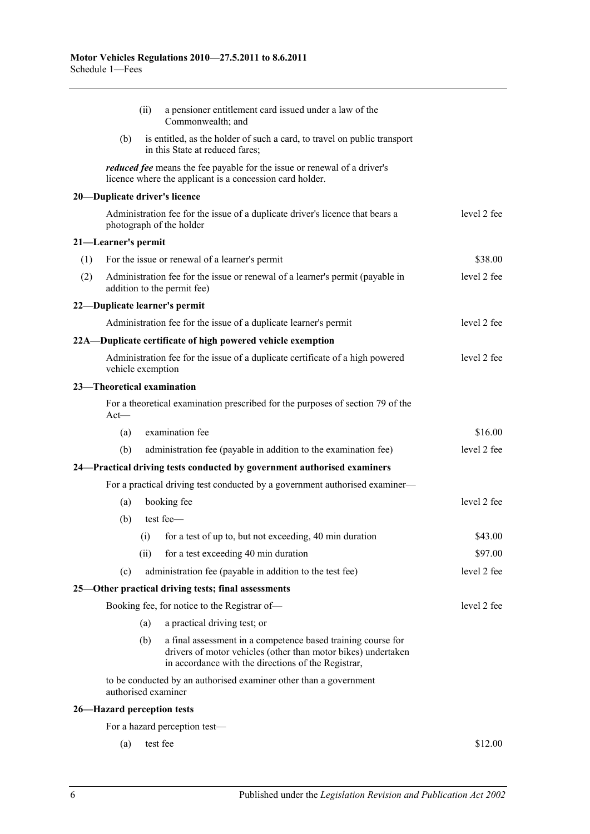|     |                     | (ii) | a pensioner entitlement card issued under a law of the<br>Commonwealth; and                                                                                                          |             |
|-----|---------------------|------|--------------------------------------------------------------------------------------------------------------------------------------------------------------------------------------|-------------|
|     | (b)                 |      |                                                                                                                                                                                      |             |
|     |                     |      | <i>reduced fee</i> means the fee payable for the issue or renewal of a driver's<br>licence where the applicant is a concession card holder.                                          |             |
|     |                     |      | 20-Duplicate driver's licence                                                                                                                                                        |             |
|     |                     |      | Administration fee for the issue of a duplicate driver's licence that bears a<br>photograph of the holder                                                                            | level 2 fee |
|     | 21-Learner's permit |      |                                                                                                                                                                                      |             |
| (1) |                     |      | For the issue or renewal of a learner's permit                                                                                                                                       | \$38.00     |
| (2) |                     |      | Administration fee for the issue or renewal of a learner's permit (payable in<br>addition to the permit fee)                                                                         | level 2 fee |
|     |                     |      | 22-Duplicate learner's permit                                                                                                                                                        |             |
|     |                     |      | Administration fee for the issue of a duplicate learner's permit                                                                                                                     | level 2 fee |
|     |                     |      | 22A—Duplicate certificate of high powered vehicle exemption                                                                                                                          |             |
|     | vehicle exemption   |      | Administration fee for the issue of a duplicate certificate of a high powered                                                                                                        | level 2 fee |
|     |                     |      | 23-Theoretical examination                                                                                                                                                           |             |
|     | $Act$ —             |      | For a theoretical examination prescribed for the purposes of section 79 of the                                                                                                       |             |
|     | (a)                 |      | examination fee                                                                                                                                                                      | \$16.00     |
|     | (b)                 |      | administration fee (payable in addition to the examination fee)                                                                                                                      | level 2 fee |
|     |                     |      | 24-Practical driving tests conducted by government authorised examiners                                                                                                              |             |
|     |                     |      | For a practical driving test conducted by a government authorised examiner-                                                                                                          |             |
|     | (a)                 |      | booking fee                                                                                                                                                                          | level 2 fee |
|     | (b)                 |      | test fee-                                                                                                                                                                            |             |
|     |                     | (i)  | for a test of up to, but not exceeding, 40 min duration                                                                                                                              | \$43.00     |
|     |                     | (ii) | for a test exceeding 40 min duration                                                                                                                                                 | \$97.00     |
|     | (c)                 |      | administration fee (payable in addition to the test fee)                                                                                                                             | level 2 fee |
|     |                     |      | 25-Other practical driving tests; final assessments                                                                                                                                  |             |
|     |                     |      | Booking fee, for notice to the Registrar of-                                                                                                                                         | level 2 fee |
|     |                     | (a)  | a practical driving test; or                                                                                                                                                         |             |
|     |                     | (b)  | a final assessment in a competence based training course for<br>drivers of motor vehicles (other than motor bikes) undertaken<br>in accordance with the directions of the Registrar, |             |
|     |                     |      | to be conducted by an authorised examiner other than a government<br>authorised examiner                                                                                             |             |
|     |                     |      | 26-Hazard perception tests                                                                                                                                                           |             |
|     |                     |      | For a hazard perception test—                                                                                                                                                        |             |
|     | (a)                 |      | test fee                                                                                                                                                                             | \$12.00     |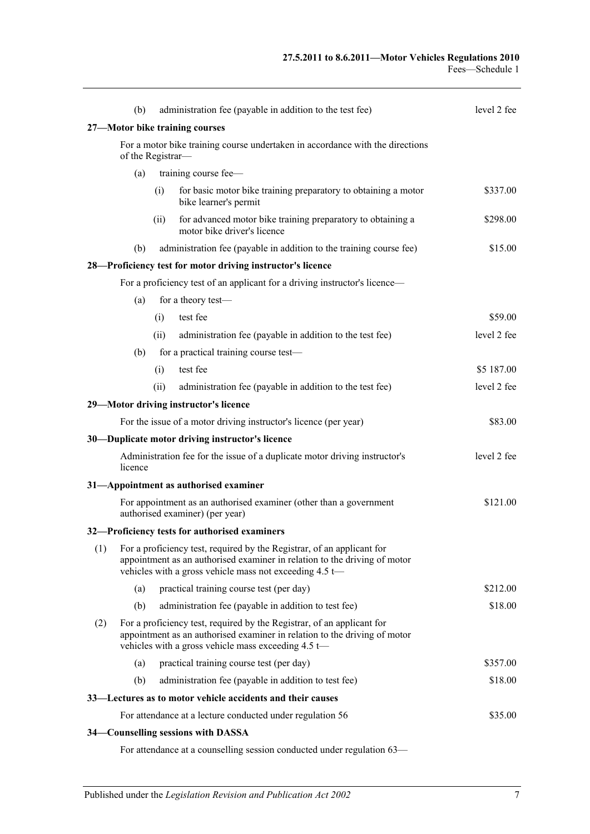|     | (b)     | administration fee (payable in addition to the test fee)                                                                                                                                                             | level 2 fee |
|-----|---------|----------------------------------------------------------------------------------------------------------------------------------------------------------------------------------------------------------------------|-------------|
|     |         | 27-Motor bike training courses                                                                                                                                                                                       |             |
|     |         | For a motor bike training course undertaken in accordance with the directions<br>of the Registrar-                                                                                                                   |             |
|     | (a)     | training course fee-                                                                                                                                                                                                 |             |
|     |         | for basic motor bike training preparatory to obtaining a motor<br>(i)<br>bike learner's permit                                                                                                                       | \$337.00    |
|     |         | for advanced motor bike training preparatory to obtaining a<br>(ii)<br>motor bike driver's licence                                                                                                                   | \$298.00    |
|     | (b)     | administration fee (payable in addition to the training course fee)                                                                                                                                                  | \$15.00     |
|     |         | 28-Proficiency test for motor driving instructor's licence                                                                                                                                                           |             |
|     |         | For a proficiency test of an applicant for a driving instructor's licence—                                                                                                                                           |             |
|     | (a)     | for a theory test-                                                                                                                                                                                                   |             |
|     |         | test fee<br>(i)                                                                                                                                                                                                      | \$59.00     |
|     |         | administration fee (payable in addition to the test fee)<br>(ii)                                                                                                                                                     | level 2 fee |
|     | (b)     | for a practical training course test-                                                                                                                                                                                |             |
|     |         | test fee<br>(i)                                                                                                                                                                                                      | \$5 187.00  |
|     |         | administration fee (payable in addition to the test fee)<br>(ii)                                                                                                                                                     | level 2 fee |
|     |         | 29-Motor driving instructor's licence                                                                                                                                                                                |             |
|     |         | For the issue of a motor driving instructor's licence (per year)                                                                                                                                                     | \$83.00     |
|     |         | 30-Duplicate motor driving instructor's licence                                                                                                                                                                      |             |
|     | licence | Administration fee for the issue of a duplicate motor driving instructor's                                                                                                                                           | level 2 fee |
|     |         | 31-Appointment as authorised examiner                                                                                                                                                                                |             |
|     |         | For appointment as an authorised examiner (other than a government<br>authorised examiner) (per year)                                                                                                                | \$121.00    |
|     |         | 32-Proficiency tests for authorised examiners                                                                                                                                                                        |             |
| (1) |         | For a proficiency test, required by the Registrar, of an applicant for<br>appointment as an authorised examiner in relation to the driving of motor<br>vehicles with a gross vehicle mass not exceeding 4.5 t-       |             |
|     | (a)     | practical training course test (per day)                                                                                                                                                                             | \$212.00    |
|     | (b)     | administration fee (payable in addition to test fee)                                                                                                                                                                 | \$18.00     |
| (2) |         | For a proficiency test, required by the Registrar, of an applicant for<br>appointment as an authorised examiner in relation to the driving of motor<br>vehicles with a gross vehicle mass exceeding $4.5 \leftarrow$ |             |
|     | (a)     | practical training course test (per day)                                                                                                                                                                             | \$357.00    |
|     | (b)     | administration fee (payable in addition to test fee)                                                                                                                                                                 | \$18.00     |
|     |         | 33—Lectures as to motor vehicle accidents and their causes                                                                                                                                                           |             |
|     |         | For attendance at a lecture conducted under regulation 56                                                                                                                                                            | \$35.00     |
|     |         | 34–Counselling sessions with DASSA                                                                                                                                                                                   |             |

For attendance at a counselling session conducted under [regulation](#page-41-0) 63—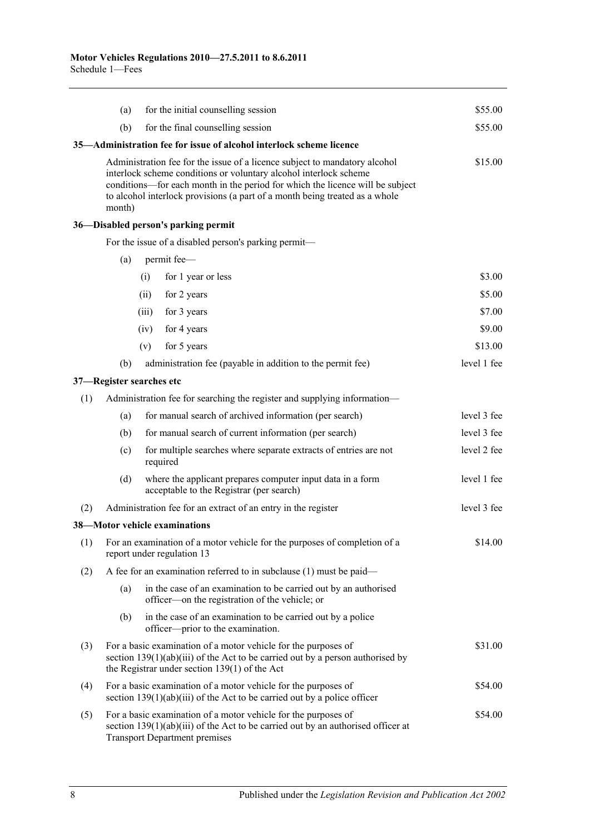|     | (a)    | for the initial counselling session                                                                                                                                                                                                                                                                             | \$55.00     |
|-----|--------|-----------------------------------------------------------------------------------------------------------------------------------------------------------------------------------------------------------------------------------------------------------------------------------------------------------------|-------------|
|     | (b)    | for the final counselling session                                                                                                                                                                                                                                                                               | \$55.00     |
|     |        | 35—Administration fee for issue of alcohol interlock scheme licence                                                                                                                                                                                                                                             |             |
|     | month) | Administration fee for the issue of a licence subject to mandatory alcohol<br>interlock scheme conditions or voluntary alcohol interlock scheme<br>conditions—for each month in the period for which the licence will be subject<br>to alcohol interlock provisions (a part of a month being treated as a whole | \$15.00     |
|     |        | 36-Disabled person's parking permit                                                                                                                                                                                                                                                                             |             |
|     |        | For the issue of a disabled person's parking permit-                                                                                                                                                                                                                                                            |             |
|     | (a)    | permit fee-                                                                                                                                                                                                                                                                                                     |             |
|     |        | for 1 year or less<br>(i)                                                                                                                                                                                                                                                                                       | \$3.00      |
|     |        | for 2 years<br>(ii)                                                                                                                                                                                                                                                                                             | \$5.00      |
|     |        | (iii)<br>for 3 years                                                                                                                                                                                                                                                                                            | \$7.00      |
|     |        | for 4 years<br>(iv)                                                                                                                                                                                                                                                                                             | \$9.00      |
|     |        | for 5 years<br>(v)                                                                                                                                                                                                                                                                                              | \$13.00     |
|     | (b)    | administration fee (payable in addition to the permit fee)                                                                                                                                                                                                                                                      | level 1 fee |
|     |        | 37-Register searches etc                                                                                                                                                                                                                                                                                        |             |
| (1) |        | Administration fee for searching the register and supplying information-                                                                                                                                                                                                                                        |             |
|     | (a)    | for manual search of archived information (per search)                                                                                                                                                                                                                                                          | level 3 fee |
|     | (b)    | for manual search of current information (per search)                                                                                                                                                                                                                                                           | level 3 fee |
|     | (c)    | for multiple searches where separate extracts of entries are not<br>required                                                                                                                                                                                                                                    | level 2 fee |
|     | (d)    | where the applicant prepares computer input data in a form<br>acceptable to the Registrar (per search)                                                                                                                                                                                                          | level 1 fee |
| (2) |        | Administration fee for an extract of an entry in the register                                                                                                                                                                                                                                                   | level 3 fee |
|     |        | 38-Motor vehicle examinations                                                                                                                                                                                                                                                                                   |             |
|     |        | (1) For an examination of a motor vehicle for the purposes of completion of a<br>report under regulation 13                                                                                                                                                                                                     | \$14.00     |
| (2) |        | A fee for an examination referred to in subclause $(1)$ must be paid—                                                                                                                                                                                                                                           |             |
|     | (a)    | in the case of an examination to be carried out by an authorised<br>officer-on the registration of the vehicle; or                                                                                                                                                                                              |             |
|     | (b)    | in the case of an examination to be carried out by a police<br>officer—prior to the examination.                                                                                                                                                                                                                |             |
| (3) |        | For a basic examination of a motor vehicle for the purposes of<br>section $139(1)(ab)(iii)$ of the Act to be carried out by a person authorised by<br>the Registrar under section 139(1) of the Act                                                                                                             | \$31.00     |
| (4) |        | For a basic examination of a motor vehicle for the purposes of<br>section $139(1)(ab)(iii)$ of the Act to be carried out by a police officer                                                                                                                                                                    | \$54.00     |
| (5) |        | For a basic examination of a motor vehicle for the purposes of<br>section $139(1)(ab)(iii)$ of the Act to be carried out by an authorised officer at<br><b>Transport Department premises</b>                                                                                                                    | \$54.00     |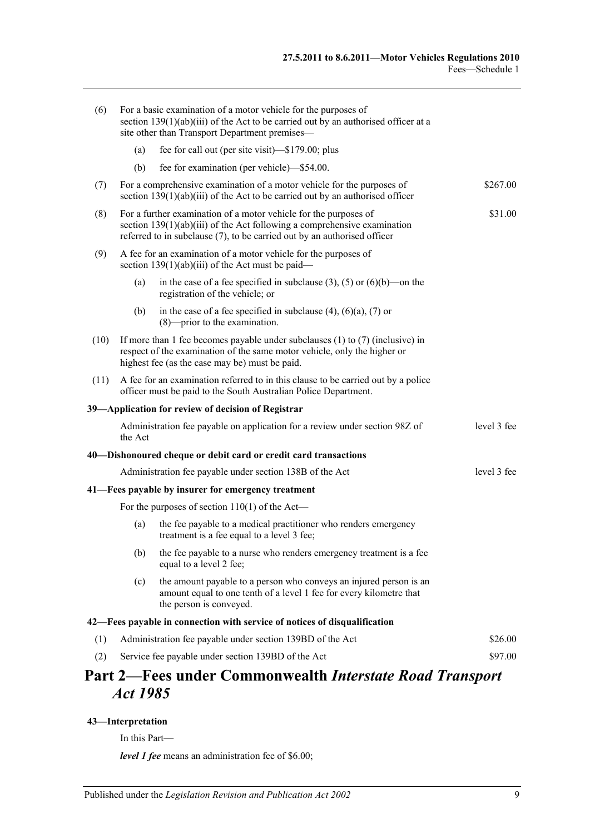| (6)  |         | For a basic examination of a motor vehicle for the purposes of<br>section $139(1)(ab)(iii)$ of the Act to be carried out by an authorised officer at a<br>site other than Transport Department premises-                   |             |
|------|---------|----------------------------------------------------------------------------------------------------------------------------------------------------------------------------------------------------------------------------|-------------|
|      | (a)     | fee for call out (per site visit)—\$179.00; plus                                                                                                                                                                           |             |
|      | (b)     | fee for examination (per vehicle)—\$54.00.                                                                                                                                                                                 |             |
| (7)  |         | For a comprehensive examination of a motor vehicle for the purposes of<br>section $139(1)(ab)(iii)$ of the Act to be carried out by an authorised officer                                                                  | \$267.00    |
| (8)  |         | For a further examination of a motor vehicle for the purposes of<br>section $139(1)(ab)(iii)$ of the Act following a comprehensive examination<br>referred to in subclause (7), to be carried out by an authorised officer | \$31.00     |
| (9)  |         | A fee for an examination of a motor vehicle for the purposes of<br>section $139(1)(ab)(iii)$ of the Act must be paid—                                                                                                      |             |
|      | (a)     | in the case of a fee specified in subclause (3), (5) or (6)(b)—on the<br>registration of the vehicle; or                                                                                                                   |             |
|      | (b)     | in the case of a fee specified in subclause $(4)$ , $(6)(a)$ , $(7)$ or<br>$(8)$ —prior to the examination.                                                                                                                |             |
| (10) |         | If more than 1 fee becomes payable under subclauses $(1)$ to $(7)$ (inclusive) in<br>respect of the examination of the same motor vehicle, only the higher or<br>highest fee (as the case may be) must be paid.            |             |
| (11) |         | A fee for an examination referred to in this clause to be carried out by a police<br>officer must be paid to the South Australian Police Department.                                                                       |             |
|      |         | 39-Application for review of decision of Registrar                                                                                                                                                                         |             |
|      | the Act | Administration fee payable on application for a review under section 98Z of                                                                                                                                                | level 3 fee |
|      |         | 40—Dishonoured cheque or debit card or credit card transactions                                                                                                                                                            |             |
|      |         | Administration fee payable under section 138B of the Act                                                                                                                                                                   | level 3 fee |
|      |         | 41—Fees payable by insurer for emergency treatment                                                                                                                                                                         |             |
|      |         | For the purposes of section $110(1)$ of the Act—                                                                                                                                                                           |             |
|      | (a)     | the fee payable to a medical practitioner who renders emergency<br>treatment is a fee equal to a level 3 fee;                                                                                                              |             |
|      | (b)     | the fee payable to a nurse who renders emergency treatment is a fee<br>equal to a level 2 fee;                                                                                                                             |             |
|      | (c)     | the amount payable to a person who conveys an injured person is an<br>amount equal to one tenth of a level 1 fee for every kilometre that<br>the person is conveyed.                                                       |             |
|      |         | 42—Fees payable in connection with service of notices of disqualification                                                                                                                                                  |             |
| (1)  |         | Administration fee payable under section 139BD of the Act                                                                                                                                                                  | \$26.00     |
| (2)  |         | Service fee payable under section 139BD of the Act                                                                                                                                                                         | \$97.00     |
|      |         | Part 2—Fees under Commonwealth <i>Interstate Road Transport</i>                                                                                                                                                            |             |

## **Part 2—Fees under Commonwealth** *Interstate Road Transport Act 1985*

#### **43—Interpretation**

In this Part—

*level 1 fee* means an administration fee of \$6.00;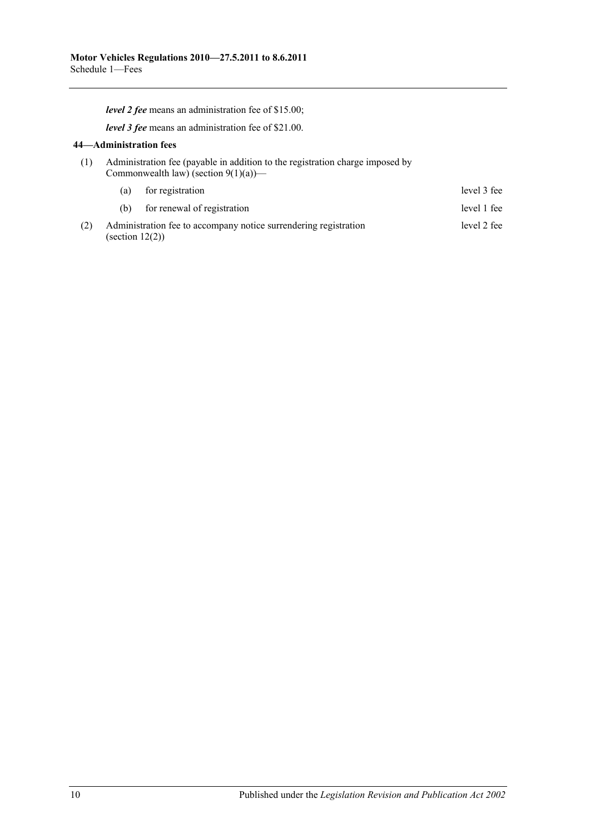*level 2 fee* means an administration fee of \$15.00;

*level 3 fee* means an administration fee of \$21.00.

#### **44—Administration fees**

(1) Administration fee (payable in addition to the registration charge imposed by Commonwealth law) (section  $9(1)(a)$ )—

|     |                    | (a) for registration                                             | level 3 fee |
|-----|--------------------|------------------------------------------------------------------|-------------|
|     | (b)                | for renewal of registration                                      | level 1 fee |
| (2) | (section $12(2)$ ) | Administration fee to accompany notice surrendering registration | level 2 fee |

10 Published under the *Legislation Revision and Publication Act 2002*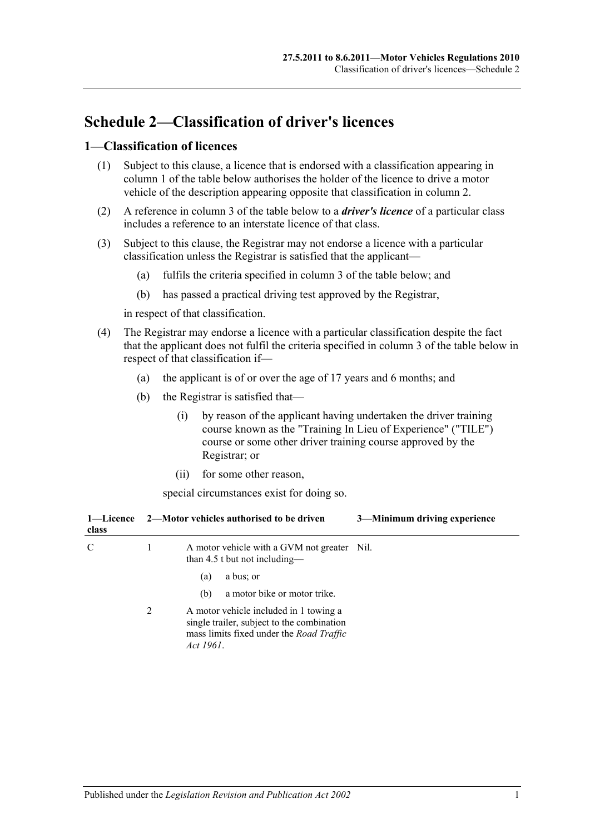## **Schedule 2—Classification of driver's licences**

### **1—Classification of licences**

- (1) Subject to this clause, a licence that is endorsed with a classification appearing in column 1 of the table below authorises the holder of the licence to drive a motor vehicle of the description appearing opposite that classification in column 2.
- (2) A reference in column 3 of the table below to a *driver's licence* of a particular class includes a reference to an interstate licence of that class.
- (3) Subject to this clause, the Registrar may not endorse a licence with a particular classification unless the Registrar is satisfied that the applicant—
	- (a) fulfils the criteria specified in column 3 of the table below; and
	- (b) has passed a practical driving test approved by the Registrar,

in respect of that classification.

- (4) The Registrar may endorse a licence with a particular classification despite the fact that the applicant does not fulfil the criteria specified in column 3 of the table below in respect of that classification if—
	- (a) the applicant is of or over the age of 17 years and 6 months; and
	- (b) the Registrar is satisfied that—
		- (i) by reason of the applicant having undertaken the driver training course known as the "Training In Lieu of Experience" ("TILE") course or some other driver training course approved by the Registrar; or
		- (ii) for some other reason,

special circumstances exist for doing so.

| 1—Licence<br>class |   | 3-Minimum driving experience<br>2—Motor vehicles authorised to be driven                                                                      |
|--------------------|---|-----------------------------------------------------------------------------------------------------------------------------------------------|
| C                  | 1 | A motor vehicle with a GVM not greater Nil.<br>than 4.5 t but not including—                                                                  |
|                    |   | a bus; or<br>(a)                                                                                                                              |
|                    |   | a motor bike or motor trike.<br>(b)                                                                                                           |
|                    | 2 | A motor vehicle included in 1 towing a<br>single trailer, subject to the combination<br>mass limits fixed under the Road Traffic<br>Act 1961. |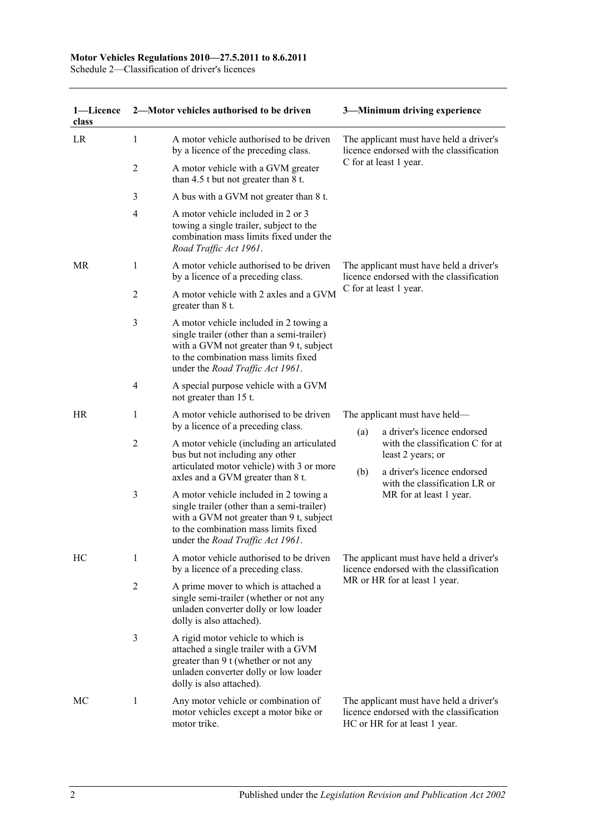#### **Motor Vehicles Regulations 2010—27.5.2011 to 8.6.2011**

Schedule 2—Classification of driver's licences

| 1-Licence<br>class |                | 2-Motor vehicles authorised to be driven                                                                                                                                                                     |     | 3-Minimum driving experience                                                                                         |  |
|--------------------|----------------|--------------------------------------------------------------------------------------------------------------------------------------------------------------------------------------------------------------|-----|----------------------------------------------------------------------------------------------------------------------|--|
| LR                 | 1              | A motor vehicle authorised to be driven<br>by a licence of the preceding class.                                                                                                                              |     | The applicant must have held a driver's<br>licence endorsed with the classification                                  |  |
|                    | 2              | A motor vehicle with a GVM greater<br>than 4.5 t but not greater than 8 t.                                                                                                                                   |     | C for at least 1 year.                                                                                               |  |
|                    | 3              | A bus with a GVM not greater than 8 t.                                                                                                                                                                       |     |                                                                                                                      |  |
|                    | $\overline{4}$ | A motor vehicle included in 2 or 3<br>towing a single trailer, subject to the<br>combination mass limits fixed under the<br>Road Traffic Act 1961.                                                           |     |                                                                                                                      |  |
| MR                 | 1              | A motor vehicle authorised to be driven<br>by a licence of a preceding class.                                                                                                                                |     | The applicant must have held a driver's<br>licence endorsed with the classification                                  |  |
|                    | 2              | A motor vehicle with 2 axles and a GVM<br>greater than 8 t.                                                                                                                                                  |     | C for at least 1 year.                                                                                               |  |
|                    | 3              | A motor vehicle included in 2 towing a<br>single trailer (other than a semi-trailer)<br>with a GVM not greater than 9 t, subject<br>to the combination mass limits fixed<br>under the Road Traffic Act 1961. |     |                                                                                                                      |  |
|                    | 4              | A special purpose vehicle with a GVM<br>not greater than 15 t.                                                                                                                                               |     |                                                                                                                      |  |
| HR                 | 1              | A motor vehicle authorised to be driven<br>by a licence of a preceding class.                                                                                                                                |     | The applicant must have held—                                                                                        |  |
|                    | $\overline{c}$ | A motor vehicle (including an articulated<br>bus but not including any other<br>articulated motor vehicle) with 3 or more                                                                                    | (a) | a driver's licence endorsed<br>with the classification C for at<br>least 2 years; or                                 |  |
|                    |                | axles and a GVM greater than 8 t.                                                                                                                                                                            | (b) | a driver's licence endorsed<br>with the classification LR or                                                         |  |
|                    | 3              | A motor vehicle included in 2 towing a<br>single trailer (other than a semi-trailer)<br>with a GVM not greater than 9 t, subject<br>to the combination mass limits fixed<br>under the Road Traffic Act 1961. |     | MR for at least 1 year.                                                                                              |  |
| HC                 | 1              | A motor vehicle authorised to be driven<br>by a licence of a preceding class.                                                                                                                                |     | The applicant must have held a driver's<br>licence endorsed with the classification                                  |  |
|                    | $\overline{2}$ | A prime mover to which is attached a<br>single semi-trailer (whether or not any<br>unladen converter dolly or low loader<br>dolly is also attached).                                                         |     | MR or HR for at least 1 year.                                                                                        |  |
|                    | 3              | A rigid motor vehicle to which is<br>attached a single trailer with a GVM<br>greater than 9 t (whether or not any<br>unladen converter dolly or low loader<br>dolly is also attached).                       |     |                                                                                                                      |  |
| МC                 | 1              | Any motor vehicle or combination of<br>motor vehicles except a motor bike or<br>motor trike.                                                                                                                 |     | The applicant must have held a driver's<br>licence endorsed with the classification<br>HC or HR for at least 1 year. |  |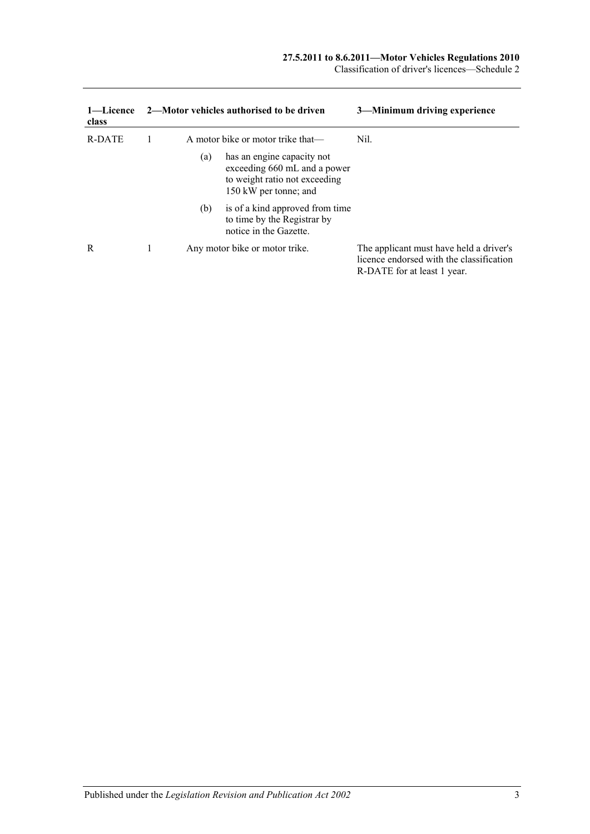#### **27.5.2011 to 8.6.2011—Motor Vehicles Regulations 2010**

Classification of driver's licences—Schedule 2

| 1—Licence<br>class |     | 2—Motor vehicles authorised to be driven                                                                             | 3—Minimum driving experience                                                                                       |
|--------------------|-----|----------------------------------------------------------------------------------------------------------------------|--------------------------------------------------------------------------------------------------------------------|
| R-DATE             |     | A motor bike or motor trike that—                                                                                    | Nil.                                                                                                               |
|                    | (a) | has an engine capacity not<br>exceeding 660 mL and a power<br>to weight ratio not exceeding<br>150 kW per tonne; and |                                                                                                                    |
|                    | (b) | is of a kind approved from time<br>to time by the Registrar by<br>notice in the Gazette.                             |                                                                                                                    |
| R                  |     | Any motor bike or motor trike.                                                                                       | The applicant must have held a driver's<br>licence endorsed with the classification<br>R-DATE for at least 1 year. |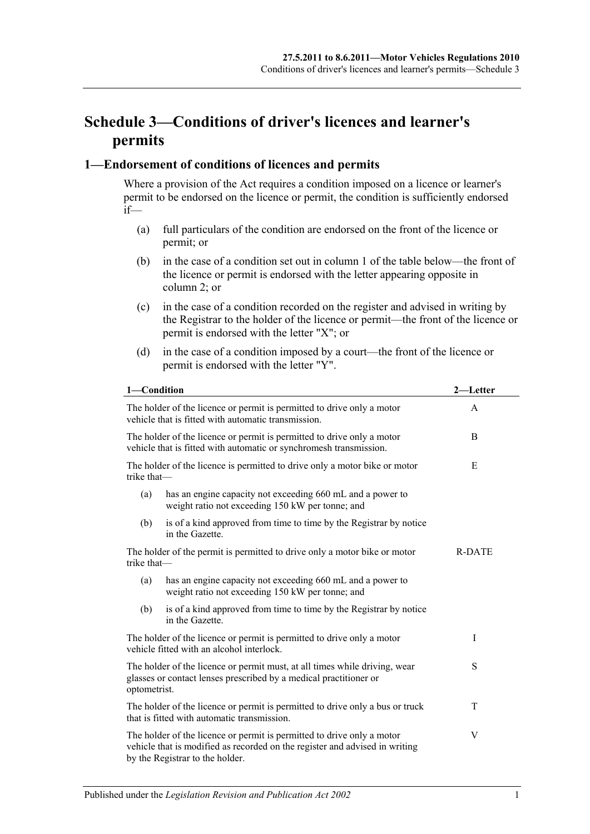## **Schedule 3—Conditions of driver's licences and learner's permits**

#### **1—Endorsement of conditions of licences and permits**

Where a provision of the Act requires a condition imposed on a licence or learner's permit to be endorsed on the licence or permit, the condition is sufficiently endorsed  $if$ —

- (a) full particulars of the condition are endorsed on the front of the licence or permit; or
- (b) in the case of a condition set out in column 1 of the table below—the front of the licence or permit is endorsed with the letter appearing opposite in column 2; or
- (c) in the case of a condition recorded on the register and advised in writing by the Registrar to the holder of the licence or permit—the front of the licence or permit is endorsed with the letter "X"; or
- (d) in the case of a condition imposed by a court—the front of the licence or permit is endorsed with the letter "Y".

| 1-Condition  |                                                                                                                                                                                          | 2—Letter      |
|--------------|------------------------------------------------------------------------------------------------------------------------------------------------------------------------------------------|---------------|
|              | The holder of the licence or permit is permitted to drive only a motor<br>vehicle that is fitted with automatic transmission.                                                            | A             |
|              | The holder of the licence or permit is permitted to drive only a motor<br>vehicle that is fitted with automatic or synchromesh transmission.                                             | B             |
| trike that-  | The holder of the licence is permitted to drive only a motor bike or motor                                                                                                               | E             |
| (a)          | has an engine capacity not exceeding 660 mL and a power to<br>weight ratio not exceeding 150 kW per tonne; and                                                                           |               |
| (b)          | is of a kind approved from time to time by the Registrar by notice<br>in the Gazette.                                                                                                    |               |
| trike that-  | The holder of the permit is permitted to drive only a motor bike or motor                                                                                                                | <b>R-DATE</b> |
| (a)          | has an engine capacity not exceeding 660 mL and a power to<br>weight ratio not exceeding 150 kW per tonne; and                                                                           |               |
| (b)          | is of a kind approved from time to time by the Registrar by notice<br>in the Gazette.                                                                                                    |               |
|              | The holder of the licence or permit is permitted to drive only a motor<br>vehicle fitted with an alcohol interlock.                                                                      | I             |
| optometrist. | The holder of the licence or permit must, at all times while driving, wear<br>glasses or contact lenses prescribed by a medical practitioner or                                          | S             |
|              | The holder of the licence or permit is permitted to drive only a bus or truck<br>that is fitted with automatic transmission.                                                             | T             |
|              | The holder of the licence or permit is permitted to drive only a motor<br>vehicle that is modified as recorded on the register and advised in writing<br>by the Registrar to the holder. | V             |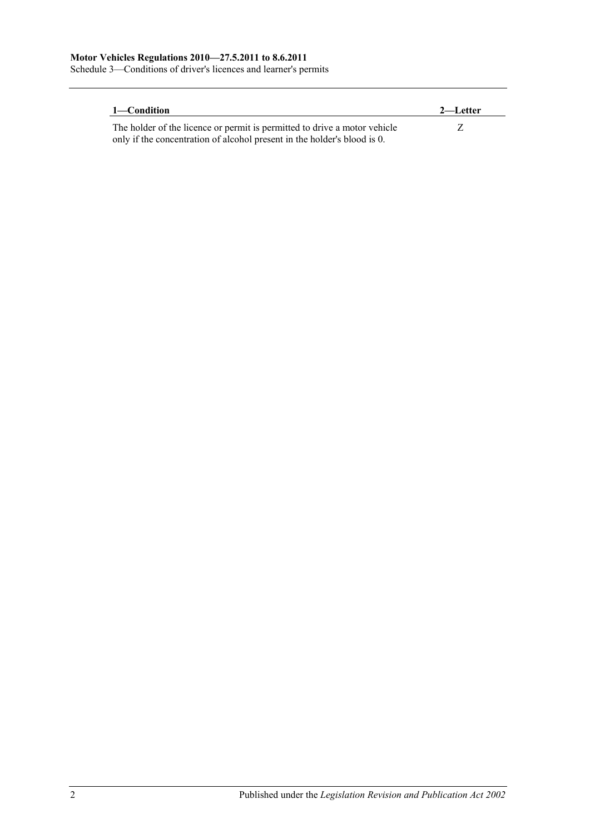Schedule 3—Conditions of driver's licences and learner's permits

| 1—Condition                                                               | 2—Letter |
|---------------------------------------------------------------------------|----------|
| The holder of the licence or permit is permitted to drive a motor vehicle |          |
| only if the concentration of alcohol present in the holder's blood is 0.  |          |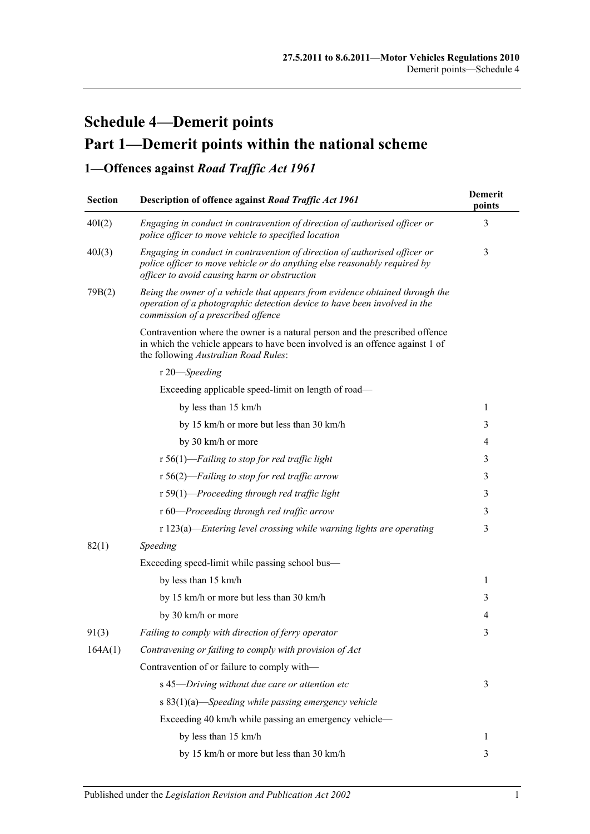# **Schedule 4—Demerit points Part 1—Demerit points within the national scheme**

**1—Offences against** *Road Traffic Act 1961*

| <b>Section</b> | Description of offence against Road Traffic Act 1961                                                                                                                                                    | Demerit<br>points |
|----------------|---------------------------------------------------------------------------------------------------------------------------------------------------------------------------------------------------------|-------------------|
| 40I(2)         | Engaging in conduct in contravention of direction of authorised officer or<br>police officer to move vehicle to specified location                                                                      | 3                 |
| 40J(3)         | Engaging in conduct in contravention of direction of authorised officer or<br>police officer to move vehicle or do anything else reasonably required by<br>officer to avoid causing harm or obstruction | 3                 |
| 79B(2)         | Being the owner of a vehicle that appears from evidence obtained through the<br>operation of a photographic detection device to have been involved in the<br>commission of a prescribed offence         |                   |
|                | Contravention where the owner is a natural person and the prescribed offence<br>in which the vehicle appears to have been involved is an offence against 1 of<br>the following Australian Road Rules:   |                   |
|                | r 20-Speeding                                                                                                                                                                                           |                   |
|                | Exceeding applicable speed-limit on length of road-                                                                                                                                                     |                   |
|                | by less than 15 km/h                                                                                                                                                                                    | 1                 |
|                | by 15 km/h or more but less than 30 km/h                                                                                                                                                                | 3                 |
|                | by 30 km/h or more                                                                                                                                                                                      | 4                 |
|                | $r 56(1)$ -Failing to stop for red traffic light                                                                                                                                                        | 3                 |
|                | $r 56(2)$ -Failing to stop for red traffic arrow                                                                                                                                                        | 3                 |
|                | r 59(1)-Proceeding through red traffic light                                                                                                                                                            | 3                 |
|                | r 60-Proceeding through red traffic arrow                                                                                                                                                               | 3                 |
|                | $r 123(a)$ -Entering level crossing while warning lights are operating                                                                                                                                  | 3                 |
| 82(1)          | Speeding                                                                                                                                                                                                |                   |
|                | Exceeding speed-limit while passing school bus-                                                                                                                                                         |                   |
|                | by less than 15 km/h                                                                                                                                                                                    | 1                 |
|                | by 15 km/h or more but less than 30 km/h                                                                                                                                                                | 3                 |
|                | by 30 km/h or more                                                                                                                                                                                      | 4                 |
| 91(3)          | Failing to comply with direction of ferry operator                                                                                                                                                      | 3                 |
| 164A(1)        | Contravening or failing to comply with provision of Act                                                                                                                                                 |                   |
|                | Contravention of or failure to comply with-                                                                                                                                                             |                   |
|                | s 45-Driving without due care or attention etc                                                                                                                                                          | 3                 |
|                | s 83(1)(a)—Speeding while passing emergency vehicle                                                                                                                                                     |                   |
|                | Exceeding 40 km/h while passing an emergency vehicle—                                                                                                                                                   |                   |
|                | by less than 15 km/h                                                                                                                                                                                    | $\mathbf{1}$      |
|                | by 15 km/h or more but less than 30 km/h                                                                                                                                                                | 3                 |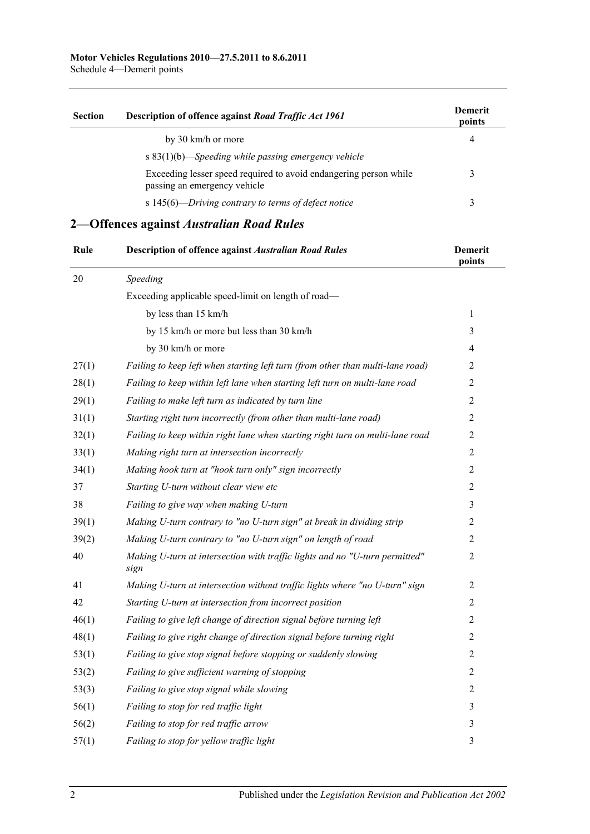Schedule 4—Demerit points

| <b>Section</b>                                         | Description of offence against Road Traffic Act 1961                                              | <b>Demerit</b><br>points |
|--------------------------------------------------------|---------------------------------------------------------------------------------------------------|--------------------------|
|                                                        | by 30 km/h or more                                                                                | 4                        |
| s $83(1)(b)$ —Speeding while passing emergency vehicle |                                                                                                   |                          |
|                                                        | Exceeding lesser speed required to avoid endangering person while<br>passing an emergency vehicle |                          |
|                                                        | s 145(6)—Driving contrary to terms of defect notice                                               |                          |

## **2—Offences against** *Australian Road Rules*

| Rule   | <b>Description of offence against Australian Road Rules</b>                         | Demerit<br>points |
|--------|-------------------------------------------------------------------------------------|-------------------|
| $20\,$ | Speeding                                                                            |                   |
|        | Exceeding applicable speed-limit on length of road-                                 |                   |
|        | by less than 15 km/h                                                                | 1                 |
|        | by 15 km/h or more but less than 30 km/h                                            | 3                 |
|        | by 30 km/h or more                                                                  | 4                 |
| 27(1)  | Failing to keep left when starting left turn (from other than multi-lane road)      | 2                 |
| 28(1)  | Failing to keep within left lane when starting left turn on multi-lane road         | $\overline{2}$    |
| 29(1)  | Failing to make left turn as indicated by turn line                                 | 2                 |
| 31(1)  | Starting right turn incorrectly (from other than multi-lane road)                   | $\overline{2}$    |
| 32(1)  | Failing to keep within right lane when starting right turn on multi-lane road       | $\overline{2}$    |
| 33(1)  | Making right turn at intersection incorrectly                                       | $\overline{2}$    |
| 34(1)  | Making hook turn at "hook turn only" sign incorrectly                               | $\overline{2}$    |
| 37     | Starting U-turn without clear view etc                                              | $\overline{2}$    |
| 38     | Failing to give way when making U-turn                                              | 3                 |
| 39(1)  | Making U-turn contrary to "no U-turn sign" at break in dividing strip               | 2                 |
| 39(2)  | Making U-turn contrary to "no U-turn sign" on length of road                        | $\overline{2}$    |
| 40     | Making U-turn at intersection with traffic lights and no "U-turn permitted"<br>sign | $\overline{2}$    |
| 41     | Making U-turn at intersection without traffic lights where "no U-turn" sign         | $\overline{2}$    |
| 42     | Starting U-turn at intersection from incorrect position                             | 2                 |
| 46(1)  | Failing to give left change of direction signal before turning left                 | $\overline{2}$    |
| 48(1)  | Failing to give right change of direction signal before turning right               | $\overline{2}$    |
| 53(1)  | Failing to give stop signal before stopping or suddenly slowing                     | $\overline{2}$    |
| 53(2)  | Failing to give sufficient warning of stopping                                      | $\overline{2}$    |
| 53(3)  | Failing to give stop signal while slowing                                           | $\overline{2}$    |
| 56(1)  | Failing to stop for red traffic light                                               | $\mathfrak{Z}$    |
| 56(2)  | Failing to stop for red traffic arrow                                               | $\mathfrak{Z}$    |
| 57(1)  | Failing to stop for yellow traffic light                                            | 3                 |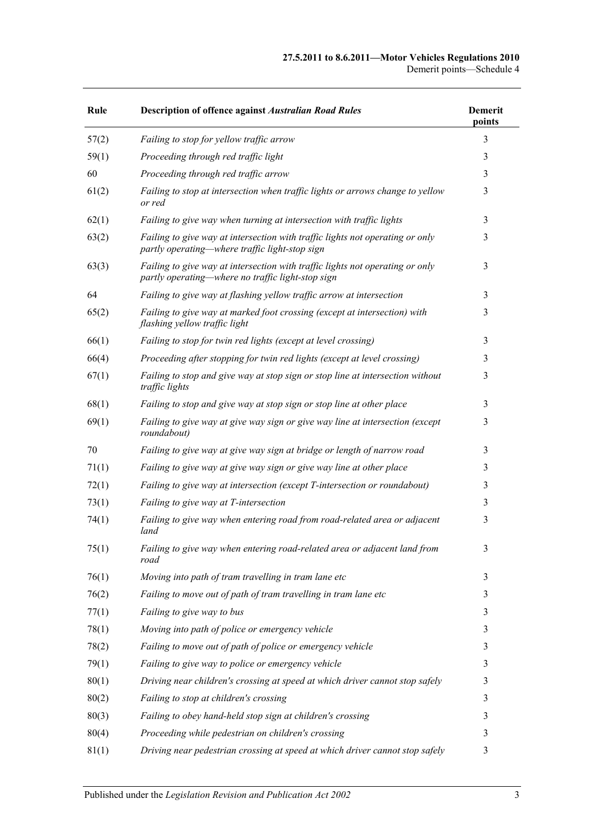| Rule  | <b>Description of offence against Australian Road Rules</b>                                                                        | <b>Demerit</b><br>points |
|-------|------------------------------------------------------------------------------------------------------------------------------------|--------------------------|
| 57(2) | Failing to stop for yellow traffic arrow                                                                                           | 3                        |
| 59(1) | Proceeding through red traffic light                                                                                               | 3                        |
| 60    | Proceeding through red traffic arrow                                                                                               | 3                        |
| 61(2) | Failing to stop at intersection when traffic lights or arrows change to yellow<br>or red                                           | 3                        |
| 62(1) | Failing to give way when turning at intersection with traffic lights                                                               | 3                        |
| 63(2) | Failing to give way at intersection with traffic lights not operating or only<br>partly operating—where traffic light-stop sign    | 3                        |
| 63(3) | Failing to give way at intersection with traffic lights not operating or only<br>partly operating—where no traffic light-stop sign | 3                        |
| 64    | Failing to give way at flashing yellow traffic arrow at intersection                                                               | 3                        |
| 65(2) | Failing to give way at marked foot crossing (except at intersection) with<br>flashing yellow traffic light                         | 3                        |
| 66(1) | Failing to stop for twin red lights (except at level crossing)                                                                     | 3                        |
| 66(4) | Proceeding after stopping for twin red lights (except at level crossing)                                                           | 3                        |
| 67(1) | Failing to stop and give way at stop sign or stop line at intersection without<br>traffic lights                                   | 3                        |
| 68(1) | Failing to stop and give way at stop sign or stop line at other place                                                              | 3                        |
| 69(1) | Failing to give way at give way sign or give way line at intersection (except<br>roundabout)                                       | 3                        |
| 70    | Failing to give way at give way sign at bridge or length of narrow road                                                            | 3                        |
| 71(1) | Failing to give way at give way sign or give way line at other place                                                               | 3                        |
| 72(1) | Failing to give way at intersection (except T-intersection or roundabout)                                                          | 3                        |
| 73(1) | Failing to give way at T-intersection                                                                                              | 3                        |
| 74(1) | Failing to give way when entering road from road-related area or adjacent<br>land                                                  | 3                        |
| 75(1) | Failing to give way when entering road-related area or adjacent land from<br>road                                                  | 3                        |
| 76(1) | Moving into path of tram travelling in tram lane etc                                                                               | 3                        |
| 76(2) | Failing to move out of path of tram travelling in tram lane etc                                                                    | 3                        |
| 77(1) | Failing to give way to bus                                                                                                         | 3                        |
| 78(1) | Moving into path of police or emergency vehicle                                                                                    | 3                        |
| 78(2) | Failing to move out of path of police or emergency vehicle                                                                         | 3                        |
| 79(1) | Failing to give way to police or emergency vehicle                                                                                 | 3                        |
| 80(1) | Driving near children's crossing at speed at which driver cannot stop safely                                                       | 3                        |
| 80(2) | Failing to stop at children's crossing                                                                                             | 3                        |
| 80(3) | Failing to obey hand-held stop sign at children's crossing                                                                         | 3                        |
| 80(4) | Proceeding while pedestrian on children's crossing                                                                                 | 3                        |
| 81(1) | Driving near pedestrian crossing at speed at which driver cannot stop safely                                                       | 3                        |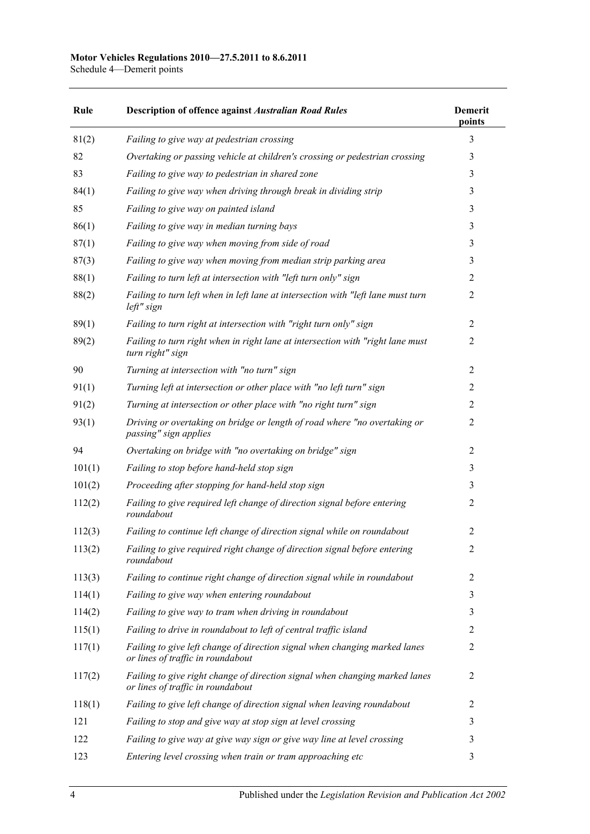#### **Motor Vehicles Regulations 2010—27.5.2011 to 8.6.2011**

Schedule 4—Demerit points

| Rule   | <b>Description of offence against Australian Road Rules</b>                                                      | <b>Demerit</b><br>points |
|--------|------------------------------------------------------------------------------------------------------------------|--------------------------|
| 81(2)  | Failing to give way at pedestrian crossing                                                                       | 3                        |
| 82     | Overtaking or passing vehicle at children's crossing or pedestrian crossing                                      | 3                        |
| 83     | Failing to give way to pedestrian in shared zone                                                                 | 3                        |
| 84(1)  | Failing to give way when driving through break in dividing strip                                                 | 3                        |
| 85     | Failing to give way on painted island                                                                            | 3                        |
| 86(1)  | Failing to give way in median turning bays                                                                       | 3                        |
| 87(1)  | Failing to give way when moving from side of road                                                                | 3                        |
| 87(3)  | Failing to give way when moving from median strip parking area                                                   | 3                        |
| 88(1)  | Failing to turn left at intersection with "left turn only" sign                                                  | $\overline{2}$           |
| 88(2)  | Failing to turn left when in left lane at intersection with "left lane must turn<br>$left''$ sign                | $\overline{2}$           |
| 89(1)  | Failing to turn right at intersection with "right turn only" sign                                                | $\overline{2}$           |
| 89(2)  | Failing to turn right when in right lane at intersection with "right lane must<br>turn right" sign               | $\overline{2}$           |
| 90     | Turning at intersection with "no turn" sign                                                                      | $\overline{2}$           |
| 91(1)  | Turning left at intersection or other place with "no left turn" sign                                             | 2                        |
| 91(2)  | Turning at intersection or other place with "no right turn" sign                                                 | 2                        |
| 93(1)  | Driving or overtaking on bridge or length of road where "no overtaking or<br>passing" sign applies               | 2                        |
| 94     | Overtaking on bridge with "no overtaking on bridge" sign                                                         | 2                        |
| 101(1) | Failing to stop before hand-held stop sign                                                                       | 3                        |
| 101(2) | Proceeding after stopping for hand-held stop sign                                                                | 3                        |
| 112(2) | Failing to give required left change of direction signal before entering<br>roundabout                           | $\overline{2}$           |
| 112(3) | Failing to continue left change of direction signal while on roundabout                                          | $\overline{2}$           |
| 113(2) | Failing to give required right change of direction signal before entering<br>roundabout                          | $\overline{2}$           |
| 113(3) | Failing to continue right change of direction signal while in roundabout                                         | 2                        |
| 114(1) | Failing to give way when entering roundabout                                                                     | 3                        |
| 114(2) | Failing to give way to tram when driving in roundabout                                                           | 3                        |
| 115(1) | Failing to drive in roundabout to left of central traffic island                                                 | 2                        |
| 117(1) | Failing to give left change of direction signal when changing marked lanes<br>or lines of traffic in roundabout  | $\overline{2}$           |
| 117(2) | Failing to give right change of direction signal when changing marked lanes<br>or lines of traffic in roundabout | $\overline{2}$           |
| 118(1) | Failing to give left change of direction signal when leaving roundabout                                          | 2                        |
| 121    | Failing to stop and give way at stop sign at level crossing                                                      | 3                        |
| 122    | Failing to give way at give way sign or give way line at level crossing                                          | 3                        |
| 123    | Entering level crossing when train or tram approaching etc                                                       | 3                        |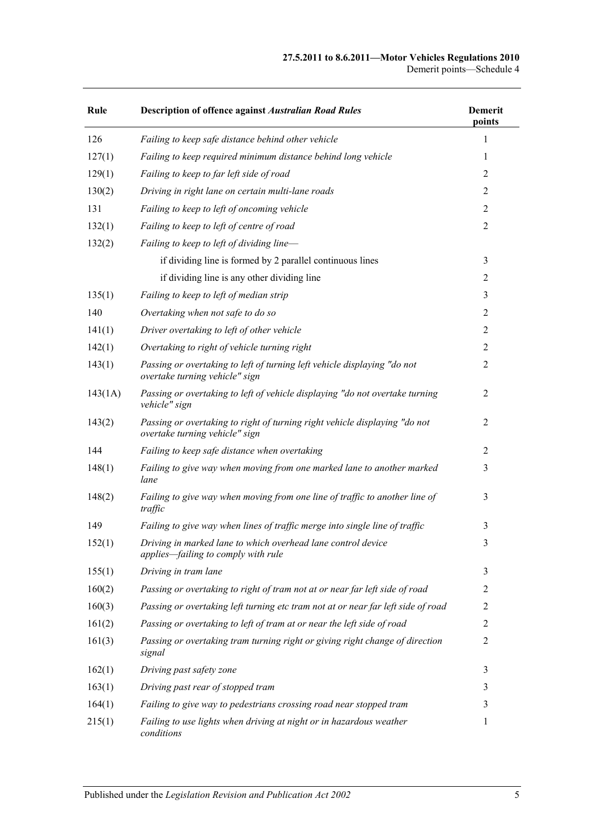#### **27.5.2011 to 8.6.2011—Motor Vehicles Regulations 2010** Demerit points—Schedule 4

| Rule    | <b>Description of offence against Australian Road Rules</b>                                                  | <b>Demerit</b><br>points |
|---------|--------------------------------------------------------------------------------------------------------------|--------------------------|
| 126     | Failing to keep safe distance behind other vehicle                                                           | 1                        |
| 127(1)  | Failing to keep required minimum distance behind long vehicle                                                | 1                        |
| 129(1)  | Failing to keep to far left side of road                                                                     | 2                        |
| 130(2)  | Driving in right lane on certain multi-lane roads                                                            | 2                        |
| 131     | Failing to keep to left of oncoming vehicle                                                                  | $\overline{2}$           |
| 132(1)  | Failing to keep to left of centre of road                                                                    | $\overline{2}$           |
| 132(2)  | Failing to keep to left of dividing line-                                                                    |                          |
|         | if dividing line is formed by 2 parallel continuous lines                                                    | 3                        |
|         | if dividing line is any other dividing line                                                                  | $\overline{c}$           |
| 135(1)  | Failing to keep to left of median strip                                                                      | 3                        |
| 140     | Overtaking when not safe to do so                                                                            | $\overline{2}$           |
| 141(1)  | Driver overtaking to left of other vehicle                                                                   | $\overline{c}$           |
| 142(1)  | Overtaking to right of vehicle turning right                                                                 | 2                        |
| 143(1)  | Passing or overtaking to left of turning left vehicle displaying "do not<br>overtake turning vehicle" sign   | $\overline{2}$           |
| 143(1A) | Passing or overtaking to left of vehicle displaying "do not overtake turning<br>vehicle" sign                | 2                        |
| 143(2)  | Passing or overtaking to right of turning right vehicle displaying "do not<br>overtake turning vehicle" sign | 2                        |
| 144     | Failing to keep safe distance when overtaking                                                                | 2                        |
| 148(1)  | Failing to give way when moving from one marked lane to another marked<br>lane                               | 3                        |
| 148(2)  | Failing to give way when moving from one line of traffic to another line of<br>traffic                       | 3                        |
| 149     | Failing to give way when lines of traffic merge into single line of traffic                                  | 3                        |
| 152(1)  | Driving in marked lane to which overhead lane control device<br>applies-failing to comply with rule          | 3                        |
| 155(1)  | Driving in tram lane                                                                                         | 3                        |
| 160(2)  | Passing or overtaking to right of tram not at or near far left side of road                                  | 2                        |
| 160(3)  | Passing or overtaking left turning etc tram not at or near far left side of road                             | 2                        |
| 161(2)  | Passing or overtaking to left of tram at or near the left side of road                                       | 2                        |
| 161(3)  | Passing or overtaking tram turning right or giving right change of direction<br>signal                       | $\overline{2}$           |
| 162(1)  | Driving past safety zone                                                                                     | 3                        |
| 163(1)  | Driving past rear of stopped tram                                                                            | 3                        |
| 164(1)  | Failing to give way to pedestrians crossing road near stopped tram                                           | 3                        |
| 215(1)  | Failing to use lights when driving at night or in hazardous weather<br>conditions                            | 1                        |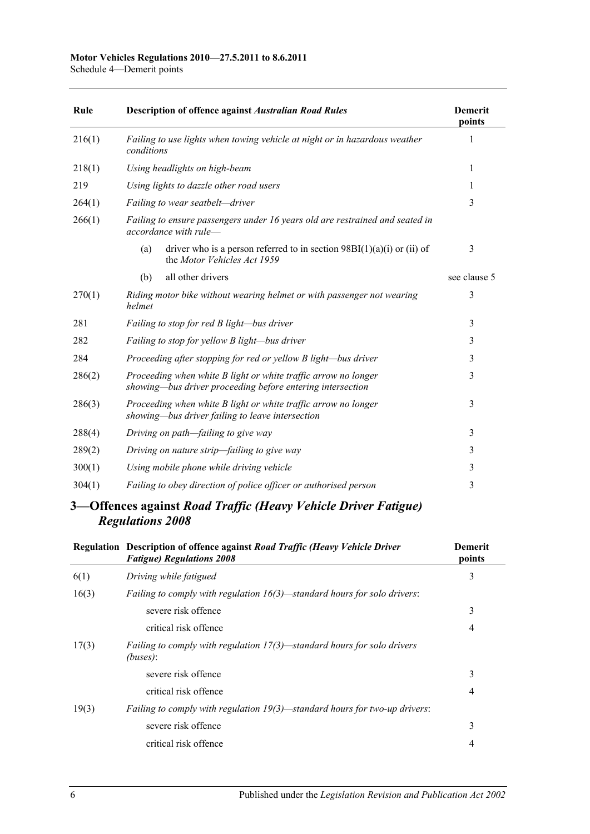| Rule   | <b>Description of offence against Australian Road Rules</b>                                                                  | <b>Demerit</b><br>points |
|--------|------------------------------------------------------------------------------------------------------------------------------|--------------------------|
| 216(1) | Failing to use lights when towing vehicle at night or in hazardous weather<br>conditions                                     | 1                        |
| 218(1) | Using headlights on high-beam                                                                                                | 1                        |
| 219    | Using lights to dazzle other road users                                                                                      | 1                        |
| 264(1) | Failing to wear seatbelt-driver                                                                                              | 3                        |
| 266(1) | Failing to ensure passengers under 16 years old are restrained and seated in<br>accordance with rule-                        |                          |
|        | driver who is a person referred to in section $98BI(1)(a)(i)$ or (ii) of<br>(a)<br>the Motor Vehicles Act 1959               | 3                        |
|        | all other drivers<br>(b)                                                                                                     | see clause 5             |
| 270(1) | Riding motor bike without wearing helmet or with passenger not wearing<br>helmet                                             | 3                        |
| 281    | Failing to stop for red B light-bus driver                                                                                   | 3                        |
| 282    | Failing to stop for yellow B light-bus driver                                                                                | 3                        |
| 284    | Proceeding after stopping for red or yellow B light-bus driver                                                               | 3                        |
| 286(2) | Proceeding when white B light or white traffic arrow no longer<br>showing—bus driver proceeding before entering intersection | 3                        |
| 286(3) | Proceeding when white B light or white traffic arrow no longer<br>showing—bus driver failing to leave intersection           | 3                        |
| 288(4) | Driving on path-failing to give way                                                                                          | 3                        |
| 289(2) | Driving on nature strip-failing to give way                                                                                  | 3                        |
| 300(1) | Using mobile phone while driving vehicle                                                                                     | 3                        |
| 304(1) | Failing to obey direction of police officer or authorised person                                                             | 3                        |
|        |                                                                                                                              |                          |

### **3—Offences against** *Road Traffic (Heavy Vehicle Driver Fatigue) Regulations 2008*

|       | Regulation Description of offence against Road Traffic (Heavy Vehicle Driver<br><b>Fatigue) Regulations 2008</b> | <b>Demerit</b><br>points |
|-------|------------------------------------------------------------------------------------------------------------------|--------------------------|
| 6(1)  | Driving while fatigued                                                                                           | 3                        |
| 16(3) | <i>Failing to comply with regulation <math>16(3)</math>—standard hours for solo drivers:</i>                     |                          |
|       | severe risk offence                                                                                              | 3                        |
|       | critical risk offence                                                                                            | 4                        |
| 17(3) | Failing to comply with regulation $17(3)$ —standard hours for solo drivers<br>(buses):                           |                          |
|       | severe risk offence                                                                                              | 3                        |
|       | critical risk offence                                                                                            | 4                        |
| 19(3) | <i>Failing to comply with regulation <math>19(3)</math>—standard hours for two-up drivers:</i>                   |                          |
|       | severe risk offence                                                                                              | 3                        |
|       | critical risk offence                                                                                            | 4                        |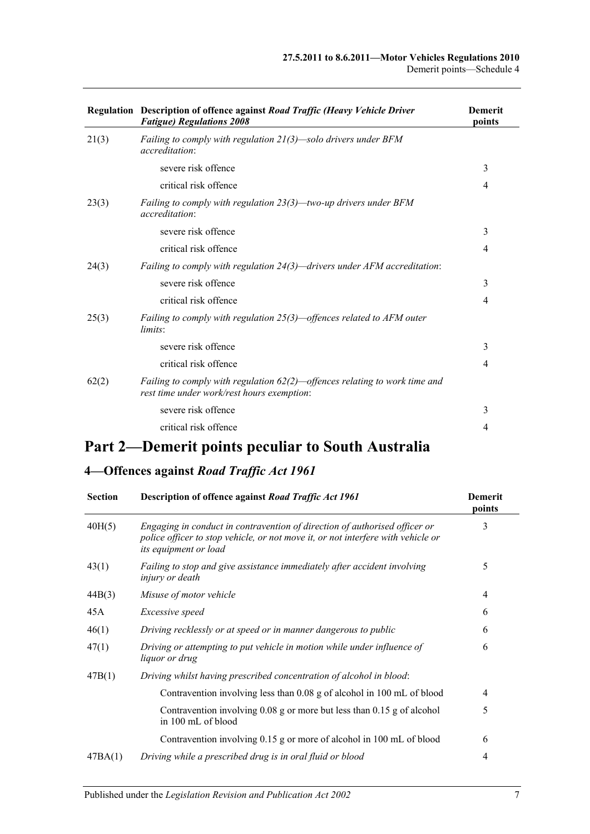|       | Regulation Description of offence against Road Traffic (Heavy Vehicle Driver<br><b>Fatigue) Regulations 2008</b>            | <b>Demerit</b><br>points |
|-------|-----------------------------------------------------------------------------------------------------------------------------|--------------------------|
| 21(3) | Failing to comply with regulation $21(3)$ —solo drivers under BFM<br><i>accreditation:</i>                                  |                          |
|       | severe risk offence                                                                                                         | 3                        |
|       | critical risk offence                                                                                                       | $\overline{4}$           |
| 23(3) | Failing to comply with regulation $23(3)$ —two-up drivers under BFM<br><i>accreditation:</i>                                |                          |
|       | severe risk offence                                                                                                         | 3                        |
|       | critical risk offence                                                                                                       | 4                        |
| 24(3) | Failing to comply with regulation $24(3)$ —drivers under AFM accreditation:                                                 |                          |
|       | severe risk offence                                                                                                         | 3                        |
|       | critical risk offence                                                                                                       | $\overline{4}$           |
| 25(3) | Failing to comply with regulation $25(3)$ —offences related to AFM outer<br>limits:                                         |                          |
|       | severe risk offence                                                                                                         | 3                        |
|       | critical risk offence                                                                                                       | $\overline{4}$           |
| 62(2) | Failing to comply with regulation $62(2)$ —offences relating to work time and<br>rest time under work/rest hours exemption: |                          |
|       | severe risk offence                                                                                                         | 3                        |
|       | critical risk offence                                                                                                       | $\overline{4}$           |
|       |                                                                                                                             |                          |

## **Part 2—Demerit points peculiar to South Australia**

## **4—Offences against** *Road Traffic Act 1961*

| <b>Section</b> | Description of offence against Road Traffic Act 1961                                                                                                                                           | <b>Demerit</b><br>points |
|----------------|------------------------------------------------------------------------------------------------------------------------------------------------------------------------------------------------|--------------------------|
| 40H(5)         | Engaging in conduct in contravention of direction of authorised officer or<br>police officer to stop vehicle, or not move it, or not interfere with vehicle or<br><i>its equipment or load</i> | 3                        |
| 43(1)          | Failing to stop and give assistance immediately after accident involving<br><i>injury or death</i>                                                                                             | 5                        |
| 44B(3)         | Misuse of motor vehicle                                                                                                                                                                        | $\overline{4}$           |
| 45A            | Excessive speed                                                                                                                                                                                | 6                        |
| 46(1)          | Driving recklessly or at speed or in manner dangerous to public                                                                                                                                | 6                        |
| 47(1)          | Driving or attempting to put vehicle in motion while under influence of<br><i>liquor or drug</i>                                                                                               | 6                        |
| 47B(1)         | Driving whilst having prescribed concentration of alcohol in blood:                                                                                                                            |                          |
|                | Contravention involving less than 0.08 g of alcohol in 100 mL of blood                                                                                                                         | 4                        |
|                | Contravention involving $0.08$ g or more but less than $0.15$ g of alcohol<br>in 100 mL of blood                                                                                               | 5                        |
|                | Contravention involving 0.15 g or more of alcohol in 100 mL of blood                                                                                                                           | 6                        |
| 47BA(1)        | Driving while a prescribed drug is in oral fluid or blood                                                                                                                                      | 4                        |
|                |                                                                                                                                                                                                |                          |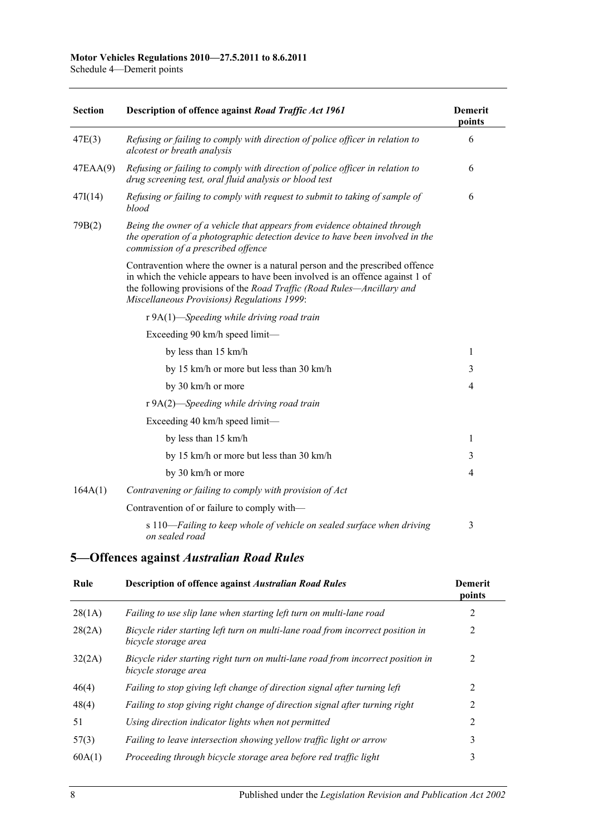**Section Description of offence against** *[Road Traffic Act](http://www.legislation.sa.gov.au/index.aspx?action=legref&type=act&legtitle=Road%20Traffic%20Act%201961) 1961* **Demerit points** 47E(3) *Refusing or failing to comply with direction of police officer in relation to alcotest or breath analysis* 6 47EAA(9) *Refusing or failing to comply with direction of police officer in relation to drug screening test, oral fluid analysis or blood test* 6 47I(14) *Refusing or failing to comply with request to submit to taking of sample of blood* 6 79B(2) *Being the owner of a vehicle that appears from evidence obtained through the operation of a photographic detection device to have been involved in the commission of a prescribed offence* Contravention where the owner is a natural person and the prescribed offence in which the vehicle appears to have been involved is an offence against 1 of the following provisions of the *[Road Traffic \(Road Rules—Ancillary and](http://www.legislation.sa.gov.au/index.aspx?action=legref&type=subordleg&legtitle=Road%20Traffic%20(Road%20Rules%E2%80%94Ancillary%20and%20Miscellaneous%20Provisions)%20Regulations%201999)  [Miscellaneous Provisions\) Regulations](http://www.legislation.sa.gov.au/index.aspx?action=legref&type=subordleg&legtitle=Road%20Traffic%20(Road%20Rules%E2%80%94Ancillary%20and%20Miscellaneous%20Provisions)%20Regulations%201999) 1999*: r 9A(1)—*Speeding while driving road train* Exceeding 90 km/h speed limit by less than  $15 \text{ km/h}$  1 by 15 km/h or more but less than  $30 \text{ km/h}$  3 by 30 km/h or more 4 r 9A(2)—*Speeding while driving road train* Exceeding 40 km/h speed limit by less than 15 km/h 1 by 15 km/h or more but less than 30 km/h 3 by  $30 \text{ km/h}$  or more  $4$ 164A(1) *Contravening or failing to comply with provision of Act* Contravention of or failure to comply with s 110—*Failing to keep whole of vehicle on sealed surface when driving on sealed road* 3

#### **5—Offences against** *Australian Road Rules*

| Rule   | <b>Description of offence against Australian Road Rules</b>                                             | <b>Demerit</b><br>points |
|--------|---------------------------------------------------------------------------------------------------------|--------------------------|
| 28(1A) | Failing to use slip lane when starting left turn on multi-lane road                                     | 2                        |
| 28(2A) | Bicycle rider starting left turn on multi-lane road from incorrect position in<br>bicycle storage area  | 2                        |
| 32(2A) | Bicycle rider starting right turn on multi-lane road from incorrect position in<br>bicycle storage area | 2                        |
| 46(4)  | Failing to stop giving left change of direction signal after turning left                               | 2                        |
| 48(4)  | Failing to stop giving right change of direction signal after turning right                             | 2                        |
| 51     | Using direction indicator lights when not permitted                                                     | $\mathfrak{D}$           |
| 57(3)  | Failing to leave intersection showing yellow traffic light or arrow                                     | 3                        |
| 60A(1) | Proceeding through bicycle storage area before red traffic light                                        | 3                        |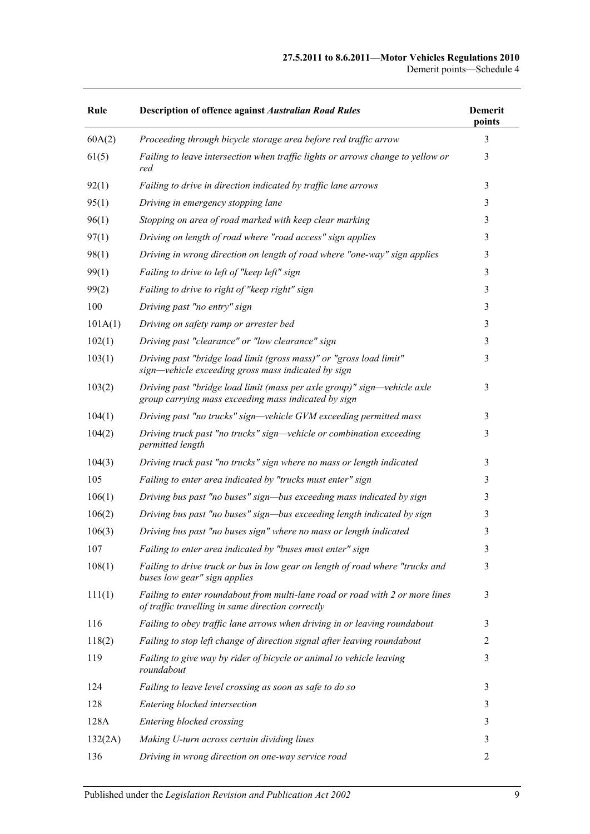#### **27.5.2011 to 8.6.2011—Motor Vehicles Regulations 2010** Demerit points—Schedule 4

| Rule    | <b>Description of offence against Australian Road Rules</b>                                                                        | <b>Demerit</b><br>points |
|---------|------------------------------------------------------------------------------------------------------------------------------------|--------------------------|
| 60A(2)  | Proceeding through bicycle storage area before red traffic arrow                                                                   | 3                        |
| 61(5)   | Failing to leave intersection when traffic lights or arrows change to yellow or<br>red                                             | 3                        |
| 92(1)   | Failing to drive in direction indicated by traffic lane arrows                                                                     | 3                        |
| 95(1)   | Driving in emergency stopping lane                                                                                                 | 3                        |
| 96(1)   | Stopping on area of road marked with keep clear marking                                                                            | 3                        |
| 97(1)   | Driving on length of road where "road access" sign applies                                                                         | 3                        |
| 98(1)   | Driving in wrong direction on length of road where "one-way" sign applies                                                          | 3                        |
| 99(1)   | Failing to drive to left of "keep left" sign                                                                                       | 3                        |
| 99(2)   | Failing to drive to right of "keep right" sign                                                                                     | 3                        |
| 100     | Driving past "no entry" sign                                                                                                       | 3                        |
| 101A(1) | Driving on safety ramp or arrester bed                                                                                             | 3                        |
| 102(1)  | Driving past "clearance" or "low clearance" sign                                                                                   | 3                        |
| 103(1)  | Driving past "bridge load limit (gross mass)" or "gross load limit"<br>sign—vehicle exceeding gross mass indicated by sign         | 3                        |
| 103(2)  | Driving past "bridge load limit (mass per axle group)" sign—vehicle axle<br>group carrying mass exceeding mass indicated by sign   | 3                        |
| 104(1)  | Driving past "no trucks" sign-vehicle GVM exceeding permitted mass                                                                 | 3                        |
| 104(2)  | Driving truck past "no trucks" sign-vehicle or combination exceeding<br>permitted length                                           | 3                        |
| 104(3)  | Driving truck past "no trucks" sign where no mass or length indicated                                                              | 3                        |
| 105     | Failing to enter area indicated by "trucks must enter" sign                                                                        | 3                        |
| 106(1)  | Driving bus past "no buses" sign-bus exceeding mass indicated by sign                                                              | 3                        |
| 106(2)  | Driving bus past "no buses" sign-bus exceeding length indicated by sign                                                            | 3                        |
| 106(3)  | Driving bus past "no buses sign" where no mass or length indicated                                                                 | 3                        |
| 107     | Failing to enter area indicated by "buses must enter" sign                                                                         | $\mathfrak{Z}$           |
| 108(1)  | Failing to drive truck or bus in low gear on length of road where "trucks and<br>buses low gear" sign applies                      | 3                        |
| 111(1)  | Failing to enter roundabout from multi-lane road or road with 2 or more lines<br>of traffic travelling in same direction correctly | 3                        |
| 116     | Failing to obey traffic lane arrows when driving in or leaving roundabout                                                          | 3                        |
| 118(2)  | Failing to stop left change of direction signal after leaving roundabout                                                           | 2                        |
| 119     | Failing to give way by rider of bicycle or animal to vehicle leaving<br>roundabout                                                 | 3                        |
| 124     | Failing to leave level crossing as soon as safe to do so                                                                           | 3                        |
| 128     | Entering blocked intersection                                                                                                      | 3                        |
| 128A    | Entering blocked crossing                                                                                                          | 3                        |
| 132(2A) | Making U-turn across certain dividing lines                                                                                        | 3                        |
| 136     | Driving in wrong direction on one-way service road                                                                                 | 2                        |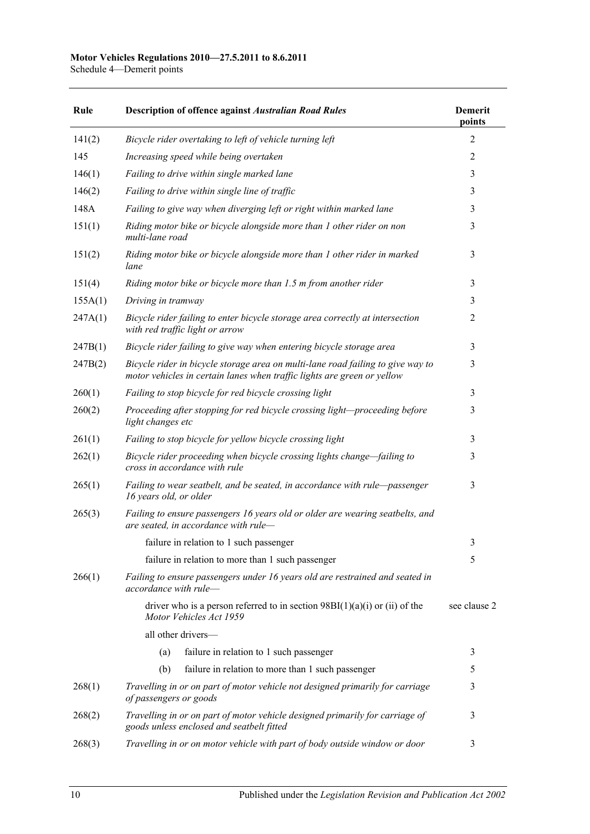#### **Motor Vehicles Regulations 2010—27.5.2011 to 8.6.2011**

Schedule 4—Demerit points

| Rule    | <b>Description of offence against Australian Road Rules</b>                                                                                                | <b>Demerit</b><br>points |
|---------|------------------------------------------------------------------------------------------------------------------------------------------------------------|--------------------------|
| 141(2)  | Bicycle rider overtaking to left of vehicle turning left                                                                                                   | 2                        |
| 145     | Increasing speed while being overtaken                                                                                                                     | 2                        |
| 146(1)  | Failing to drive within single marked lane                                                                                                                 | 3                        |
| 146(2)  | Failing to drive within single line of traffic                                                                                                             | 3                        |
| 148A    | Failing to give way when diverging left or right within marked lane                                                                                        | 3                        |
| 151(1)  | Riding motor bike or bicycle alongside more than 1 other rider on non<br>multi-lane road                                                                   | 3                        |
| 151(2)  | Riding motor bike or bicycle alongside more than 1 other rider in marked<br>lane                                                                           | 3                        |
| 151(4)  | Riding motor bike or bicycle more than 1.5 m from another rider                                                                                            | 3                        |
| 155A(1) | Driving in tramway                                                                                                                                         | 3                        |
| 247A(1) | Bicycle rider failing to enter bicycle storage area correctly at intersection<br>with red traffic light or arrow                                           | 2                        |
| 247B(1) | Bicycle rider failing to give way when entering bicycle storage area                                                                                       | 3                        |
| 247B(2) | Bicycle rider in bicycle storage area on multi-lane road failing to give way to<br>motor vehicles in certain lanes when traffic lights are green or yellow | 3                        |
| 260(1)  | Failing to stop bicycle for red bicycle crossing light                                                                                                     | 3                        |
| 260(2)  | Proceeding after stopping for red bicycle crossing light-proceeding before<br>light changes etc                                                            | 3                        |
| 261(1)  | Failing to stop bicycle for yellow bicycle crossing light                                                                                                  | 3                        |
| 262(1)  | Bicycle rider proceeding when bicycle crossing lights change-failing to<br>cross in accordance with rule                                                   | 3                        |
| 265(1)  | Failing to wear seatbelt, and be seated, in accordance with rule-passenger<br>16 years old, or older                                                       | 3                        |
| 265(3)  | Failing to ensure passengers 16 years old or older are wearing seatbelts, and<br>are seated, in accordance with rule-                                      |                          |
|         | failure in relation to 1 such passenger                                                                                                                    | 3                        |
|         | failure in relation to more than 1 such passenger                                                                                                          | 5                        |
| 266(1)  | Failing to ensure passengers under 16 years old are restrained and seated in<br>accordance with rule-                                                      |                          |
|         | driver who is a person referred to in section $98B(1)(a)(i)$ or (ii) of the<br>Motor Vehicles Act 1959                                                     | see clause 2             |
|         | all other drivers-                                                                                                                                         |                          |
|         | (a)<br>failure in relation to 1 such passenger                                                                                                             | 3                        |
|         | (b)<br>failure in relation to more than 1 such passenger                                                                                                   | 5                        |
| 268(1)  | Travelling in or on part of motor vehicle not designed primarily for carriage<br>of passengers or goods                                                    | 3                        |
| 268(2)  | Travelling in or on part of motor vehicle designed primarily for carriage of<br>goods unless enclosed and seatbelt fitted                                  | 3                        |
| 268(3)  | Travelling in or on motor vehicle with part of body outside window or door                                                                                 | 3                        |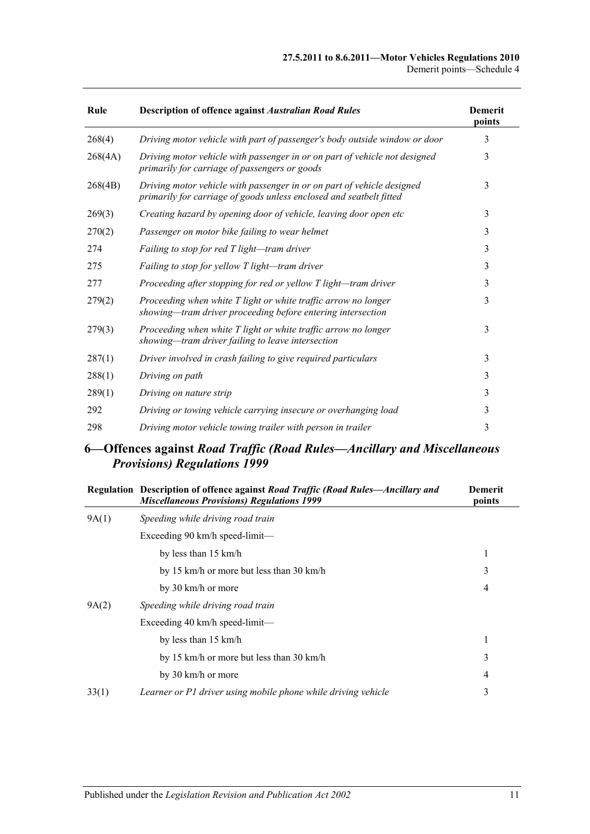#### **27.5.2011 to 8.6.2011—Motor Vehicles Regulations 2010** Demerit points—Schedule 4

| Rule    | Description of offence against Australian Road Rules                                                                                          | <b>Demerit</b><br>points |
|---------|-----------------------------------------------------------------------------------------------------------------------------------------------|--------------------------|
| 268(4)  | Driving motor vehicle with part of passenger's body outside window or door                                                                    | 3                        |
| 268(4A) | Driving motor vehicle with passenger in or on part of vehicle not designed<br>primarily for carriage of passengers or goods                   | 3                        |
| 268(4B) | Driving motor vehicle with passenger in or on part of vehicle designed<br>primarily for carriage of goods unless enclosed and seatbelt fitted | 3                        |
| 269(3)  | Creating hazard by opening door of vehicle, leaving door open etc                                                                             | 3                        |
| 270(2)  | Passenger on motor bike failing to wear helmet                                                                                                | 3                        |
| 274     | Failing to stop for red T light—tram driver                                                                                                   | 3                        |
| 275     | Failing to stop for yellow T light-tram driver                                                                                                | 3                        |
| 277     | Proceeding after stopping for red or yellow T light-tram driver                                                                               | 3                        |
| 279(2)  | Proceeding when white T light or white traffic arrow no longer<br>showing-tram driver proceeding before entering intersection                 | 3                        |
| 279(3)  | Proceeding when white T light or white traffic arrow no longer<br>showing—tram driver failing to leave intersection                           | 3                        |
| 287(1)  | Driver involved in crash failing to give required particulars                                                                                 | 3                        |
| 288(1)  | Driving on path                                                                                                                               | 3                        |
| 289(1)  | Driving on nature strip                                                                                                                       | 3                        |
| 292     | Driving or towing vehicle carrying insecure or overhanging load                                                                               | 3                        |
| 298     | Driving motor vehicle towing trailer with person in trailer                                                                                   | 3                        |

### **6—Offences against** *Road Traffic (Road Rules—Ancillary and Miscellaneous Provisions) Regulations 1999*

| Regulation Description of offence against Road Traffic (Road Rules-Ancillary and<br><b>Miscellaneous Provisions) Regulations 1999</b> | <b>Demerit</b><br>points |
|---------------------------------------------------------------------------------------------------------------------------------------|--------------------------|
| Speeding while driving road train                                                                                                     |                          |
| Exceeding $90 \text{ km/h}$ speed-limit—                                                                                              |                          |
| by less than 15 km/h                                                                                                                  | 1                        |
| by 15 km/h or more but less than 30 km/h                                                                                              | 3                        |
| by 30 km/h or more                                                                                                                    | 4                        |
| Speeding while driving road train                                                                                                     |                          |
| Exceeding $40 \text{ km/h}$ speed-limit—                                                                                              |                          |
| by less than 15 km/h                                                                                                                  | 1                        |
| by 15 km/h or more but less than 30 km/h                                                                                              | 3                        |
| by 30 km/h or more                                                                                                                    | 4                        |
| Learner or P1 driver using mobile phone while driving vehicle                                                                         | 3                        |
|                                                                                                                                       |                          |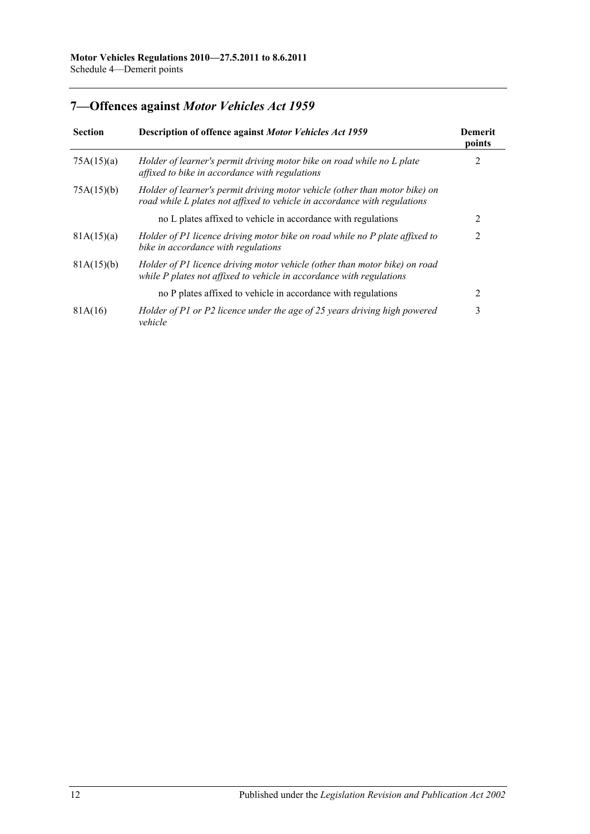## **7—Offences against** *Motor Vehicles Act 1959*

| <b>Section</b> | Description of offence against Motor Vehicles Act 1959                                                                                                   | Demerit<br>points |
|----------------|----------------------------------------------------------------------------------------------------------------------------------------------------------|-------------------|
| 75A(15)(a)     | Holder of learner's permit driving motor bike on road while no L plate<br>affixed to bike in accordance with regulations                                 | 2                 |
| 75A(15)(b)     | Holder of learner's permit driving motor vehicle (other than motor bike) on<br>road while L plates not affixed to vehicle in accordance with regulations |                   |
|                | no L plates affixed to vehicle in accordance with regulations                                                                                            |                   |
| 81A(15)(a)     | Holder of P1 licence driving motor bike on road while no P plate affixed to<br>bike in accordance with regulations                                       | 2                 |
| 81A(15)(b)     | Holder of P1 licence driving motor vehicle (other than motor bike) on road<br>while P plates not affixed to vehicle in accordance with regulations       |                   |
|                | no P plates affixed to vehicle in accordance with regulations                                                                                            | $\mathfrak{D}$    |
| 81A(16)        | Holder of P1 or P2 licence under the age of 25 years driving high powered<br>vehicle                                                                     | 3                 |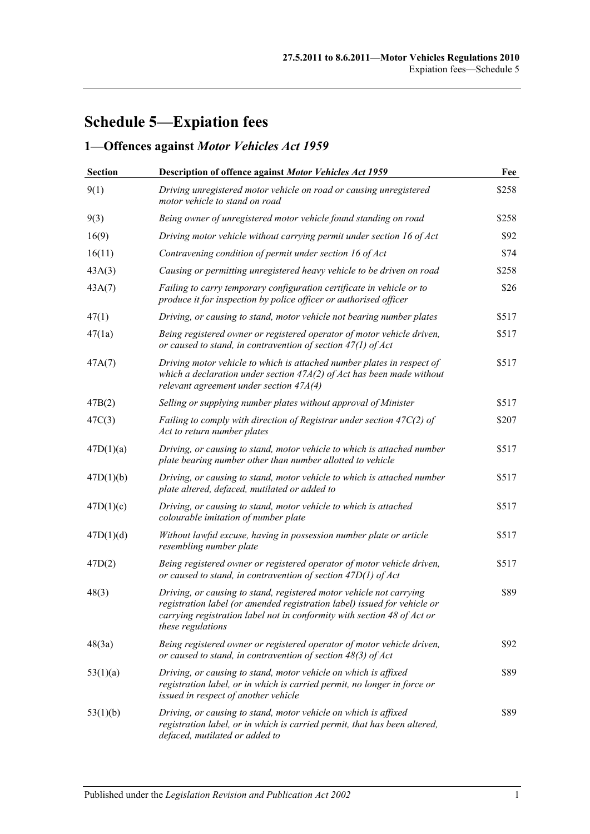# **Schedule 5—Expiation fees**

## **1—Offences against** *Motor Vehicles Act 1959*

| <b>Section</b> | Description of offence against Motor Vehicles Act 1959                                                                                                                                                                                          | Fee   |
|----------------|-------------------------------------------------------------------------------------------------------------------------------------------------------------------------------------------------------------------------------------------------|-------|
| 9(1)           | Driving unregistered motor vehicle on road or causing unregistered<br>motor vehicle to stand on road                                                                                                                                            | \$258 |
| 9(3)           | Being owner of unregistered motor vehicle found standing on road                                                                                                                                                                                | \$258 |
| 16(9)          | Driving motor vehicle without carrying permit under section 16 of Act                                                                                                                                                                           | \$92  |
| 16(11)         | Contravening condition of permit under section 16 of Act                                                                                                                                                                                        | \$74  |
| 43A(3)         | Causing or permitting unregistered heavy vehicle to be driven on road                                                                                                                                                                           | \$258 |
| 43A(7)         | Failing to carry temporary configuration certificate in vehicle or to<br>produce it for inspection by police officer or authorised officer                                                                                                      | \$26  |
| 47(1)          | Driving, or causing to stand, motor vehicle not bearing number plates                                                                                                                                                                           | \$517 |
| 47(1a)         | Being registered owner or registered operator of motor vehicle driven,<br>or caused to stand, in contravention of section $47(1)$ of Act                                                                                                        | \$517 |
| 47A(7)         | Driving motor vehicle to which is attached number plates in respect of<br>which a declaration under section $47A(2)$ of Act has been made without<br>relevant agreement under section $47A(4)$                                                  | \$517 |
| 47B(2)         | Selling or supplying number plates without approval of Minister                                                                                                                                                                                 | \$517 |
| 47C(3)         | Failing to comply with direction of Registrar under section 47 $C(2)$ of<br>Act to return number plates                                                                                                                                         | \$207 |
| 47D(1)(a)      | Driving, or causing to stand, motor vehicle to which is attached number<br>plate bearing number other than number allotted to vehicle                                                                                                           | \$517 |
| 47D(1)(b)      | Driving, or causing to stand, motor vehicle to which is attached number<br>plate altered, defaced, mutilated or added to                                                                                                                        | \$517 |
| 47D(1)(c)      | Driving, or causing to stand, motor vehicle to which is attached<br>colourable imitation of number plate                                                                                                                                        | \$517 |
| 47D(1)(d)      | Without lawful excuse, having in possession number plate or article<br>resembling number plate                                                                                                                                                  | \$517 |
| 47D(2)         | Being registered owner or registered operator of motor vehicle driven,<br>or caused to stand, in contravention of section $47D(1)$ of Act                                                                                                       | \$517 |
| 48(3)          | Driving, or causing to stand, registered motor vehicle not carrying<br>registration label (or amended registration label) issued for vehicle or<br>carrying registration label not in conformity with section 48 of Act or<br>these regulations | \$89  |
| 48(3a)         | Being registered owner or registered operator of motor vehicle driven,<br>or caused to stand, in contravention of section $48(3)$ of Act                                                                                                        | \$92  |
| 53(1)(a)       | Driving, or causing to stand, motor vehicle on which is affixed<br>registration label, or in which is carried permit, no longer in force or<br>issued in respect of another vehicle                                                             | \$89  |
| 53(1)(b)       | Driving, or causing to stand, motor vehicle on which is affixed<br>registration label, or in which is carried permit, that has been altered,<br>defaced, mutilated or added to                                                                  | \$89  |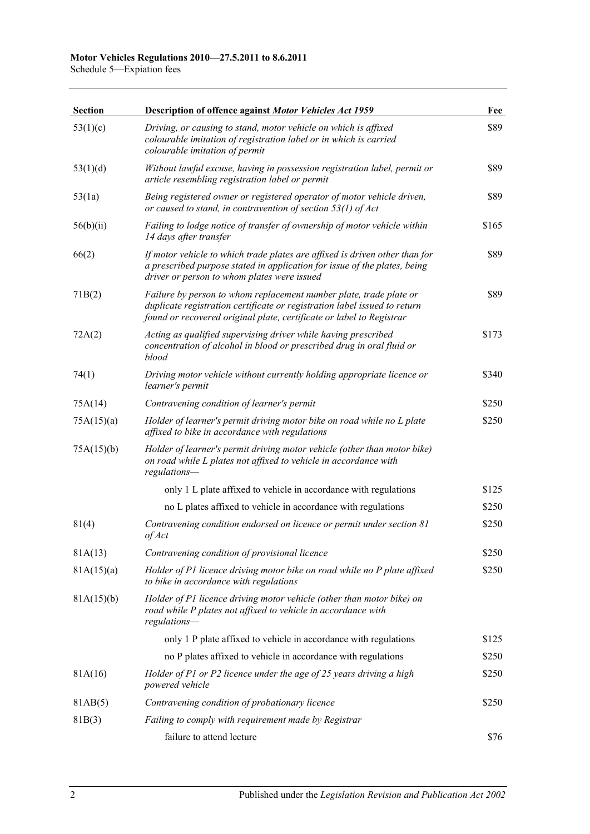Schedule 5—Expiation fees

| <b>Section</b> | Description of offence against Motor Vehicles Act 1959                                                                                                                                                                  | Fee   |
|----------------|-------------------------------------------------------------------------------------------------------------------------------------------------------------------------------------------------------------------------|-------|
| 53(1)(c)       | Driving, or causing to stand, motor vehicle on which is affixed<br>colourable imitation of registration label or in which is carried<br>colourable imitation of permit                                                  | \$89  |
| 53(1)(d)       | Without lawful excuse, having in possession registration label, permit or<br>article resembling registration label or permit                                                                                            | \$89  |
| 53(1a)         | Being registered owner or registered operator of motor vehicle driven,<br>or caused to stand, in contravention of section $53(1)$ of Act                                                                                | \$89  |
| 56(b)(ii)      | Failing to lodge notice of transfer of ownership of motor vehicle within<br>14 days after transfer                                                                                                                      | \$165 |
| 66(2)          | If motor vehicle to which trade plates are affixed is driven other than for<br>a prescribed purpose stated in application for issue of the plates, being<br>driver or person to whom plates were issued                 | \$89  |
| 71B(2)         | Failure by person to whom replacement number plate, trade plate or<br>duplicate registration certificate or registration label issued to return<br>found or recovered original plate, certificate or label to Registrar | \$89  |
| 72A(2)         | Acting as qualified supervising driver while having prescribed<br>concentration of alcohol in blood or prescribed drug in oral fluid or<br>blood                                                                        | \$173 |
| 74(1)          | Driving motor vehicle without currently holding appropriate licence or<br>learner's permit                                                                                                                              | \$340 |
| 75A(14)        | Contravening condition of learner's permit                                                                                                                                                                              | \$250 |
| 75A(15)(a)     | Holder of learner's permit driving motor bike on road while no L plate<br>affixed to bike in accordance with regulations                                                                                                | \$250 |
| 75A(15)(b)     | Holder of learner's permit driving motor vehicle (other than motor bike)<br>on road while L plates not affixed to vehicle in accordance with<br>regulations-                                                            |       |
|                | only 1 L plate affixed to vehicle in accordance with regulations                                                                                                                                                        | \$125 |
|                | no L plates affixed to vehicle in accordance with regulations                                                                                                                                                           | \$250 |
| 81(4)          | Contravening condition endorsed on licence or permit under section 81<br>of Act                                                                                                                                         | \$250 |
| 81A(13)        | Contravening condition of provisional licence                                                                                                                                                                           | \$250 |
| 81A(15)(a)     | Holder of P1 licence driving motor bike on road while no P plate affixed<br>to bike in accordance with regulations                                                                                                      | \$250 |
| 81A(15)(b)     | Holder of P1 licence driving motor vehicle (other than motor bike) on<br>road while P plates not affixed to vehicle in accordance with<br>regulations-                                                                  |       |
|                | only 1 P plate affixed to vehicle in accordance with regulations                                                                                                                                                        | \$125 |
|                | no P plates affixed to vehicle in accordance with regulations                                                                                                                                                           | \$250 |
| 81A(16)        | Holder of P1 or P2 licence under the age of 25 years driving a high<br>powered vehicle                                                                                                                                  | \$250 |
| 81AB(5)        | Contravening condition of probationary licence                                                                                                                                                                          | \$250 |
| 81B(3)         | Failing to comply with requirement made by Registrar                                                                                                                                                                    |       |
|                | failure to attend lecture                                                                                                                                                                                               | \$76  |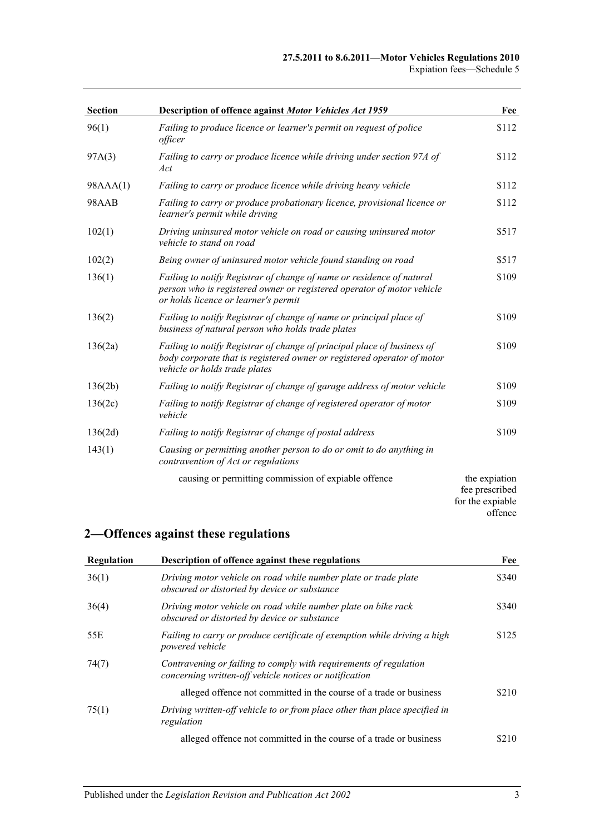| <b>Section</b> | Description of offence against Motor Vehicles Act 1959                                                                                                                                  | Fee                                                 |
|----------------|-----------------------------------------------------------------------------------------------------------------------------------------------------------------------------------------|-----------------------------------------------------|
| 96(1)          | Failing to produce licence or learner's permit on request of police<br>officer                                                                                                          | \$112                                               |
| 97A(3)         | Failing to carry or produce licence while driving under section 97A of<br>Act                                                                                                           | \$112                                               |
| 98AAA(1)       | Failing to carry or produce licence while driving heavy vehicle                                                                                                                         | \$112                                               |
| 98AAB          | Failing to carry or produce probationary licence, provisional licence or<br>learner's permit while driving                                                                              | \$112                                               |
| 102(1)         | Driving uninsured motor vehicle on road or causing uninsured motor<br>vehicle to stand on road                                                                                          | \$517                                               |
| 102(2)         | Being owner of uninsured motor vehicle found standing on road                                                                                                                           | \$517                                               |
| 136(1)         | Failing to notify Registrar of change of name or residence of natural<br>person who is registered owner or registered operator of motor vehicle<br>or holds licence or learner's permit | \$109                                               |
| 136(2)         | Failing to notify Registrar of change of name or principal place of<br>business of natural person who holds trade plates                                                                | \$109                                               |
| 136(2a)        | Failing to notify Registrar of change of principal place of business of<br>body corporate that is registered owner or registered operator of motor<br>vehicle or holds trade plates     | \$109                                               |
| 136(2b)        | Failing to notify Registrar of change of garage address of motor vehicle                                                                                                                | \$109                                               |
| 136(2c)        | Failing to notify Registrar of change of registered operator of motor<br>vehicle                                                                                                        | \$109                                               |
| 136(2d)        | Failing to notify Registrar of change of postal address                                                                                                                                 | \$109                                               |
| 143(1)         | Causing or permitting another person to do or omit to do anything in<br>contravention of Act or regulations                                                                             |                                                     |
|                | causing or permitting commission of expiable offence                                                                                                                                    | the expiation<br>fee prescribed<br>for the expiable |

## **2—Offences against these regulations**

| Regulation | Description of offence against these regulations                                                                            | Fee   |
|------------|-----------------------------------------------------------------------------------------------------------------------------|-------|
| 36(1)      | Driving motor vehicle on road while number plate or trade plate<br>obscured or distorted by device or substance             | \$340 |
| 36(4)      | Driving motor vehicle on road while number plate on bike rack<br>obscured or distorted by device or substance               | \$340 |
| 55E        | Failing to carry or produce certificate of exemption while driving a high<br>powered vehicle                                | \$125 |
| 74(7)      | Contravening or failing to comply with requirements of regulation<br>concerning written-off vehicle notices or notification |       |
|            | alleged offence not committed in the course of a trade or business                                                          | \$210 |
| 75(1)      | Driving written-off vehicle to or from place other than place specified in<br>regulation                                    |       |
|            | alleged offence not committed in the course of a trade or business                                                          | \$210 |

offence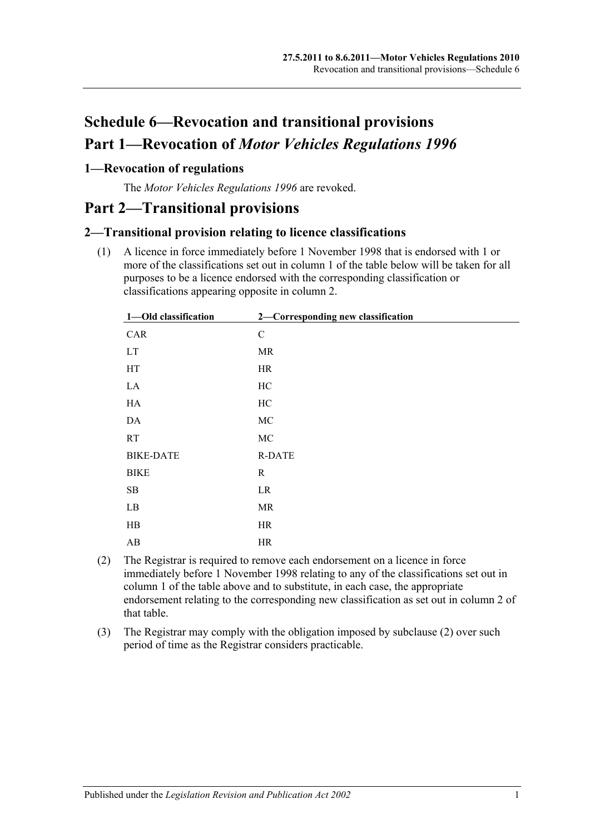# **Schedule 6—Revocation and transitional provisions Part 1—Revocation of** *Motor Vehicles Regulations 1996*

### **1—Revocation of regulations**

The *[Motor Vehicles Regulations](http://www.legislation.sa.gov.au/index.aspx?action=legref&type=subordleg&legtitle=Motor%20Vehicles%20Regulations%201996) 1996* are revoked.

## **Part 2—Transitional provisions**

### **2—Transitional provision relating to licence classifications**

(1) A licence in force immediately before 1 November 1998 that is endorsed with 1 or more of the classifications set out in column 1 of the table below will be taken for all purposes to be a licence endorsed with the corresponding classification or classifications appearing opposite in column 2.

| 1-Old classification | 2-Corresponding new classification |
|----------------------|------------------------------------|
| CAR                  | ${\bf C}$                          |
| <b>LT</b>            | MR                                 |
| HT                   | <b>HR</b>                          |
| LA                   | HC                                 |
| HA                   | HC                                 |
| DA                   | MC                                 |
| <b>RT</b>            | MC                                 |
| <b>BIKE-DATE</b>     | <b>R-DATE</b>                      |
| <b>BIKE</b>          | R                                  |
| SB                   | LR                                 |
| LB                   | MR                                 |
| HB                   | HR                                 |
| AB                   | HR                                 |

- <span id="page-98-0"></span>(2) The Registrar is required to remove each endorsement on a licence in force immediately before 1 November 1998 relating to any of the classifications set out in column 1 of the table above and to substitute, in each case, the appropriate endorsement relating to the corresponding new classification as set out in column 2 of that table.
- (3) The Registrar may comply with the obligation imposed by [subclause](#page-98-0) (2) over such period of time as the Registrar considers practicable.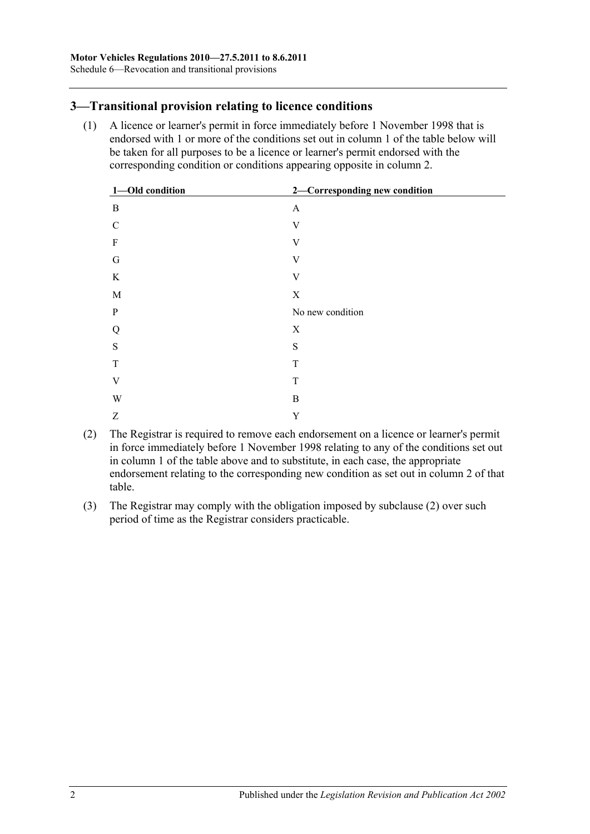### **3—Transitional provision relating to licence conditions**

(1) A licence or learner's permit in force immediately before 1 November 1998 that is endorsed with 1 or more of the conditions set out in column 1 of the table below will be taken for all purposes to be a licence or learner's permit endorsed with the corresponding condition or conditions appearing opposite in column 2.

| 1-Old condition | 2-Corresponding new condition |
|-----------------|-------------------------------|
| $\mathbf{B}$    | $\boldsymbol{\mathsf{A}}$     |
| $\mathbf C$     | V                             |
| F               | V                             |
| G               | V                             |
| $\rm K$         | V                             |
| M               | $\mathbf X$                   |
| P               | No new condition              |
| Q               | $\mathbf X$                   |
| ${\bf S}$       | S                             |
| T               | T                             |
| $\mathbf V$     | $\mathbf T$                   |
| W               | B                             |
| Z               | $\mathbf Y$                   |

- <span id="page-99-0"></span>(2) The Registrar is required to remove each endorsement on a licence or learner's permit in force immediately before 1 November 1998 relating to any of the conditions set out in column 1 of the table above and to substitute, in each case, the appropriate endorsement relating to the corresponding new condition as set out in column 2 of that table.
- (3) The Registrar may comply with the obligation imposed by [subclause](#page-99-0) (2) over such period of time as the Registrar considers practicable.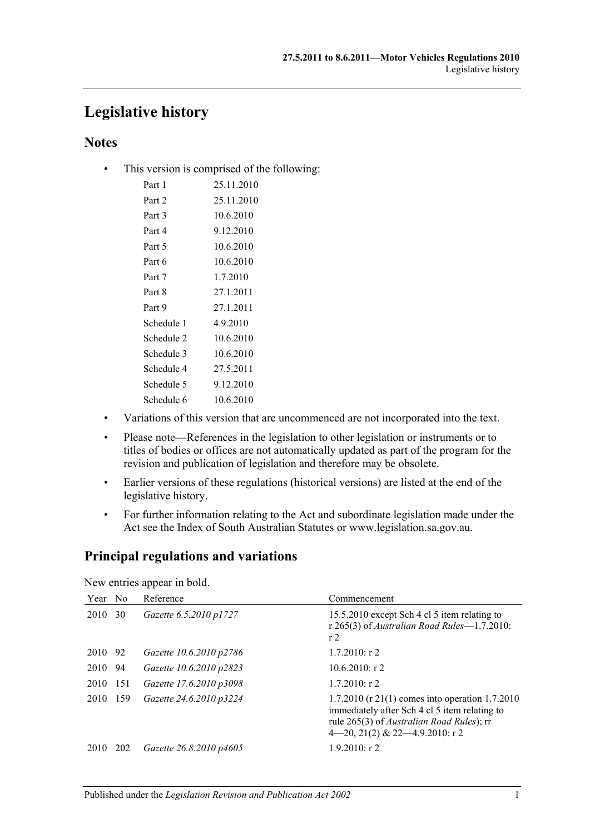## **Legislative history**

### **Notes**

• This version is comprised of the following:

| Part 1     | 25.11.2010 |
|------------|------------|
| Part 2     | 25.11.2010 |
| Part 3     | 10.6.2010  |
| Part 4     | 9.12.2010  |
| Part 5     | 10.6.2010  |
| Part 6     | 10.6.2010  |
| Part 7     | 1.7.2010   |
| Part 8     | 27.1.2011  |
| Part 9     | 27.1.2011  |
| Schedule 1 | 4.9.2010   |
| Schedule 2 | 10.6.2010  |
| Schedule 3 | 10.6.2010  |
| Schedule 4 | 27.5.2011  |
| Schedule 5 | 9.12.2010  |
| Schedule 6 | 10.6.2010  |

- Variations of this version that are uncommenced are not incorporated into the text.
- Please note—References in the legislation to other legislation or instruments or to titles of bodies or offices are not automatically updated as part of the program for the revision and publication of legislation and therefore may be obsolete.
- Earlier versions of these regulations (historical versions) are listed at the end of the legislative history.
- For further information relating to the Act and subordinate legislation made under the Act see the Index of South Australian Statutes or www.legislation.sa.gov.au.

## **Principal regulations and variations**

New entries appear in bold.

| Year No |      | Reference               | Commencement                                                                                                                                                                                  |
|---------|------|-------------------------|-----------------------------------------------------------------------------------------------------------------------------------------------------------------------------------------------|
| 2010    | 30   | Gazette 6.5.2010 p1727  | 15.5.2010 except Sch 4 cl 5 item relating to<br>r 265(3) of Australian Road Rules-1.7.2010:<br>r <sub>2</sub>                                                                                 |
| 2010 92 |      | Gazette 10.6.2010 p2786 | $1.7.2010:$ r 2                                                                                                                                                                               |
| 2010    | 94   | Gazette 10.6.2010 p2823 | $10.6.2010$ : r 2                                                                                                                                                                             |
| 2010    | -151 | Gazette 17.6.2010 p3098 | $1.7.2010:$ r 2                                                                                                                                                                               |
| 2010    | 159  | Gazette 24.6.2010 p3224 | 1.7.2010 (r 21(1) comes into operation 1.7.2010<br>immediately after Sch 4 cl 5 item relating to<br>rule 265(3) of <i>Australian Road Rules</i> ); rr<br>$4-20, 21(2)$ & 22 $-4.9.2010$ : r 2 |
| 2010    | 202  | Gazette 26.8.2010 p4605 | $1.9.2010:$ r 2                                                                                                                                                                               |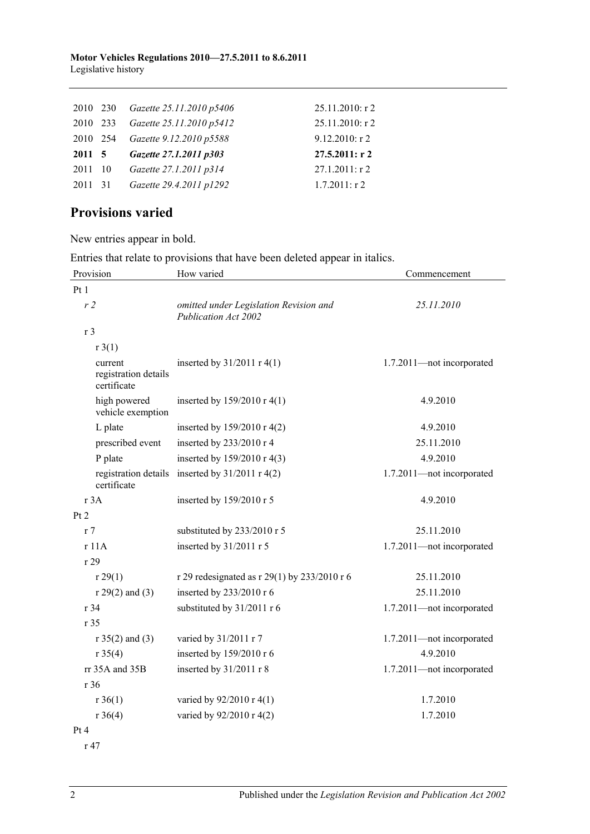#### **Motor Vehicles Regulations 2010—27.5.2011 to 8.6.2011** Legislative history

|         | 2010 230 Gazette 25.11.2010 p5406 | 25.11.2010: r 2  |
|---------|-----------------------------------|------------------|
|         | 2010 233 Gazette 25.11.2010 p5412 | 25.11.2010: r 2  |
|         | 2010 254 Gazette 9.12.2010 p5588  | 9.12.2010: r 2   |
|         |                                   |                  |
| 2011 5  | Gazette 27.1.2011 p303            | 27.5.2011: r2    |
| 2011 10 | Gazette 27.1.2011 p314            | $27.1.2011:$ r 2 |
| 2011 31 | Gazette 29.4.2011 p1292           | $1.7.2011:$ r 2  |

## **Provisions varied**

New entries appear in bold.

Entries that relate to provisions that have been deleted appear in italics.

| Provision                                      | How varied                                                     | Commencement              |
|------------------------------------------------|----------------------------------------------------------------|---------------------------|
| Pt 1                                           |                                                                |                           |
| r2                                             | omitted under Legislation Revision and<br>Publication Act 2002 | 25.11.2010                |
| r <sub>3</sub>                                 |                                                                |                           |
| r3(1)                                          |                                                                |                           |
| current<br>registration details<br>certificate | inserted by $31/2011$ r 4(1)                                   | 1.7.2011-not incorporated |
| high powered<br>vehicle exemption              | inserted by $159/2010 \text{ r } 4(1)$                         | 4.9.2010                  |
| L plate                                        | inserted by $159/2010$ r 4(2)                                  | 4.9.2010                  |
| prescribed event                               | inserted by 233/2010 r 4                                       | 25.11.2010                |
| P plate                                        | inserted by 159/2010 r 4(3)                                    | 4.9.2010                  |
| registration details<br>certificate            | inserted by $31/2011$ r 4(2)                                   | 1.7.2011-not incorporated |
| r 3A                                           | inserted by $159/2010$ r 5                                     | 4.9.2010                  |
| Pt 2                                           |                                                                |                           |
| r <sub>7</sub>                                 | substituted by 233/2010 r 5                                    | 25.11.2010                |
| r 11A                                          | inserted by 31/2011 r 5                                        | 1.7.2011-not incorporated |
| r29                                            |                                                                |                           |
| r 29(1)                                        | r 29 redesignated as r 29(1) by 233/2010 r 6                   | 25.11.2010                |
| $r 29(2)$ and (3)                              | inserted by 233/2010 r 6                                       | 25.11.2010                |
| r 34                                           | substituted by 31/2011 r 6                                     | 1.7.2011-not incorporated |
| r 35                                           |                                                                |                           |
| $r 35(2)$ and (3)                              | varied by 31/2011 r 7                                          | 1.7.2011-not incorporated |
| r 35(4)                                        | inserted by 159/2010 r 6                                       | 4.9.2010                  |
| rr 35A and 35B                                 | inserted by 31/2011 r 8                                        | 1.7.2011-not incorporated |
| r 36                                           |                                                                |                           |
| $r \, 36(1)$                                   | varied by $92/2010 \text{ r } 4(1)$                            | 1.7.2010                  |
| r 36(4)                                        | varied by 92/2010 r 4(2)                                       | 1.7.2010                  |
| Pt 4                                           |                                                                |                           |

r 47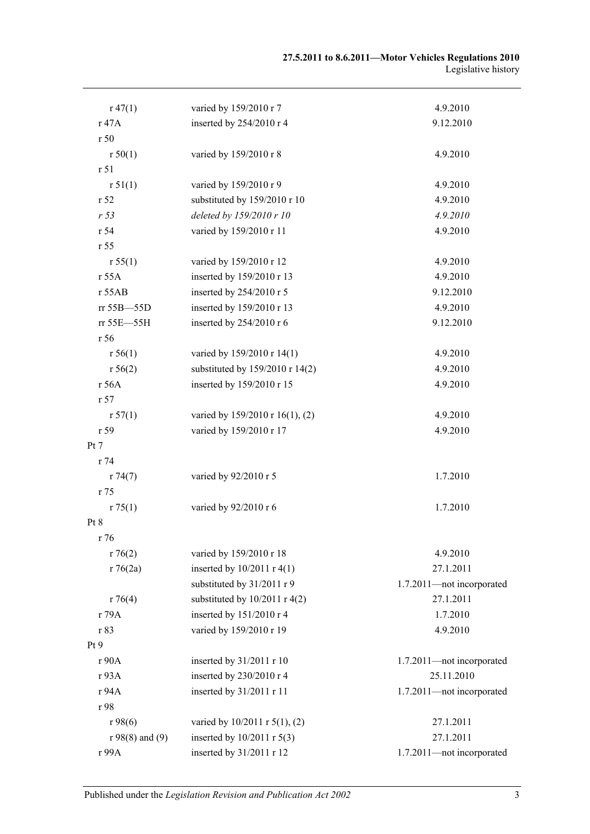| $r\,47(1)$        | varied by 159/2010 r 7          | 4.9.2010                  |
|-------------------|---------------------------------|---------------------------|
| r 47A             | inserted by 254/2010 r 4        | 9.12.2010                 |
| r50               |                                 |                           |
| r 50(1)           | varied by 159/2010 r 8          | 4.9.2010                  |
| r 51              |                                 |                           |
| r 51(1)           | varied by 159/2010 r 9          | 4.9.2010                  |
| r 52              | substituted by 159/2010 r 10    | 4.9.2010                  |
| r <sub>53</sub>   | deleted by 159/2010 r 10        | 4.9.2010                  |
| r 54              | varied by 159/2010 r 11         | 4.9.2010                  |
| r 55              |                                 |                           |
| r 55(1)           | varied by 159/2010 r 12         | 4.9.2010                  |
| r 55A             | inserted by 159/2010 r 13       | 4.9.2010                  |
| r 55AB            | inserted by 254/2010 r 5        | 9.12.2010                 |
| rr 55B-55D        | inserted by 159/2010 r 13       | 4.9.2010                  |
| rr 55E-55H        | inserted by 254/2010 r 6        | 9.12.2010                 |
| r 56              |                                 |                           |
| r 56(1)           | varied by 159/2010 r 14(1)      | 4.9.2010                  |
| r 56(2)           | substituted by 159/2010 r 14(2) | 4.9.2010                  |
| r 56A             | inserted by 159/2010 r 15       | 4.9.2010                  |
| r 57              |                                 |                           |
| r 57(1)           | varied by 159/2010 r 16(1), (2) | 4.9.2010                  |
| r 59              | varied by 159/2010 r 17         | 4.9.2010                  |
| Pt 7              |                                 |                           |
| r 74              |                                 |                           |
| r 74(7)           | varied by 92/2010 r 5           | 1.7.2010                  |
| r 75              |                                 |                           |
| r 75(1)           | varied by 92/2010 r 6           | 1.7.2010                  |
| Pt 8              |                                 |                           |
| r 76              |                                 |                           |
| r76(2)            | varied by 159/2010 r 18         | 4.9.2010                  |
| r76(2a)           | inserted by $10/2011$ r 4(1)    | 27.1.2011                 |
|                   | substituted by 31/2011 r 9      | 1.7.2011-not incorporated |
| r76(4)            | substituted by $10/2011$ r 4(2) | 27.1.2011                 |
| r 79A             | inserted by 151/2010 r 4        | 1.7.2010                  |
| r 83              | varied by 159/2010 r 19         | 4.9.2010                  |
| Pt9               |                                 |                           |
| r 90A             | inserted by 31/2011 r 10        | 1.7.2011-not incorporated |
| r 93A             | inserted by 230/2010 r 4        | 25.11.2010                |
| r 94A             | inserted by 31/2011 r 11        | 1.7.2011-not incorporated |
| r 98              |                                 |                           |
| r98(6)            | varied by 10/2011 r 5(1), (2)   | 27.1.2011                 |
| $r 98(8)$ and (9) | inserted by 10/2011 r 5(3)      | 27.1.2011                 |
| r 99A             | inserted by 31/2011 r 12        | 1.7.2011-not incorporated |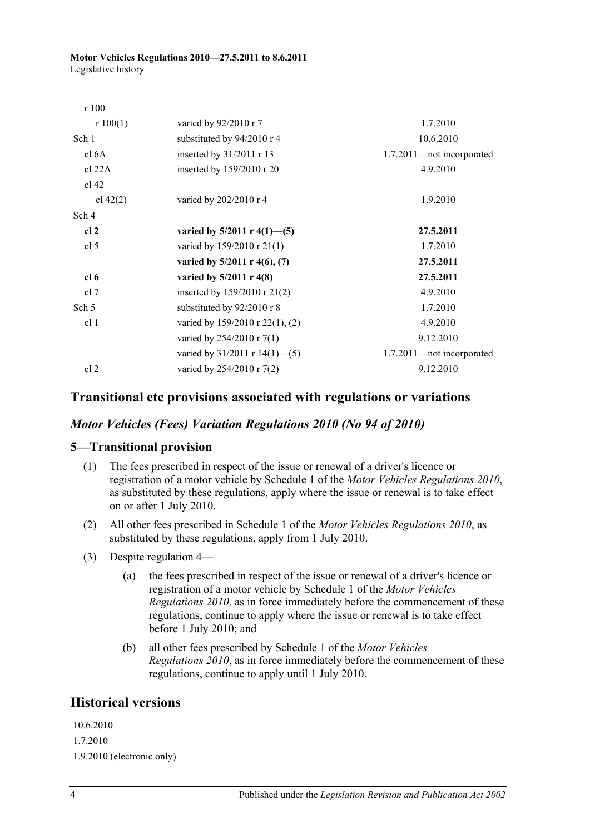| r100             |                                         |                           |
|------------------|-----------------------------------------|---------------------------|
| r 100(1)         | varied by 92/2010 r 7                   | 1.7.2010                  |
| Sch 1            | substituted by 94/2010 r 4              | 10.6.2010                 |
| cl 6A            | inserted by 31/2011 r 13                | 1.7.2011-not incorporated |
| cl 22A           | inserted by 159/2010 r 20               | 4.9.2010                  |
| $cl$ 42          |                                         |                           |
| cl $42(2)$       | varied by 202/2010 r 4                  | 1.9.2010                  |
| Sch 4            |                                         |                           |
| cl <sub>2</sub>  | varied by $5/2011$ r $4(1)$ —(5)        | 27.5.2011                 |
| cl <sub>5</sub>  | varied by 159/2010 r 21(1)              | 1.7.2010                  |
|                  | varied by $5/2011$ r $4(6)$ , (7)       | 27.5.2011                 |
| cl <sub>6</sub>  | varied by $5/2011$ r 4(8)               | 27.5.2011                 |
| cl 7             | inserted by $159/2010 \text{ r } 21(2)$ | 4.9.2010                  |
| Sch <sub>5</sub> | substituted by 92/2010 r 8              | 1.7.2010                  |
| cl <sub>1</sub>  | varied by 159/2010 r 22(1), (2)         | 4.9.2010                  |
|                  | varied by 254/2010 r 7(1)               | 9.12.2010                 |
|                  | varied by $31/2011$ r $14(1)$ —(5)      | 1.7.2011-not incorporated |
| cl 2             | varied by 254/2010 r 7(2)               | 9.12.2010                 |

### **Transitional etc provisions associated with regulations or variations**

### *Motor Vehicles (Fees) Variation Regulations 2010 (No 94 of 2010)*

### **5—Transitional provision**

- (1) The fees prescribed in respect of the issue or renewal of a driver's licence or registration of a motor vehicle by Schedule 1 of the *[Motor Vehicles Regulations](http://www.legislation.sa.gov.au/index.aspx?action=legref&type=subordleg&legtitle=Motor%20Vehicles%20Regulations%202010) 2010*, as substituted by these regulations, apply where the issue or renewal is to take effect on or after 1 July 2010.
- (2) All other fees prescribed in Schedule 1 of the *[Motor Vehicles Regulations](http://www.legislation.sa.gov.au/index.aspx?action=legref&type=subordleg&legtitle=Motor%20Vehicles%20Regulations%202010) 2010*, as substituted by these regulations, apply from 1 July 2010.
- (3) Despite regulation 4—
	- (a) the fees prescribed in respect of the issue or renewal of a driver's licence or registration of a motor vehicle by Schedule 1 of the *[Motor Vehicles](http://www.legislation.sa.gov.au/index.aspx?action=legref&type=subordleg&legtitle=Motor%20Vehicles%20Regulations%202010)  [Regulations](http://www.legislation.sa.gov.au/index.aspx?action=legref&type=subordleg&legtitle=Motor%20Vehicles%20Regulations%202010) 2010*, as in force immediately before the commencement of these regulations, continue to apply where the issue or renewal is to take effect before 1 July 2010; and
	- (b) all other fees prescribed by Schedule 1 of the *[Motor Vehicles](http://www.legislation.sa.gov.au/index.aspx?action=legref&type=subordleg&legtitle=Motor%20Vehicles%20Regulations%202010)  [Regulations](http://www.legislation.sa.gov.au/index.aspx?action=legref&type=subordleg&legtitle=Motor%20Vehicles%20Regulations%202010) 2010*, as in force immediately before the commencement of these regulations, continue to apply until 1 July 2010.

### **Historical versions**

10.6.2010 1.7.2010 1.9.2010 (electronic only)